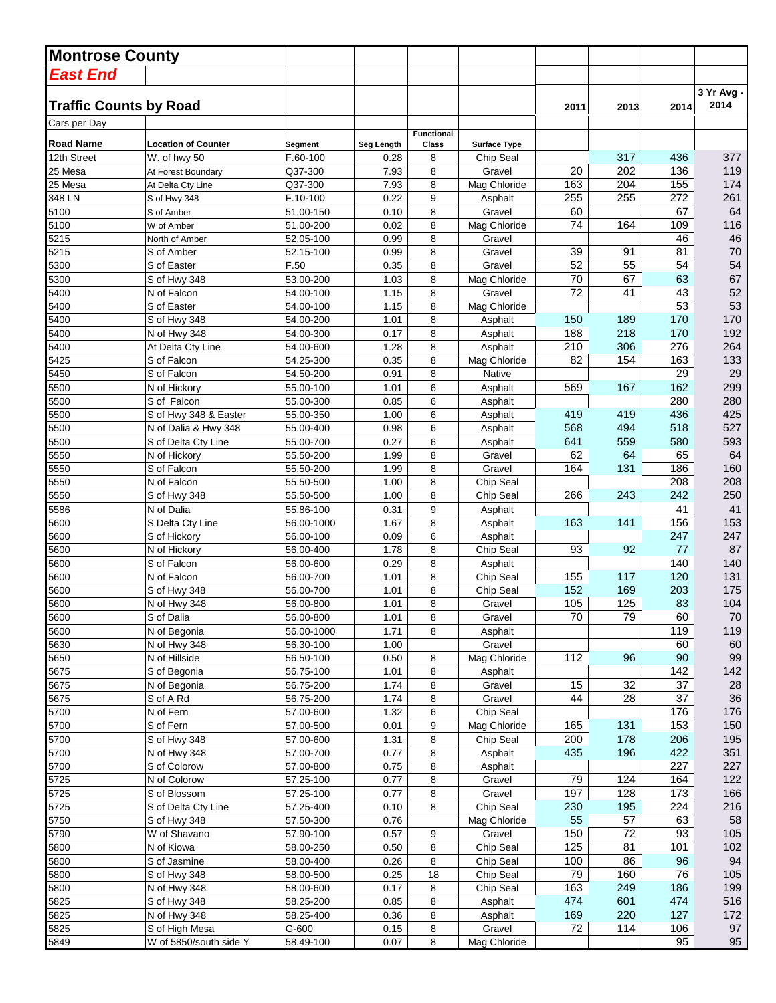| <b>East End</b><br>3 Yr Avg -<br><b>Traffic Counts by Road</b><br>2014<br>2014<br>2011<br>2013<br>Cars per Day<br><b>Functional</b><br><b>Road Name</b><br><b>Location of Counter</b><br>Class<br><b>Surface Type</b><br>Segment<br>Seg Length<br>F.60-100<br>317<br>436<br>377<br>12th Street<br>8<br>W. of hwy 50<br>0.28<br>Chip Seal<br>119<br>25 Mesa<br>Q37-300<br>8<br>20<br>202<br>136<br>7.93<br>Gravel<br>At Forest Boundary<br>155<br>174<br>163<br>204<br>25 Mesa<br>Q37-300<br>7.93<br>8<br>Mag Chloride<br>At Delta Cty Line<br>255<br>255<br>272<br>261<br>348 LN<br>0.22<br>9<br>F.10-100<br>Asphalt<br>S of Hwy 348<br>8<br>60<br>67<br>64<br>5100<br>0.10<br>Gravel<br>51.00-150<br>S of Amber<br>5100<br>74<br>116<br>0.02<br>8<br>Mag Chloride<br>164<br>109<br>51.00-200<br>W of Amber<br>46<br>5215<br>46<br>52.05-100<br>0.99<br>8<br>Gravel<br>North of Amber<br>39<br>70<br>5215<br>0.99<br>8<br>91<br>81<br>Gravel<br>S of Amber<br>52.15-100<br>52<br>54<br>8<br>55<br>54<br>5300<br>0.35<br>S of Easter<br>F.50<br>Gravel<br>70<br>63<br>67<br>5300<br>1.03<br>8<br>67<br>53.00-200<br>Mag Chloride<br>S of Hwy 348<br>52<br>72<br>5400<br>1.15<br>8<br>41<br>43<br>N of Falcon<br>54.00-100<br>Gravel<br>53<br>53<br>5400<br>1.15<br>S of Easter<br>54.00-100<br>8<br>Mag Chloride<br>8<br>170<br>5400<br>1.01<br>150<br>189<br>170<br>S of Hwy 348<br>54.00-200<br>Asphalt<br>170<br>192<br>5400<br>0.17<br>8<br>188<br>218<br>N of Hwy 348<br>54.00-300<br>Asphalt<br>5400<br>210<br>264<br>306<br>276<br>At Delta Cty Line<br>54.00-600<br>1.28<br>8<br>Asphalt<br>133<br>5425<br>0.35<br>8<br>Mag Chloride<br>82<br>163<br>S of Falcon<br>54.25-300<br>154<br>29<br>29<br>0.91<br>8<br>5450<br>S of Falcon<br>54.50-200<br>Native<br>162<br>299<br>1.01<br>6<br>569<br>167<br>5500<br>N of Hickory<br>55.00-100<br>Asphalt<br>280<br>280<br>5500<br>0.85<br>6<br>S of Falcon<br>55.00-300<br>Asphalt<br>419<br>436<br>425<br>5500<br>6<br>419<br>S of Hwy 348 & Easter<br>55.00-350<br>1.00<br>Asphalt<br>568<br>527<br>5500<br>0.98<br>6<br>494<br>518<br>N of Dalia & Hwy 348<br>55.00-400<br>Asphalt<br>641<br>580<br>593<br>5500<br>0.27<br>6<br>559<br>S of Delta Cty Line<br>55.00-700<br>Asphalt<br>64<br>1.99<br>8<br>Gravel<br>62<br>64<br>65<br>5550<br>N of Hickory<br>55.50-200<br>160<br>5550<br>164<br>131<br>186<br>S of Falcon<br>55.50-200<br>1.99<br>8<br>Gravel<br>208<br>208<br>5550<br>8<br>Chip Seal<br>N of Falcon<br>55.50-500<br>1.00<br>8<br>266<br>243<br>242<br>250<br>5550<br>S of Hwy 348<br>1.00<br>Chip Seal<br>55.50-500<br>9<br>41<br>5586<br>0.31<br>Asphalt<br>41<br>N of Dalia<br>55.86-100<br>156<br>153<br>5600<br>1.67<br>8<br>163<br>141<br>S Delta Cty Line<br>56.00-1000<br>Asphalt<br>247<br>247<br>5600<br>6<br>56.00-100<br>0.09<br>Asphalt<br>S of Hickory<br>87<br>8<br>93<br>92<br>77<br>5600<br>N of Hickory<br>56.00-400<br>1.78<br>Chip Seal<br>140<br>8<br>140<br>5600<br>S of Falcon<br>56.00-600<br>0.29<br>Asphalt<br>1.01<br>8<br>155<br>117<br>120<br>131<br>5600<br>N of Falcon<br>56.00-700<br>Chip Seal<br>169<br>175<br>5600<br>152<br>203<br>S of Hwy 348<br>56.00-700<br>1.01<br>8<br>Chip Seal<br>104<br>5600<br>1.01<br>8<br>105<br>125<br>83<br>N of Hwy 348<br>56.00-800<br>Gravel<br>79<br>70<br>5600<br>S of Dalia<br>56.00-800<br>1.01<br>8<br>Gravel<br>70<br>60<br>119<br>8<br>119<br>5600<br>N of Begonia<br>56.00-1000<br>1.71<br>Asphalt<br>60<br>5630<br>56.30-100<br>1.00<br>60<br>N of Hwy 348<br>Gravel<br>112<br>99<br>0.50<br>Mag Chloride<br>96<br>90<br>5650<br>N of Hillside<br>56.50-100<br>8<br>142<br>5675<br>S of Begonia<br>56.75-100<br>1.01<br>8<br>Asphalt<br>142<br>32<br>37<br>28<br>1.74<br>8<br>15<br>5675<br>N of Begonia<br>56.75-200<br>Gravel<br>37<br>36<br>5675<br>56.75-200<br>1.74<br>8<br>Gravel<br>44<br>28<br>S of A Rd<br>176<br>176<br>5700<br>N of Fern<br>57.00-600<br>1.32<br>6<br>Chip Seal<br>5700<br>S of Fern<br>57.00-500<br>9<br>131<br>153<br>150<br>0.01<br>Mag Chloride<br>165<br>200<br>178<br>206<br>195<br>5700<br>S of Hwy 348<br>57.00-600<br>1.31<br>8<br>Chip Seal<br>435<br>422<br>351<br>5700<br>8<br>196<br>N of Hwy 348<br>57.00-700<br>0.77<br>Asphalt<br>227<br>5700<br>0.75<br>8<br>227<br>S of Colorow<br>57.00-800<br>Asphalt<br>79<br>164<br>122<br>5725<br>N of Colorow<br>57.25-100<br>124<br>0.77<br>8<br>Gravel<br>173<br>Gravel<br>197<br>128<br>166<br>5725<br>S of Blossom<br>57.25-100<br>0.77<br>8<br>Chip Seal<br>224<br>216<br>5725<br>8<br>230<br>195<br>S of Delta Cty Line<br>57.25-400<br>0.10<br>57<br>58<br>5750<br>57.50-300<br>0.76<br>Mag Chloride<br>55<br>63<br>S of Hwy 348<br>72<br>105<br>5790<br>57.90-100<br>0.57<br>Gravel<br>150<br>93<br>W of Shavano<br>9<br>102<br>N of Kiowa<br>58.00-250<br>Chip Seal<br>125<br>81<br>101<br>5800<br>0.50<br>8<br>94<br>S of Jasmine<br>Chip Seal<br>100<br>86<br>96<br>5800<br>58.00-400<br>0.26<br>8<br>79<br>160<br>105<br>0.25<br>18<br>Chip Seal<br>76<br>5800<br>S of Hwy 348<br>58.00-500<br>163<br>199<br>0.17<br>8<br>249<br>186<br>5800<br>N of Hwy 348<br>58.00-600<br>Chip Seal<br>516<br>5825<br>474<br>601<br>474<br>S of Hwy 348<br>58.25-200<br>0.85<br>8<br>Asphalt<br>5825<br>N of Hwy 348<br>58.25-400<br>169<br>220<br>127<br>172<br>0.36<br>8<br>Asphalt<br>72<br>97<br>5825<br>S of High Mesa<br>8<br>114<br>106<br>G-600<br>0.15<br>Gravel<br>95<br>95<br>0.07<br>8<br>Mag Chloride<br>5849<br>W of 5850/south side Y<br>58.49-100 | <b>Montrose County</b> |  |  |  |  |  |
|---------------------------------------------------------------------------------------------------------------------------------------------------------------------------------------------------------------------------------------------------------------------------------------------------------------------------------------------------------------------------------------------------------------------------------------------------------------------------------------------------------------------------------------------------------------------------------------------------------------------------------------------------------------------------------------------------------------------------------------------------------------------------------------------------------------------------------------------------------------------------------------------------------------------------------------------------------------------------------------------------------------------------------------------------------------------------------------------------------------------------------------------------------------------------------------------------------------------------------------------------------------------------------------------------------------------------------------------------------------------------------------------------------------------------------------------------------------------------------------------------------------------------------------------------------------------------------------------------------------------------------------------------------------------------------------------------------------------------------------------------------------------------------------------------------------------------------------------------------------------------------------------------------------------------------------------------------------------------------------------------------------------------------------------------------------------------------------------------------------------------------------------------------------------------------------------------------------------------------------------------------------------------------------------------------------------------------------------------------------------------------------------------------------------------------------------------------------------------------------------------------------------------------------------------------------------------------------------------------------------------------------------------------------------------------------------------------------------------------------------------------------------------------------------------------------------------------------------------------------------------------------------------------------------------------------------------------------------------------------------------------------------------------------------------------------------------------------------------------------------------------------------------------------------------------------------------------------------------------------------------------------------------------------------------------------------------------------------------------------------------------------------------------------------------------------------------------------------------------------------------------------------------------------------------------------------------------------------------------------------------------------------------------------------------------------------------------------------------------------------------------------------------------------------------------------------------------------------------------------------------------------------------------------------------------------------------------------------------------------------------------------------------------------------------------------------------------------------------------------------------------------------------------------------------------------------------------------------------------------------------------------------------------------------------------------------------------------------------------------------------------------------------------------------------------------------------------------------------------------------------------------------------------------------------------------------------------------------------------------------------------------------------------------------------------------------------------------------------------------------------------------------------------------------------------------------------------------------------------------------------------------------------------------------------------------------------------------------------------------------------------------------------------------------------------------------------------------------------------------------------------------------------------------------------------------------------------------------------------------------------------------------------------------------------------------------------------------------------------------------------------------------------------------------------------------------------------------------------------------------------------|------------------------|--|--|--|--|--|
|                                                                                                                                                                                                                                                                                                                                                                                                                                                                                                                                                                                                                                                                                                                                                                                                                                                                                                                                                                                                                                                                                                                                                                                                                                                                                                                                                                                                                                                                                                                                                                                                                                                                                                                                                                                                                                                                                                                                                                                                                                                                                                                                                                                                                                                                                                                                                                                                                                                                                                                                                                                                                                                                                                                                                                                                                                                                                                                                                                                                                                                                                                                                                                                                                                                                                                                                                                                                                                                                                                                                                                                                                                                                                                                                                                                                                                                                                                                                                                                                                                                                                                                                                                                                                                                                                                                                                                                                                                                                                                                                                                                                                                                                                                                                                                                                                                                                                                                                                                                                                                                                                                                                                                                                                                                                                                                                                                                                                                                                                                         |                        |  |  |  |  |  |
|                                                                                                                                                                                                                                                                                                                                                                                                                                                                                                                                                                                                                                                                                                                                                                                                                                                                                                                                                                                                                                                                                                                                                                                                                                                                                                                                                                                                                                                                                                                                                                                                                                                                                                                                                                                                                                                                                                                                                                                                                                                                                                                                                                                                                                                                                                                                                                                                                                                                                                                                                                                                                                                                                                                                                                                                                                                                                                                                                                                                                                                                                                                                                                                                                                                                                                                                                                                                                                                                                                                                                                                                                                                                                                                                                                                                                                                                                                                                                                                                                                                                                                                                                                                                                                                                                                                                                                                                                                                                                                                                                                                                                                                                                                                                                                                                                                                                                                                                                                                                                                                                                                                                                                                                                                                                                                                                                                                                                                                                                                         |                        |  |  |  |  |  |
|                                                                                                                                                                                                                                                                                                                                                                                                                                                                                                                                                                                                                                                                                                                                                                                                                                                                                                                                                                                                                                                                                                                                                                                                                                                                                                                                                                                                                                                                                                                                                                                                                                                                                                                                                                                                                                                                                                                                                                                                                                                                                                                                                                                                                                                                                                                                                                                                                                                                                                                                                                                                                                                                                                                                                                                                                                                                                                                                                                                                                                                                                                                                                                                                                                                                                                                                                                                                                                                                                                                                                                                                                                                                                                                                                                                                                                                                                                                                                                                                                                                                                                                                                                                                                                                                                                                                                                                                                                                                                                                                                                                                                                                                                                                                                                                                                                                                                                                                                                                                                                                                                                                                                                                                                                                                                                                                                                                                                                                                                                         |                        |  |  |  |  |  |
|                                                                                                                                                                                                                                                                                                                                                                                                                                                                                                                                                                                                                                                                                                                                                                                                                                                                                                                                                                                                                                                                                                                                                                                                                                                                                                                                                                                                                                                                                                                                                                                                                                                                                                                                                                                                                                                                                                                                                                                                                                                                                                                                                                                                                                                                                                                                                                                                                                                                                                                                                                                                                                                                                                                                                                                                                                                                                                                                                                                                                                                                                                                                                                                                                                                                                                                                                                                                                                                                                                                                                                                                                                                                                                                                                                                                                                                                                                                                                                                                                                                                                                                                                                                                                                                                                                                                                                                                                                                                                                                                                                                                                                                                                                                                                                                                                                                                                                                                                                                                                                                                                                                                                                                                                                                                                                                                                                                                                                                                                                         |                        |  |  |  |  |  |
|                                                                                                                                                                                                                                                                                                                                                                                                                                                                                                                                                                                                                                                                                                                                                                                                                                                                                                                                                                                                                                                                                                                                                                                                                                                                                                                                                                                                                                                                                                                                                                                                                                                                                                                                                                                                                                                                                                                                                                                                                                                                                                                                                                                                                                                                                                                                                                                                                                                                                                                                                                                                                                                                                                                                                                                                                                                                                                                                                                                                                                                                                                                                                                                                                                                                                                                                                                                                                                                                                                                                                                                                                                                                                                                                                                                                                                                                                                                                                                                                                                                                                                                                                                                                                                                                                                                                                                                                                                                                                                                                                                                                                                                                                                                                                                                                                                                                                                                                                                                                                                                                                                                                                                                                                                                                                                                                                                                                                                                                                                         |                        |  |  |  |  |  |
|                                                                                                                                                                                                                                                                                                                                                                                                                                                                                                                                                                                                                                                                                                                                                                                                                                                                                                                                                                                                                                                                                                                                                                                                                                                                                                                                                                                                                                                                                                                                                                                                                                                                                                                                                                                                                                                                                                                                                                                                                                                                                                                                                                                                                                                                                                                                                                                                                                                                                                                                                                                                                                                                                                                                                                                                                                                                                                                                                                                                                                                                                                                                                                                                                                                                                                                                                                                                                                                                                                                                                                                                                                                                                                                                                                                                                                                                                                                                                                                                                                                                                                                                                                                                                                                                                                                                                                                                                                                                                                                                                                                                                                                                                                                                                                                                                                                                                                                                                                                                                                                                                                                                                                                                                                                                                                                                                                                                                                                                                                         |                        |  |  |  |  |  |
|                                                                                                                                                                                                                                                                                                                                                                                                                                                                                                                                                                                                                                                                                                                                                                                                                                                                                                                                                                                                                                                                                                                                                                                                                                                                                                                                                                                                                                                                                                                                                                                                                                                                                                                                                                                                                                                                                                                                                                                                                                                                                                                                                                                                                                                                                                                                                                                                                                                                                                                                                                                                                                                                                                                                                                                                                                                                                                                                                                                                                                                                                                                                                                                                                                                                                                                                                                                                                                                                                                                                                                                                                                                                                                                                                                                                                                                                                                                                                                                                                                                                                                                                                                                                                                                                                                                                                                                                                                                                                                                                                                                                                                                                                                                                                                                                                                                                                                                                                                                                                                                                                                                                                                                                                                                                                                                                                                                                                                                                                                         |                        |  |  |  |  |  |
|                                                                                                                                                                                                                                                                                                                                                                                                                                                                                                                                                                                                                                                                                                                                                                                                                                                                                                                                                                                                                                                                                                                                                                                                                                                                                                                                                                                                                                                                                                                                                                                                                                                                                                                                                                                                                                                                                                                                                                                                                                                                                                                                                                                                                                                                                                                                                                                                                                                                                                                                                                                                                                                                                                                                                                                                                                                                                                                                                                                                                                                                                                                                                                                                                                                                                                                                                                                                                                                                                                                                                                                                                                                                                                                                                                                                                                                                                                                                                                                                                                                                                                                                                                                                                                                                                                                                                                                                                                                                                                                                                                                                                                                                                                                                                                                                                                                                                                                                                                                                                                                                                                                                                                                                                                                                                                                                                                                                                                                                                                         |                        |  |  |  |  |  |
|                                                                                                                                                                                                                                                                                                                                                                                                                                                                                                                                                                                                                                                                                                                                                                                                                                                                                                                                                                                                                                                                                                                                                                                                                                                                                                                                                                                                                                                                                                                                                                                                                                                                                                                                                                                                                                                                                                                                                                                                                                                                                                                                                                                                                                                                                                                                                                                                                                                                                                                                                                                                                                                                                                                                                                                                                                                                                                                                                                                                                                                                                                                                                                                                                                                                                                                                                                                                                                                                                                                                                                                                                                                                                                                                                                                                                                                                                                                                                                                                                                                                                                                                                                                                                                                                                                                                                                                                                                                                                                                                                                                                                                                                                                                                                                                                                                                                                                                                                                                                                                                                                                                                                                                                                                                                                                                                                                                                                                                                                                         |                        |  |  |  |  |  |
|                                                                                                                                                                                                                                                                                                                                                                                                                                                                                                                                                                                                                                                                                                                                                                                                                                                                                                                                                                                                                                                                                                                                                                                                                                                                                                                                                                                                                                                                                                                                                                                                                                                                                                                                                                                                                                                                                                                                                                                                                                                                                                                                                                                                                                                                                                                                                                                                                                                                                                                                                                                                                                                                                                                                                                                                                                                                                                                                                                                                                                                                                                                                                                                                                                                                                                                                                                                                                                                                                                                                                                                                                                                                                                                                                                                                                                                                                                                                                                                                                                                                                                                                                                                                                                                                                                                                                                                                                                                                                                                                                                                                                                                                                                                                                                                                                                                                                                                                                                                                                                                                                                                                                                                                                                                                                                                                                                                                                                                                                                         |                        |  |  |  |  |  |
|                                                                                                                                                                                                                                                                                                                                                                                                                                                                                                                                                                                                                                                                                                                                                                                                                                                                                                                                                                                                                                                                                                                                                                                                                                                                                                                                                                                                                                                                                                                                                                                                                                                                                                                                                                                                                                                                                                                                                                                                                                                                                                                                                                                                                                                                                                                                                                                                                                                                                                                                                                                                                                                                                                                                                                                                                                                                                                                                                                                                                                                                                                                                                                                                                                                                                                                                                                                                                                                                                                                                                                                                                                                                                                                                                                                                                                                                                                                                                                                                                                                                                                                                                                                                                                                                                                                                                                                                                                                                                                                                                                                                                                                                                                                                                                                                                                                                                                                                                                                                                                                                                                                                                                                                                                                                                                                                                                                                                                                                                                         |                        |  |  |  |  |  |
|                                                                                                                                                                                                                                                                                                                                                                                                                                                                                                                                                                                                                                                                                                                                                                                                                                                                                                                                                                                                                                                                                                                                                                                                                                                                                                                                                                                                                                                                                                                                                                                                                                                                                                                                                                                                                                                                                                                                                                                                                                                                                                                                                                                                                                                                                                                                                                                                                                                                                                                                                                                                                                                                                                                                                                                                                                                                                                                                                                                                                                                                                                                                                                                                                                                                                                                                                                                                                                                                                                                                                                                                                                                                                                                                                                                                                                                                                                                                                                                                                                                                                                                                                                                                                                                                                                                                                                                                                                                                                                                                                                                                                                                                                                                                                                                                                                                                                                                                                                                                                                                                                                                                                                                                                                                                                                                                                                                                                                                                                                         |                        |  |  |  |  |  |
|                                                                                                                                                                                                                                                                                                                                                                                                                                                                                                                                                                                                                                                                                                                                                                                                                                                                                                                                                                                                                                                                                                                                                                                                                                                                                                                                                                                                                                                                                                                                                                                                                                                                                                                                                                                                                                                                                                                                                                                                                                                                                                                                                                                                                                                                                                                                                                                                                                                                                                                                                                                                                                                                                                                                                                                                                                                                                                                                                                                                                                                                                                                                                                                                                                                                                                                                                                                                                                                                                                                                                                                                                                                                                                                                                                                                                                                                                                                                                                                                                                                                                                                                                                                                                                                                                                                                                                                                                                                                                                                                                                                                                                                                                                                                                                                                                                                                                                                                                                                                                                                                                                                                                                                                                                                                                                                                                                                                                                                                                                         |                        |  |  |  |  |  |
|                                                                                                                                                                                                                                                                                                                                                                                                                                                                                                                                                                                                                                                                                                                                                                                                                                                                                                                                                                                                                                                                                                                                                                                                                                                                                                                                                                                                                                                                                                                                                                                                                                                                                                                                                                                                                                                                                                                                                                                                                                                                                                                                                                                                                                                                                                                                                                                                                                                                                                                                                                                                                                                                                                                                                                                                                                                                                                                                                                                                                                                                                                                                                                                                                                                                                                                                                                                                                                                                                                                                                                                                                                                                                                                                                                                                                                                                                                                                                                                                                                                                                                                                                                                                                                                                                                                                                                                                                                                                                                                                                                                                                                                                                                                                                                                                                                                                                                                                                                                                                                                                                                                                                                                                                                                                                                                                                                                                                                                                                                         |                        |  |  |  |  |  |
|                                                                                                                                                                                                                                                                                                                                                                                                                                                                                                                                                                                                                                                                                                                                                                                                                                                                                                                                                                                                                                                                                                                                                                                                                                                                                                                                                                                                                                                                                                                                                                                                                                                                                                                                                                                                                                                                                                                                                                                                                                                                                                                                                                                                                                                                                                                                                                                                                                                                                                                                                                                                                                                                                                                                                                                                                                                                                                                                                                                                                                                                                                                                                                                                                                                                                                                                                                                                                                                                                                                                                                                                                                                                                                                                                                                                                                                                                                                                                                                                                                                                                                                                                                                                                                                                                                                                                                                                                                                                                                                                                                                                                                                                                                                                                                                                                                                                                                                                                                                                                                                                                                                                                                                                                                                                                                                                                                                                                                                                                                         |                        |  |  |  |  |  |
|                                                                                                                                                                                                                                                                                                                                                                                                                                                                                                                                                                                                                                                                                                                                                                                                                                                                                                                                                                                                                                                                                                                                                                                                                                                                                                                                                                                                                                                                                                                                                                                                                                                                                                                                                                                                                                                                                                                                                                                                                                                                                                                                                                                                                                                                                                                                                                                                                                                                                                                                                                                                                                                                                                                                                                                                                                                                                                                                                                                                                                                                                                                                                                                                                                                                                                                                                                                                                                                                                                                                                                                                                                                                                                                                                                                                                                                                                                                                                                                                                                                                                                                                                                                                                                                                                                                                                                                                                                                                                                                                                                                                                                                                                                                                                                                                                                                                                                                                                                                                                                                                                                                                                                                                                                                                                                                                                                                                                                                                                                         |                        |  |  |  |  |  |
|                                                                                                                                                                                                                                                                                                                                                                                                                                                                                                                                                                                                                                                                                                                                                                                                                                                                                                                                                                                                                                                                                                                                                                                                                                                                                                                                                                                                                                                                                                                                                                                                                                                                                                                                                                                                                                                                                                                                                                                                                                                                                                                                                                                                                                                                                                                                                                                                                                                                                                                                                                                                                                                                                                                                                                                                                                                                                                                                                                                                                                                                                                                                                                                                                                                                                                                                                                                                                                                                                                                                                                                                                                                                                                                                                                                                                                                                                                                                                                                                                                                                                                                                                                                                                                                                                                                                                                                                                                                                                                                                                                                                                                                                                                                                                                                                                                                                                                                                                                                                                                                                                                                                                                                                                                                                                                                                                                                                                                                                                                         |                        |  |  |  |  |  |
|                                                                                                                                                                                                                                                                                                                                                                                                                                                                                                                                                                                                                                                                                                                                                                                                                                                                                                                                                                                                                                                                                                                                                                                                                                                                                                                                                                                                                                                                                                                                                                                                                                                                                                                                                                                                                                                                                                                                                                                                                                                                                                                                                                                                                                                                                                                                                                                                                                                                                                                                                                                                                                                                                                                                                                                                                                                                                                                                                                                                                                                                                                                                                                                                                                                                                                                                                                                                                                                                                                                                                                                                                                                                                                                                                                                                                                                                                                                                                                                                                                                                                                                                                                                                                                                                                                                                                                                                                                                                                                                                                                                                                                                                                                                                                                                                                                                                                                                                                                                                                                                                                                                                                                                                                                                                                                                                                                                                                                                                                                         |                        |  |  |  |  |  |
|                                                                                                                                                                                                                                                                                                                                                                                                                                                                                                                                                                                                                                                                                                                                                                                                                                                                                                                                                                                                                                                                                                                                                                                                                                                                                                                                                                                                                                                                                                                                                                                                                                                                                                                                                                                                                                                                                                                                                                                                                                                                                                                                                                                                                                                                                                                                                                                                                                                                                                                                                                                                                                                                                                                                                                                                                                                                                                                                                                                                                                                                                                                                                                                                                                                                                                                                                                                                                                                                                                                                                                                                                                                                                                                                                                                                                                                                                                                                                                                                                                                                                                                                                                                                                                                                                                                                                                                                                                                                                                                                                                                                                                                                                                                                                                                                                                                                                                                                                                                                                                                                                                                                                                                                                                                                                                                                                                                                                                                                                                         |                        |  |  |  |  |  |
|                                                                                                                                                                                                                                                                                                                                                                                                                                                                                                                                                                                                                                                                                                                                                                                                                                                                                                                                                                                                                                                                                                                                                                                                                                                                                                                                                                                                                                                                                                                                                                                                                                                                                                                                                                                                                                                                                                                                                                                                                                                                                                                                                                                                                                                                                                                                                                                                                                                                                                                                                                                                                                                                                                                                                                                                                                                                                                                                                                                                                                                                                                                                                                                                                                                                                                                                                                                                                                                                                                                                                                                                                                                                                                                                                                                                                                                                                                                                                                                                                                                                                                                                                                                                                                                                                                                                                                                                                                                                                                                                                                                                                                                                                                                                                                                                                                                                                                                                                                                                                                                                                                                                                                                                                                                                                                                                                                                                                                                                                                         |                        |  |  |  |  |  |
|                                                                                                                                                                                                                                                                                                                                                                                                                                                                                                                                                                                                                                                                                                                                                                                                                                                                                                                                                                                                                                                                                                                                                                                                                                                                                                                                                                                                                                                                                                                                                                                                                                                                                                                                                                                                                                                                                                                                                                                                                                                                                                                                                                                                                                                                                                                                                                                                                                                                                                                                                                                                                                                                                                                                                                                                                                                                                                                                                                                                                                                                                                                                                                                                                                                                                                                                                                                                                                                                                                                                                                                                                                                                                                                                                                                                                                                                                                                                                                                                                                                                                                                                                                                                                                                                                                                                                                                                                                                                                                                                                                                                                                                                                                                                                                                                                                                                                                                                                                                                                                                                                                                                                                                                                                                                                                                                                                                                                                                                                                         |                        |  |  |  |  |  |
|                                                                                                                                                                                                                                                                                                                                                                                                                                                                                                                                                                                                                                                                                                                                                                                                                                                                                                                                                                                                                                                                                                                                                                                                                                                                                                                                                                                                                                                                                                                                                                                                                                                                                                                                                                                                                                                                                                                                                                                                                                                                                                                                                                                                                                                                                                                                                                                                                                                                                                                                                                                                                                                                                                                                                                                                                                                                                                                                                                                                                                                                                                                                                                                                                                                                                                                                                                                                                                                                                                                                                                                                                                                                                                                                                                                                                                                                                                                                                                                                                                                                                                                                                                                                                                                                                                                                                                                                                                                                                                                                                                                                                                                                                                                                                                                                                                                                                                                                                                                                                                                                                                                                                                                                                                                                                                                                                                                                                                                                                                         |                        |  |  |  |  |  |
|                                                                                                                                                                                                                                                                                                                                                                                                                                                                                                                                                                                                                                                                                                                                                                                                                                                                                                                                                                                                                                                                                                                                                                                                                                                                                                                                                                                                                                                                                                                                                                                                                                                                                                                                                                                                                                                                                                                                                                                                                                                                                                                                                                                                                                                                                                                                                                                                                                                                                                                                                                                                                                                                                                                                                                                                                                                                                                                                                                                                                                                                                                                                                                                                                                                                                                                                                                                                                                                                                                                                                                                                                                                                                                                                                                                                                                                                                                                                                                                                                                                                                                                                                                                                                                                                                                                                                                                                                                                                                                                                                                                                                                                                                                                                                                                                                                                                                                                                                                                                                                                                                                                                                                                                                                                                                                                                                                                                                                                                                                         |                        |  |  |  |  |  |
|                                                                                                                                                                                                                                                                                                                                                                                                                                                                                                                                                                                                                                                                                                                                                                                                                                                                                                                                                                                                                                                                                                                                                                                                                                                                                                                                                                                                                                                                                                                                                                                                                                                                                                                                                                                                                                                                                                                                                                                                                                                                                                                                                                                                                                                                                                                                                                                                                                                                                                                                                                                                                                                                                                                                                                                                                                                                                                                                                                                                                                                                                                                                                                                                                                                                                                                                                                                                                                                                                                                                                                                                                                                                                                                                                                                                                                                                                                                                                                                                                                                                                                                                                                                                                                                                                                                                                                                                                                                                                                                                                                                                                                                                                                                                                                                                                                                                                                                                                                                                                                                                                                                                                                                                                                                                                                                                                                                                                                                                                                         |                        |  |  |  |  |  |
|                                                                                                                                                                                                                                                                                                                                                                                                                                                                                                                                                                                                                                                                                                                                                                                                                                                                                                                                                                                                                                                                                                                                                                                                                                                                                                                                                                                                                                                                                                                                                                                                                                                                                                                                                                                                                                                                                                                                                                                                                                                                                                                                                                                                                                                                                                                                                                                                                                                                                                                                                                                                                                                                                                                                                                                                                                                                                                                                                                                                                                                                                                                                                                                                                                                                                                                                                                                                                                                                                                                                                                                                                                                                                                                                                                                                                                                                                                                                                                                                                                                                                                                                                                                                                                                                                                                                                                                                                                                                                                                                                                                                                                                                                                                                                                                                                                                                                                                                                                                                                                                                                                                                                                                                                                                                                                                                                                                                                                                                                                         |                        |  |  |  |  |  |
|                                                                                                                                                                                                                                                                                                                                                                                                                                                                                                                                                                                                                                                                                                                                                                                                                                                                                                                                                                                                                                                                                                                                                                                                                                                                                                                                                                                                                                                                                                                                                                                                                                                                                                                                                                                                                                                                                                                                                                                                                                                                                                                                                                                                                                                                                                                                                                                                                                                                                                                                                                                                                                                                                                                                                                                                                                                                                                                                                                                                                                                                                                                                                                                                                                                                                                                                                                                                                                                                                                                                                                                                                                                                                                                                                                                                                                                                                                                                                                                                                                                                                                                                                                                                                                                                                                                                                                                                                                                                                                                                                                                                                                                                                                                                                                                                                                                                                                                                                                                                                                                                                                                                                                                                                                                                                                                                                                                                                                                                                                         |                        |  |  |  |  |  |
|                                                                                                                                                                                                                                                                                                                                                                                                                                                                                                                                                                                                                                                                                                                                                                                                                                                                                                                                                                                                                                                                                                                                                                                                                                                                                                                                                                                                                                                                                                                                                                                                                                                                                                                                                                                                                                                                                                                                                                                                                                                                                                                                                                                                                                                                                                                                                                                                                                                                                                                                                                                                                                                                                                                                                                                                                                                                                                                                                                                                                                                                                                                                                                                                                                                                                                                                                                                                                                                                                                                                                                                                                                                                                                                                                                                                                                                                                                                                                                                                                                                                                                                                                                                                                                                                                                                                                                                                                                                                                                                                                                                                                                                                                                                                                                                                                                                                                                                                                                                                                                                                                                                                                                                                                                                                                                                                                                                                                                                                                                         |                        |  |  |  |  |  |
|                                                                                                                                                                                                                                                                                                                                                                                                                                                                                                                                                                                                                                                                                                                                                                                                                                                                                                                                                                                                                                                                                                                                                                                                                                                                                                                                                                                                                                                                                                                                                                                                                                                                                                                                                                                                                                                                                                                                                                                                                                                                                                                                                                                                                                                                                                                                                                                                                                                                                                                                                                                                                                                                                                                                                                                                                                                                                                                                                                                                                                                                                                                                                                                                                                                                                                                                                                                                                                                                                                                                                                                                                                                                                                                                                                                                                                                                                                                                                                                                                                                                                                                                                                                                                                                                                                                                                                                                                                                                                                                                                                                                                                                                                                                                                                                                                                                                                                                                                                                                                                                                                                                                                                                                                                                                                                                                                                                                                                                                                                         |                        |  |  |  |  |  |
|                                                                                                                                                                                                                                                                                                                                                                                                                                                                                                                                                                                                                                                                                                                                                                                                                                                                                                                                                                                                                                                                                                                                                                                                                                                                                                                                                                                                                                                                                                                                                                                                                                                                                                                                                                                                                                                                                                                                                                                                                                                                                                                                                                                                                                                                                                                                                                                                                                                                                                                                                                                                                                                                                                                                                                                                                                                                                                                                                                                                                                                                                                                                                                                                                                                                                                                                                                                                                                                                                                                                                                                                                                                                                                                                                                                                                                                                                                                                                                                                                                                                                                                                                                                                                                                                                                                                                                                                                                                                                                                                                                                                                                                                                                                                                                                                                                                                                                                                                                                                                                                                                                                                                                                                                                                                                                                                                                                                                                                                                                         |                        |  |  |  |  |  |
|                                                                                                                                                                                                                                                                                                                                                                                                                                                                                                                                                                                                                                                                                                                                                                                                                                                                                                                                                                                                                                                                                                                                                                                                                                                                                                                                                                                                                                                                                                                                                                                                                                                                                                                                                                                                                                                                                                                                                                                                                                                                                                                                                                                                                                                                                                                                                                                                                                                                                                                                                                                                                                                                                                                                                                                                                                                                                                                                                                                                                                                                                                                                                                                                                                                                                                                                                                                                                                                                                                                                                                                                                                                                                                                                                                                                                                                                                                                                                                                                                                                                                                                                                                                                                                                                                                                                                                                                                                                                                                                                                                                                                                                                                                                                                                                                                                                                                                                                                                                                                                                                                                                                                                                                                                                                                                                                                                                                                                                                                                         |                        |  |  |  |  |  |
|                                                                                                                                                                                                                                                                                                                                                                                                                                                                                                                                                                                                                                                                                                                                                                                                                                                                                                                                                                                                                                                                                                                                                                                                                                                                                                                                                                                                                                                                                                                                                                                                                                                                                                                                                                                                                                                                                                                                                                                                                                                                                                                                                                                                                                                                                                                                                                                                                                                                                                                                                                                                                                                                                                                                                                                                                                                                                                                                                                                                                                                                                                                                                                                                                                                                                                                                                                                                                                                                                                                                                                                                                                                                                                                                                                                                                                                                                                                                                                                                                                                                                                                                                                                                                                                                                                                                                                                                                                                                                                                                                                                                                                                                                                                                                                                                                                                                                                                                                                                                                                                                                                                                                                                                                                                                                                                                                                                                                                                                                                         |                        |  |  |  |  |  |
|                                                                                                                                                                                                                                                                                                                                                                                                                                                                                                                                                                                                                                                                                                                                                                                                                                                                                                                                                                                                                                                                                                                                                                                                                                                                                                                                                                                                                                                                                                                                                                                                                                                                                                                                                                                                                                                                                                                                                                                                                                                                                                                                                                                                                                                                                                                                                                                                                                                                                                                                                                                                                                                                                                                                                                                                                                                                                                                                                                                                                                                                                                                                                                                                                                                                                                                                                                                                                                                                                                                                                                                                                                                                                                                                                                                                                                                                                                                                                                                                                                                                                                                                                                                                                                                                                                                                                                                                                                                                                                                                                                                                                                                                                                                                                                                                                                                                                                                                                                                                                                                                                                                                                                                                                                                                                                                                                                                                                                                                                                         |                        |  |  |  |  |  |
|                                                                                                                                                                                                                                                                                                                                                                                                                                                                                                                                                                                                                                                                                                                                                                                                                                                                                                                                                                                                                                                                                                                                                                                                                                                                                                                                                                                                                                                                                                                                                                                                                                                                                                                                                                                                                                                                                                                                                                                                                                                                                                                                                                                                                                                                                                                                                                                                                                                                                                                                                                                                                                                                                                                                                                                                                                                                                                                                                                                                                                                                                                                                                                                                                                                                                                                                                                                                                                                                                                                                                                                                                                                                                                                                                                                                                                                                                                                                                                                                                                                                                                                                                                                                                                                                                                                                                                                                                                                                                                                                                                                                                                                                                                                                                                                                                                                                                                                                                                                                                                                                                                                                                                                                                                                                                                                                                                                                                                                                                                         |                        |  |  |  |  |  |
|                                                                                                                                                                                                                                                                                                                                                                                                                                                                                                                                                                                                                                                                                                                                                                                                                                                                                                                                                                                                                                                                                                                                                                                                                                                                                                                                                                                                                                                                                                                                                                                                                                                                                                                                                                                                                                                                                                                                                                                                                                                                                                                                                                                                                                                                                                                                                                                                                                                                                                                                                                                                                                                                                                                                                                                                                                                                                                                                                                                                                                                                                                                                                                                                                                                                                                                                                                                                                                                                                                                                                                                                                                                                                                                                                                                                                                                                                                                                                                                                                                                                                                                                                                                                                                                                                                                                                                                                                                                                                                                                                                                                                                                                                                                                                                                                                                                                                                                                                                                                                                                                                                                                                                                                                                                                                                                                                                                                                                                                                                         |                        |  |  |  |  |  |
|                                                                                                                                                                                                                                                                                                                                                                                                                                                                                                                                                                                                                                                                                                                                                                                                                                                                                                                                                                                                                                                                                                                                                                                                                                                                                                                                                                                                                                                                                                                                                                                                                                                                                                                                                                                                                                                                                                                                                                                                                                                                                                                                                                                                                                                                                                                                                                                                                                                                                                                                                                                                                                                                                                                                                                                                                                                                                                                                                                                                                                                                                                                                                                                                                                                                                                                                                                                                                                                                                                                                                                                                                                                                                                                                                                                                                                                                                                                                                                                                                                                                                                                                                                                                                                                                                                                                                                                                                                                                                                                                                                                                                                                                                                                                                                                                                                                                                                                                                                                                                                                                                                                                                                                                                                                                                                                                                                                                                                                                                                         |                        |  |  |  |  |  |
|                                                                                                                                                                                                                                                                                                                                                                                                                                                                                                                                                                                                                                                                                                                                                                                                                                                                                                                                                                                                                                                                                                                                                                                                                                                                                                                                                                                                                                                                                                                                                                                                                                                                                                                                                                                                                                                                                                                                                                                                                                                                                                                                                                                                                                                                                                                                                                                                                                                                                                                                                                                                                                                                                                                                                                                                                                                                                                                                                                                                                                                                                                                                                                                                                                                                                                                                                                                                                                                                                                                                                                                                                                                                                                                                                                                                                                                                                                                                                                                                                                                                                                                                                                                                                                                                                                                                                                                                                                                                                                                                                                                                                                                                                                                                                                                                                                                                                                                                                                                                                                                                                                                                                                                                                                                                                                                                                                                                                                                                                                         |                        |  |  |  |  |  |
|                                                                                                                                                                                                                                                                                                                                                                                                                                                                                                                                                                                                                                                                                                                                                                                                                                                                                                                                                                                                                                                                                                                                                                                                                                                                                                                                                                                                                                                                                                                                                                                                                                                                                                                                                                                                                                                                                                                                                                                                                                                                                                                                                                                                                                                                                                                                                                                                                                                                                                                                                                                                                                                                                                                                                                                                                                                                                                                                                                                                                                                                                                                                                                                                                                                                                                                                                                                                                                                                                                                                                                                                                                                                                                                                                                                                                                                                                                                                                                                                                                                                                                                                                                                                                                                                                                                                                                                                                                                                                                                                                                                                                                                                                                                                                                                                                                                                                                                                                                                                                                                                                                                                                                                                                                                                                                                                                                                                                                                                                                         |                        |  |  |  |  |  |
|                                                                                                                                                                                                                                                                                                                                                                                                                                                                                                                                                                                                                                                                                                                                                                                                                                                                                                                                                                                                                                                                                                                                                                                                                                                                                                                                                                                                                                                                                                                                                                                                                                                                                                                                                                                                                                                                                                                                                                                                                                                                                                                                                                                                                                                                                                                                                                                                                                                                                                                                                                                                                                                                                                                                                                                                                                                                                                                                                                                                                                                                                                                                                                                                                                                                                                                                                                                                                                                                                                                                                                                                                                                                                                                                                                                                                                                                                                                                                                                                                                                                                                                                                                                                                                                                                                                                                                                                                                                                                                                                                                                                                                                                                                                                                                                                                                                                                                                                                                                                                                                                                                                                                                                                                                                                                                                                                                                                                                                                                                         |                        |  |  |  |  |  |
|                                                                                                                                                                                                                                                                                                                                                                                                                                                                                                                                                                                                                                                                                                                                                                                                                                                                                                                                                                                                                                                                                                                                                                                                                                                                                                                                                                                                                                                                                                                                                                                                                                                                                                                                                                                                                                                                                                                                                                                                                                                                                                                                                                                                                                                                                                                                                                                                                                                                                                                                                                                                                                                                                                                                                                                                                                                                                                                                                                                                                                                                                                                                                                                                                                                                                                                                                                                                                                                                                                                                                                                                                                                                                                                                                                                                                                                                                                                                                                                                                                                                                                                                                                                                                                                                                                                                                                                                                                                                                                                                                                                                                                                                                                                                                                                                                                                                                                                                                                                                                                                                                                                                                                                                                                                                                                                                                                                                                                                                                                         |                        |  |  |  |  |  |
|                                                                                                                                                                                                                                                                                                                                                                                                                                                                                                                                                                                                                                                                                                                                                                                                                                                                                                                                                                                                                                                                                                                                                                                                                                                                                                                                                                                                                                                                                                                                                                                                                                                                                                                                                                                                                                                                                                                                                                                                                                                                                                                                                                                                                                                                                                                                                                                                                                                                                                                                                                                                                                                                                                                                                                                                                                                                                                                                                                                                                                                                                                                                                                                                                                                                                                                                                                                                                                                                                                                                                                                                                                                                                                                                                                                                                                                                                                                                                                                                                                                                                                                                                                                                                                                                                                                                                                                                                                                                                                                                                                                                                                                                                                                                                                                                                                                                                                                                                                                                                                                                                                                                                                                                                                                                                                                                                                                                                                                                                                         |                        |  |  |  |  |  |
|                                                                                                                                                                                                                                                                                                                                                                                                                                                                                                                                                                                                                                                                                                                                                                                                                                                                                                                                                                                                                                                                                                                                                                                                                                                                                                                                                                                                                                                                                                                                                                                                                                                                                                                                                                                                                                                                                                                                                                                                                                                                                                                                                                                                                                                                                                                                                                                                                                                                                                                                                                                                                                                                                                                                                                                                                                                                                                                                                                                                                                                                                                                                                                                                                                                                                                                                                                                                                                                                                                                                                                                                                                                                                                                                                                                                                                                                                                                                                                                                                                                                                                                                                                                                                                                                                                                                                                                                                                                                                                                                                                                                                                                                                                                                                                                                                                                                                                                                                                                                                                                                                                                                                                                                                                                                                                                                                                                                                                                                                                         |                        |  |  |  |  |  |
|                                                                                                                                                                                                                                                                                                                                                                                                                                                                                                                                                                                                                                                                                                                                                                                                                                                                                                                                                                                                                                                                                                                                                                                                                                                                                                                                                                                                                                                                                                                                                                                                                                                                                                                                                                                                                                                                                                                                                                                                                                                                                                                                                                                                                                                                                                                                                                                                                                                                                                                                                                                                                                                                                                                                                                                                                                                                                                                                                                                                                                                                                                                                                                                                                                                                                                                                                                                                                                                                                                                                                                                                                                                                                                                                                                                                                                                                                                                                                                                                                                                                                                                                                                                                                                                                                                                                                                                                                                                                                                                                                                                                                                                                                                                                                                                                                                                                                                                                                                                                                                                                                                                                                                                                                                                                                                                                                                                                                                                                                                         |                        |  |  |  |  |  |
|                                                                                                                                                                                                                                                                                                                                                                                                                                                                                                                                                                                                                                                                                                                                                                                                                                                                                                                                                                                                                                                                                                                                                                                                                                                                                                                                                                                                                                                                                                                                                                                                                                                                                                                                                                                                                                                                                                                                                                                                                                                                                                                                                                                                                                                                                                                                                                                                                                                                                                                                                                                                                                                                                                                                                                                                                                                                                                                                                                                                                                                                                                                                                                                                                                                                                                                                                                                                                                                                                                                                                                                                                                                                                                                                                                                                                                                                                                                                                                                                                                                                                                                                                                                                                                                                                                                                                                                                                                                                                                                                                                                                                                                                                                                                                                                                                                                                                                                                                                                                                                                                                                                                                                                                                                                                                                                                                                                                                                                                                                         |                        |  |  |  |  |  |
|                                                                                                                                                                                                                                                                                                                                                                                                                                                                                                                                                                                                                                                                                                                                                                                                                                                                                                                                                                                                                                                                                                                                                                                                                                                                                                                                                                                                                                                                                                                                                                                                                                                                                                                                                                                                                                                                                                                                                                                                                                                                                                                                                                                                                                                                                                                                                                                                                                                                                                                                                                                                                                                                                                                                                                                                                                                                                                                                                                                                                                                                                                                                                                                                                                                                                                                                                                                                                                                                                                                                                                                                                                                                                                                                                                                                                                                                                                                                                                                                                                                                                                                                                                                                                                                                                                                                                                                                                                                                                                                                                                                                                                                                                                                                                                                                                                                                                                                                                                                                                                                                                                                                                                                                                                                                                                                                                                                                                                                                                                         |                        |  |  |  |  |  |
|                                                                                                                                                                                                                                                                                                                                                                                                                                                                                                                                                                                                                                                                                                                                                                                                                                                                                                                                                                                                                                                                                                                                                                                                                                                                                                                                                                                                                                                                                                                                                                                                                                                                                                                                                                                                                                                                                                                                                                                                                                                                                                                                                                                                                                                                                                                                                                                                                                                                                                                                                                                                                                                                                                                                                                                                                                                                                                                                                                                                                                                                                                                                                                                                                                                                                                                                                                                                                                                                                                                                                                                                                                                                                                                                                                                                                                                                                                                                                                                                                                                                                                                                                                                                                                                                                                                                                                                                                                                                                                                                                                                                                                                                                                                                                                                                                                                                                                                                                                                                                                                                                                                                                                                                                                                                                                                                                                                                                                                                                                         |                        |  |  |  |  |  |
|                                                                                                                                                                                                                                                                                                                                                                                                                                                                                                                                                                                                                                                                                                                                                                                                                                                                                                                                                                                                                                                                                                                                                                                                                                                                                                                                                                                                                                                                                                                                                                                                                                                                                                                                                                                                                                                                                                                                                                                                                                                                                                                                                                                                                                                                                                                                                                                                                                                                                                                                                                                                                                                                                                                                                                                                                                                                                                                                                                                                                                                                                                                                                                                                                                                                                                                                                                                                                                                                                                                                                                                                                                                                                                                                                                                                                                                                                                                                                                                                                                                                                                                                                                                                                                                                                                                                                                                                                                                                                                                                                                                                                                                                                                                                                                                                                                                                                                                                                                                                                                                                                                                                                                                                                                                                                                                                                                                                                                                                                                         |                        |  |  |  |  |  |
|                                                                                                                                                                                                                                                                                                                                                                                                                                                                                                                                                                                                                                                                                                                                                                                                                                                                                                                                                                                                                                                                                                                                                                                                                                                                                                                                                                                                                                                                                                                                                                                                                                                                                                                                                                                                                                                                                                                                                                                                                                                                                                                                                                                                                                                                                                                                                                                                                                                                                                                                                                                                                                                                                                                                                                                                                                                                                                                                                                                                                                                                                                                                                                                                                                                                                                                                                                                                                                                                                                                                                                                                                                                                                                                                                                                                                                                                                                                                                                                                                                                                                                                                                                                                                                                                                                                                                                                                                                                                                                                                                                                                                                                                                                                                                                                                                                                                                                                                                                                                                                                                                                                                                                                                                                                                                                                                                                                                                                                                                                         |                        |  |  |  |  |  |
|                                                                                                                                                                                                                                                                                                                                                                                                                                                                                                                                                                                                                                                                                                                                                                                                                                                                                                                                                                                                                                                                                                                                                                                                                                                                                                                                                                                                                                                                                                                                                                                                                                                                                                                                                                                                                                                                                                                                                                                                                                                                                                                                                                                                                                                                                                                                                                                                                                                                                                                                                                                                                                                                                                                                                                                                                                                                                                                                                                                                                                                                                                                                                                                                                                                                                                                                                                                                                                                                                                                                                                                                                                                                                                                                                                                                                                                                                                                                                                                                                                                                                                                                                                                                                                                                                                                                                                                                                                                                                                                                                                                                                                                                                                                                                                                                                                                                                                                                                                                                                                                                                                                                                                                                                                                                                                                                                                                                                                                                                                         |                        |  |  |  |  |  |
|                                                                                                                                                                                                                                                                                                                                                                                                                                                                                                                                                                                                                                                                                                                                                                                                                                                                                                                                                                                                                                                                                                                                                                                                                                                                                                                                                                                                                                                                                                                                                                                                                                                                                                                                                                                                                                                                                                                                                                                                                                                                                                                                                                                                                                                                                                                                                                                                                                                                                                                                                                                                                                                                                                                                                                                                                                                                                                                                                                                                                                                                                                                                                                                                                                                                                                                                                                                                                                                                                                                                                                                                                                                                                                                                                                                                                                                                                                                                                                                                                                                                                                                                                                                                                                                                                                                                                                                                                                                                                                                                                                                                                                                                                                                                                                                                                                                                                                                                                                                                                                                                                                                                                                                                                                                                                                                                                                                                                                                                                                         |                        |  |  |  |  |  |
|                                                                                                                                                                                                                                                                                                                                                                                                                                                                                                                                                                                                                                                                                                                                                                                                                                                                                                                                                                                                                                                                                                                                                                                                                                                                                                                                                                                                                                                                                                                                                                                                                                                                                                                                                                                                                                                                                                                                                                                                                                                                                                                                                                                                                                                                                                                                                                                                                                                                                                                                                                                                                                                                                                                                                                                                                                                                                                                                                                                                                                                                                                                                                                                                                                                                                                                                                                                                                                                                                                                                                                                                                                                                                                                                                                                                                                                                                                                                                                                                                                                                                                                                                                                                                                                                                                                                                                                                                                                                                                                                                                                                                                                                                                                                                                                                                                                                                                                                                                                                                                                                                                                                                                                                                                                                                                                                                                                                                                                                                                         |                        |  |  |  |  |  |
|                                                                                                                                                                                                                                                                                                                                                                                                                                                                                                                                                                                                                                                                                                                                                                                                                                                                                                                                                                                                                                                                                                                                                                                                                                                                                                                                                                                                                                                                                                                                                                                                                                                                                                                                                                                                                                                                                                                                                                                                                                                                                                                                                                                                                                                                                                                                                                                                                                                                                                                                                                                                                                                                                                                                                                                                                                                                                                                                                                                                                                                                                                                                                                                                                                                                                                                                                                                                                                                                                                                                                                                                                                                                                                                                                                                                                                                                                                                                                                                                                                                                                                                                                                                                                                                                                                                                                                                                                                                                                                                                                                                                                                                                                                                                                                                                                                                                                                                                                                                                                                                                                                                                                                                                                                                                                                                                                                                                                                                                                                         |                        |  |  |  |  |  |
|                                                                                                                                                                                                                                                                                                                                                                                                                                                                                                                                                                                                                                                                                                                                                                                                                                                                                                                                                                                                                                                                                                                                                                                                                                                                                                                                                                                                                                                                                                                                                                                                                                                                                                                                                                                                                                                                                                                                                                                                                                                                                                                                                                                                                                                                                                                                                                                                                                                                                                                                                                                                                                                                                                                                                                                                                                                                                                                                                                                                                                                                                                                                                                                                                                                                                                                                                                                                                                                                                                                                                                                                                                                                                                                                                                                                                                                                                                                                                                                                                                                                                                                                                                                                                                                                                                                                                                                                                                                                                                                                                                                                                                                                                                                                                                                                                                                                                                                                                                                                                                                                                                                                                                                                                                                                                                                                                                                                                                                                                                         |                        |  |  |  |  |  |
|                                                                                                                                                                                                                                                                                                                                                                                                                                                                                                                                                                                                                                                                                                                                                                                                                                                                                                                                                                                                                                                                                                                                                                                                                                                                                                                                                                                                                                                                                                                                                                                                                                                                                                                                                                                                                                                                                                                                                                                                                                                                                                                                                                                                                                                                                                                                                                                                                                                                                                                                                                                                                                                                                                                                                                                                                                                                                                                                                                                                                                                                                                                                                                                                                                                                                                                                                                                                                                                                                                                                                                                                                                                                                                                                                                                                                                                                                                                                                                                                                                                                                                                                                                                                                                                                                                                                                                                                                                                                                                                                                                                                                                                                                                                                                                                                                                                                                                                                                                                                                                                                                                                                                                                                                                                                                                                                                                                                                                                                                                         |                        |  |  |  |  |  |
|                                                                                                                                                                                                                                                                                                                                                                                                                                                                                                                                                                                                                                                                                                                                                                                                                                                                                                                                                                                                                                                                                                                                                                                                                                                                                                                                                                                                                                                                                                                                                                                                                                                                                                                                                                                                                                                                                                                                                                                                                                                                                                                                                                                                                                                                                                                                                                                                                                                                                                                                                                                                                                                                                                                                                                                                                                                                                                                                                                                                                                                                                                                                                                                                                                                                                                                                                                                                                                                                                                                                                                                                                                                                                                                                                                                                                                                                                                                                                                                                                                                                                                                                                                                                                                                                                                                                                                                                                                                                                                                                                                                                                                                                                                                                                                                                                                                                                                                                                                                                                                                                                                                                                                                                                                                                                                                                                                                                                                                                                                         |                        |  |  |  |  |  |
|                                                                                                                                                                                                                                                                                                                                                                                                                                                                                                                                                                                                                                                                                                                                                                                                                                                                                                                                                                                                                                                                                                                                                                                                                                                                                                                                                                                                                                                                                                                                                                                                                                                                                                                                                                                                                                                                                                                                                                                                                                                                                                                                                                                                                                                                                                                                                                                                                                                                                                                                                                                                                                                                                                                                                                                                                                                                                                                                                                                                                                                                                                                                                                                                                                                                                                                                                                                                                                                                                                                                                                                                                                                                                                                                                                                                                                                                                                                                                                                                                                                                                                                                                                                                                                                                                                                                                                                                                                                                                                                                                                                                                                                                                                                                                                                                                                                                                                                                                                                                                                                                                                                                                                                                                                                                                                                                                                                                                                                                                                         |                        |  |  |  |  |  |
|                                                                                                                                                                                                                                                                                                                                                                                                                                                                                                                                                                                                                                                                                                                                                                                                                                                                                                                                                                                                                                                                                                                                                                                                                                                                                                                                                                                                                                                                                                                                                                                                                                                                                                                                                                                                                                                                                                                                                                                                                                                                                                                                                                                                                                                                                                                                                                                                                                                                                                                                                                                                                                                                                                                                                                                                                                                                                                                                                                                                                                                                                                                                                                                                                                                                                                                                                                                                                                                                                                                                                                                                                                                                                                                                                                                                                                                                                                                                                                                                                                                                                                                                                                                                                                                                                                                                                                                                                                                                                                                                                                                                                                                                                                                                                                                                                                                                                                                                                                                                                                                                                                                                                                                                                                                                                                                                                                                                                                                                                                         |                        |  |  |  |  |  |
|                                                                                                                                                                                                                                                                                                                                                                                                                                                                                                                                                                                                                                                                                                                                                                                                                                                                                                                                                                                                                                                                                                                                                                                                                                                                                                                                                                                                                                                                                                                                                                                                                                                                                                                                                                                                                                                                                                                                                                                                                                                                                                                                                                                                                                                                                                                                                                                                                                                                                                                                                                                                                                                                                                                                                                                                                                                                                                                                                                                                                                                                                                                                                                                                                                                                                                                                                                                                                                                                                                                                                                                                                                                                                                                                                                                                                                                                                                                                                                                                                                                                                                                                                                                                                                                                                                                                                                                                                                                                                                                                                                                                                                                                                                                                                                                                                                                                                                                                                                                                                                                                                                                                                                                                                                                                                                                                                                                                                                                                                                         |                        |  |  |  |  |  |
|                                                                                                                                                                                                                                                                                                                                                                                                                                                                                                                                                                                                                                                                                                                                                                                                                                                                                                                                                                                                                                                                                                                                                                                                                                                                                                                                                                                                                                                                                                                                                                                                                                                                                                                                                                                                                                                                                                                                                                                                                                                                                                                                                                                                                                                                                                                                                                                                                                                                                                                                                                                                                                                                                                                                                                                                                                                                                                                                                                                                                                                                                                                                                                                                                                                                                                                                                                                                                                                                                                                                                                                                                                                                                                                                                                                                                                                                                                                                                                                                                                                                                                                                                                                                                                                                                                                                                                                                                                                                                                                                                                                                                                                                                                                                                                                                                                                                                                                                                                                                                                                                                                                                                                                                                                                                                                                                                                                                                                                                                                         |                        |  |  |  |  |  |
|                                                                                                                                                                                                                                                                                                                                                                                                                                                                                                                                                                                                                                                                                                                                                                                                                                                                                                                                                                                                                                                                                                                                                                                                                                                                                                                                                                                                                                                                                                                                                                                                                                                                                                                                                                                                                                                                                                                                                                                                                                                                                                                                                                                                                                                                                                                                                                                                                                                                                                                                                                                                                                                                                                                                                                                                                                                                                                                                                                                                                                                                                                                                                                                                                                                                                                                                                                                                                                                                                                                                                                                                                                                                                                                                                                                                                                                                                                                                                                                                                                                                                                                                                                                                                                                                                                                                                                                                                                                                                                                                                                                                                                                                                                                                                                                                                                                                                                                                                                                                                                                                                                                                                                                                                                                                                                                                                                                                                                                                                                         |                        |  |  |  |  |  |
|                                                                                                                                                                                                                                                                                                                                                                                                                                                                                                                                                                                                                                                                                                                                                                                                                                                                                                                                                                                                                                                                                                                                                                                                                                                                                                                                                                                                                                                                                                                                                                                                                                                                                                                                                                                                                                                                                                                                                                                                                                                                                                                                                                                                                                                                                                                                                                                                                                                                                                                                                                                                                                                                                                                                                                                                                                                                                                                                                                                                                                                                                                                                                                                                                                                                                                                                                                                                                                                                                                                                                                                                                                                                                                                                                                                                                                                                                                                                                                                                                                                                                                                                                                                                                                                                                                                                                                                                                                                                                                                                                                                                                                                                                                                                                                                                                                                                                                                                                                                                                                                                                                                                                                                                                                                                                                                                                                                                                                                                                                         |                        |  |  |  |  |  |
|                                                                                                                                                                                                                                                                                                                                                                                                                                                                                                                                                                                                                                                                                                                                                                                                                                                                                                                                                                                                                                                                                                                                                                                                                                                                                                                                                                                                                                                                                                                                                                                                                                                                                                                                                                                                                                                                                                                                                                                                                                                                                                                                                                                                                                                                                                                                                                                                                                                                                                                                                                                                                                                                                                                                                                                                                                                                                                                                                                                                                                                                                                                                                                                                                                                                                                                                                                                                                                                                                                                                                                                                                                                                                                                                                                                                                                                                                                                                                                                                                                                                                                                                                                                                                                                                                                                                                                                                                                                                                                                                                                                                                                                                                                                                                                                                                                                                                                                                                                                                                                                                                                                                                                                                                                                                                                                                                                                                                                                                                                         |                        |  |  |  |  |  |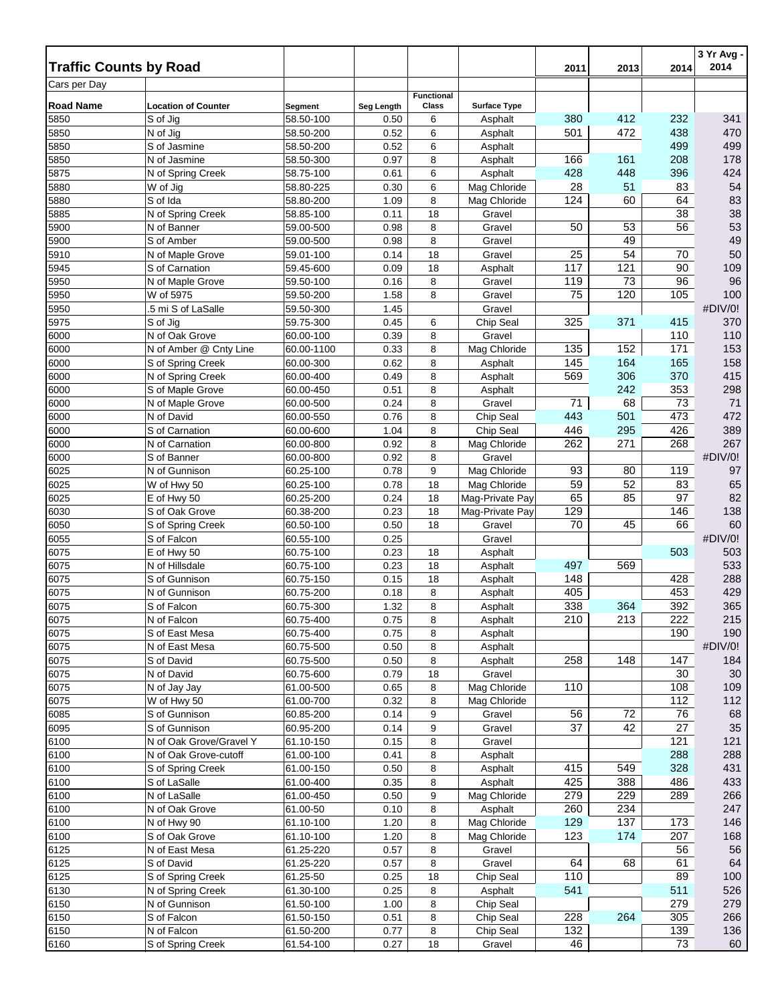|                                               |                                    |                        |              |                   |                        |            |            |            | 3 Yr Avg -<br>2014 |
|-----------------------------------------------|------------------------------------|------------------------|--------------|-------------------|------------------------|------------|------------|------------|--------------------|
| <b>Traffic Counts by Road</b><br>Cars per Day |                                    |                        |              |                   |                        | 2011       | 2013       | 2014       |                    |
|                                               |                                    |                        |              | <b>Functional</b> |                        |            |            |            |                    |
| <b>Road Name</b>                              | <b>Location of Counter</b>         | Segment                | Seg Length   | Class             | <b>Surface Type</b>    | 380        |            |            |                    |
| 5850<br>5850                                  | S of Jig<br>N of Jig               | 58.50-100<br>58.50-200 | 0.50<br>0.52 | 6<br>6            | Asphalt<br>Asphalt     | 501        | 412<br>472 | 232<br>438 | 341<br>470         |
| 5850                                          | S of Jasmine                       | 58.50-200              | 0.52         | 6                 | Asphalt                |            |            | 499        | 499                |
| 5850                                          | N of Jasmine                       | 58.50-300              | 0.97         | 8                 | Asphalt                | 166        | 161        | 208        | 178                |
| 5875                                          | N of Spring Creek                  | 58.75-100              | 0.61         | 6                 | Asphalt                | 428        | 448        | 396        | 424                |
| 5880                                          | W of Jig                           | 58.80-225              | 0.30         | 6                 | Mag Chloride           | 28         | 51         | 83         | 54                 |
| 5880                                          | S of Ida                           | 58.80-200              | 1.09         | 8                 | Mag Chloride           | 124        | 60         | 64         | 83                 |
| 5885                                          | N of Spring Creek                  | 58.85-100              | 0.11         | 18                | Gravel                 |            |            | 38         | 38                 |
| 5900                                          | N of Banner                        | 59.00-500              | 0.98         | 8                 | Gravel                 | 50         | 53         | 56         | 53                 |
| 5900                                          | S of Amber                         | 59.00-500              | 0.98         | 8                 | Gravel                 |            | 49         |            | 49                 |
| 5910<br>5945                                  | N of Maple Grove<br>S of Carnation | 59.01-100<br>59.45-600 | 0.14<br>0.09 | 18<br>18          | Gravel                 | 25<br>117  | 54<br>121  | 70<br>90   | 50<br>109          |
| 5950                                          | N of Maple Grove                   | 59.50-100              | 0.16         | 8                 | Asphalt<br>Gravel      | 119        | 73         | 96         | 96                 |
| 5950                                          | W of 5975                          | 59.50-200              | 1.58         | 8                 | Gravel                 | 75         | 120        | 105        | 100                |
| 5950                                          | 5 mi S of LaSalle                  | 59.50-300              | 1.45         |                   | Gravel                 |            |            |            | #DIV/0!            |
| 5975                                          | S of Jig                           | 59.75-300              | 0.45         | 6                 | Chip Seal              | 325        | 371        | 415        | 370                |
| 6000                                          | N of Oak Grove                     | 60.00-100              | 0.39         | 8                 | Gravel                 |            |            | 110        | 110                |
| 6000                                          | N of Amber @ Cnty Line             | 60.00-1100             | 0.33         | 8                 | Mag Chloride           | 135        | 152        | 171        | 153                |
| 6000                                          | S of Spring Creek                  | 60.00-300              | 0.62         | 8                 | Asphalt                | 145        | 164        | 165        | 158                |
| 6000                                          | N of Spring Creek                  | 60.00-400              | 0.49         | 8                 | Asphalt                | 569        | 306        | 370        | 415                |
| 6000                                          | S of Maple Grove                   | 60.00-450              | 0.51         | 8                 | Asphalt                |            | 242        | 353        | 298                |
| 6000                                          | N of Maple Grove                   | 60.00-500              | 0.24         | 8                 | Gravel                 | 71         | 68         | 73         | 71                 |
| 6000                                          | N of David                         | 60.00-550              | 0.76         | 8                 | Chip Seal              | 443        | 501        | 473        | 472                |
| 6000                                          | S of Carnation                     | 60.00-600              | 1.04<br>0.92 | 8                 | Chip Seal              | 446<br>262 | 295<br>271 | 426<br>268 | 389<br>267         |
| 6000<br>6000                                  | N of Carnation<br>S of Banner      | 60.00-800<br>60.00-800 | 0.92         | 8<br>8            | Mag Chloride<br>Gravel |            |            |            | #DIV/0!            |
| 6025                                          | N of Gunnison                      | 60.25-100              | 0.78         | 9                 | Mag Chloride           | 93         | 80         | 119        | 97                 |
| 6025                                          | W of Hwy 50                        | 60.25-100              | 0.78         | 18                | Mag Chloride           | 59         | 52         | 83         | 65                 |
| 6025                                          | E of Hwy 50                        | 60.25-200              | 0.24         | 18                | Mag-Private Pay        | 65         | 85         | 97         | 82                 |
| 6030                                          | S of Oak Grove                     | 60.38-200              | 0.23         | 18                | Mag-Private Pay        | 129        |            | 146        | 138                |
| 6050                                          | S of Spring Creek                  | 60.50-100              | 0.50         | 18                | Gravel                 | 70         | 45         | 66         | 60                 |
| 6055                                          | S of Falcon                        | 60.55-100              | 0.25         |                   | Gravel                 |            |            |            | #DIV/0!            |
| 6075                                          | E of Hwy 50                        | 60.75-100              | 0.23         | 18                | Asphalt                |            |            | 503        | 503                |
| 6075                                          | N of Hillsdale                     | 60.75-100              | 0.23         | 18                | Asphalt                | 497        | 569        |            | 533                |
| 6075                                          | S of Gunnison                      | 60.75-150              | 0.15         | 18                | Asphalt                | 148        |            | 428        | 288                |
| 6075                                          | N of Gunnison                      | 60.75-200              | 0.18         | 8<br>8            | Asphalt                | 405<br>338 | 364        | 453<br>392 | 429<br>365         |
| 6075<br>6075                                  | S of Falcon<br>N of Falcon         | 60.75-300<br>60.75-400 | 1.32<br>0.75 | 8                 | Asphalt<br>Asphalt     | 210        | 213        | 222        | 215                |
| 6075                                          | S of East Mesa                     | 60.75-400              | 0.75         | 8                 | Asphalt                |            |            | 190        | 190                |
| 6075                                          | N of East Mesa                     | 60.75-500              | 0.50         | 8                 | Asphalt                |            |            |            | #DIV/0!            |
| 6075                                          | S of David                         | 60.75-500              | 0.50         | 8                 | Asphalt                | 258        | 148        | 147        | 184                |
| 6075                                          | N of David                         | 60.75-600              | 0.79         | 18                | Gravel                 |            |            | 30         | 30 <sup>°</sup>    |
| 6075                                          | N of Jay Jay                       | 61.00-500              | 0.65         | 8                 | Mag Chloride           | 110        |            | 108        | 109                |
| 6075                                          | W of Hwy 50                        | 61.00-700              | 0.32         | 8                 | Mag Chloride           |            |            | 112        | 112                |
| 6085                                          | S of Gunnison                      | 60.85-200              | 0.14         | 9                 | Gravel                 | 56         | 72         | 76         | 68                 |
| 6095                                          | S of Gunnison                      | 60.95-200              | 0.14         | 9                 | Gravel                 | 37         | 42         | 27         | 35                 |
| 6100                                          | N of Oak Grove/Gravel Y            | 61.10-150              | 0.15         | 8                 | Gravel                 |            |            | 121        | 121                |
| 6100<br>6100                                  | N of Oak Grove-cutoff              | 61.00-100              | 0.41<br>0.50 | 8<br>8            | Asphalt<br>Asphalt     | 415        | 549        | 288<br>328 | 288<br>431         |
| 6100                                          | S of Spring Creek<br>S of LaSalle  | 61.00-150<br>61.00-400 | 0.35         | 8                 | Asphalt                | 425        | 388        | 486        | 433                |
| 6100                                          | N of LaSalle                       | 61.00-450              | 0.50         | 9                 | Mag Chloride           | 279        | 229        | 289        | 266                |
| 6100                                          | N of Oak Grove                     | 61.00-50               | 0.10         | 8                 | Asphalt                | 260        | 234        |            | 247                |
| 6100                                          | N of Hwy 90                        | 61.10-100              | 1.20         | 8                 | Mag Chloride           | 129        | 137        | 173        | 146                |
| 6100                                          | S of Oak Grove                     | 61.10-100              | 1.20         | 8                 | Mag Chloride           | 123        | 174        | 207        | 168                |
| 6125                                          | N of East Mesa                     | 61.25-220              | 0.57         | 8                 | Gravel                 |            |            | 56         | 56                 |
| 6125                                          | S of David                         | 61.25-220              | 0.57         | 8                 | Gravel                 | 64         | 68         | 61         | 64                 |
| 6125                                          | S of Spring Creek                  | 61.25-50               | 0.25         | 18                | Chip Seal              | 110        |            | 89         | 100                |
| 6130                                          | N of Spring Creek                  | 61.30-100              | 0.25         | 8                 | Asphalt                | 541        |            | 511        | 526                |
| 6150                                          | N of Gunnison                      | 61.50-100              | 1.00         | 8                 | Chip Seal              |            |            | 279        | 279                |
| 6150                                          | S of Falcon                        | 61.50-150              | 0.51         | 8                 | Chip Seal              | 228        | 264        | 305        | 266                |
| 6150                                          | N of Falcon                        | 61.50-200              | 0.77         | 8                 | Chip Seal              | 132        |            | 139        | 136                |
| 6160                                          | S of Spring Creek                  | 61.54-100              | 0.27         | 18                | Gravel                 | 46         |            | 73         | 60                 |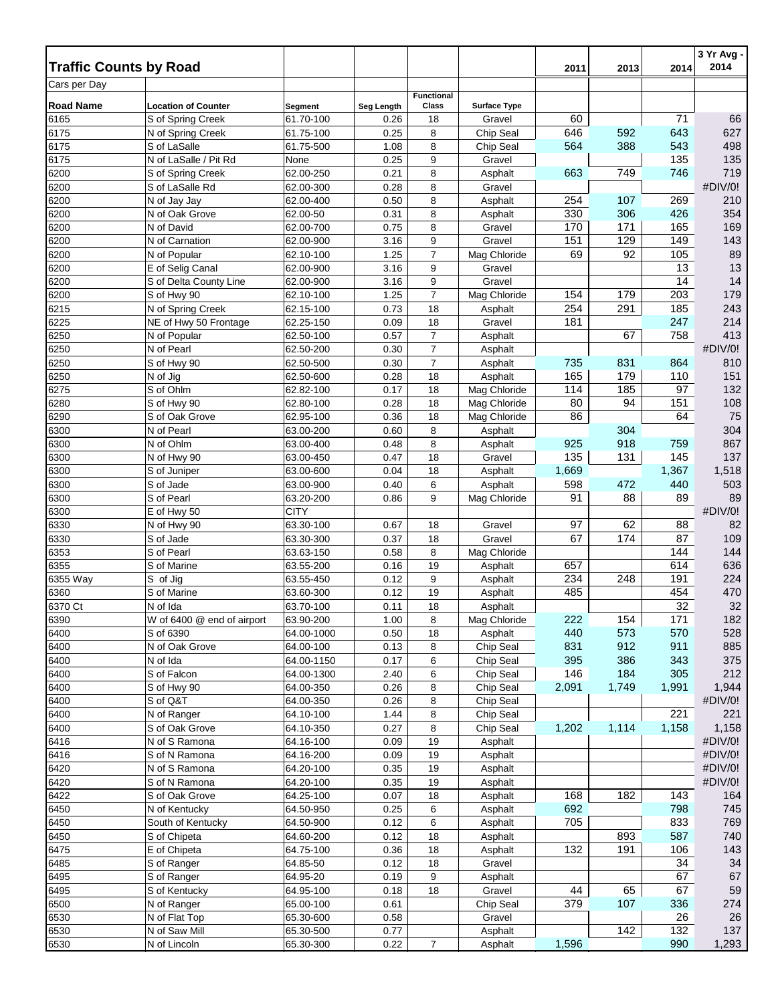| <b>Traffic Counts by Road</b><br>2014<br>2011<br>2013<br>Cars per Day<br><b>Functional</b><br><b>Road Name</b><br><b>Location of Counter</b><br>Class<br>Segment<br>Seg Length<br><b>Surface Type</b><br>60<br>71<br>6165<br>S of Spring Creek<br>61.70-100<br>0.26<br>18<br>Gravel<br>646<br>592<br>6175<br>61.75-100<br>0.25<br>8<br>Chip Seal<br>643<br>N of Spring Creek<br>388<br>543<br>8<br>564<br>6175<br>S of LaSalle<br>1.08<br>Chip Seal<br>61.75-500<br>9<br>135<br>6175<br>N of LaSalle / Pit Rd<br>0.25<br>Gravel<br>None<br>8<br>749<br>746<br>6200<br>62.00-250<br>0.21<br>663<br>S of Spring Creek<br>Asphalt<br>6200<br>62.00-300<br>0.28<br>8<br>Gravel<br>S of LaSalle Rd<br>6200<br>0.50<br>8<br>254<br>107<br>269<br>N of Jay Jay<br>62.00-400<br>Asphalt<br>8<br>330<br>306<br>426<br>6200<br>0.31<br>N of Oak Grove<br>62.00-50<br>Asphalt<br>171<br>6200<br>62.00-700<br>0.75<br>8<br>170<br>165<br>N of David<br>Gravel<br>151<br>129<br>149<br>6200<br>62.00-900<br>3.16<br>9<br>Gravel<br>N of Carnation<br>6200<br>$\overline{7}$<br>Mag Chloride<br>69<br>92<br>105<br>N of Popular<br>62.10-100<br>1.25<br>9<br>13<br>6200<br>E of Selig Canal<br>62.00-900<br>3.16<br>Gravel<br>9<br>14<br>6200<br>3.16<br>Gravel<br>S of Delta County Line<br>62.00-900<br>$\overline{7}$<br>154<br>179<br>203<br>1.25<br>Mag Chloride<br>6200<br>S of Hwy 90<br>62.10-100<br>254<br>291<br>185<br>6215<br>62.15-100<br>0.73<br>18<br>N of Spring Creek<br>Asphalt<br>6225<br>62.25-150<br>18<br>181<br>247<br>NE of Hwy 50 Frontage<br>0.09<br>Gravel<br>$\overline{7}$<br>758<br>6250<br>0.57<br>67<br>62.50-100<br>Asphalt<br>N of Popular<br>$\overline{7}$<br>6250<br>62.50-200<br>0.30<br>N of Pearl<br>Asphalt<br>$\overline{7}$<br>735<br>831<br>864<br>6250<br>0.30<br>S of Hwy 90<br>62.50-500<br>Asphalt<br>6250<br>18<br>Asphalt<br>165<br>179<br>N of Jig<br>62.50-600<br>0.28<br>110<br>114<br>185<br>6275<br>S of Ohlm<br>0.17<br>18<br>Mag Chloride<br>97<br>62.82-100<br>80<br>94<br>151<br>6280<br>0.28<br>18<br>Mag Chloride<br>S of Hwy 90<br>62.80-100<br>18<br>6290<br>62.95-100<br>0.36<br>Mag Chloride<br>86<br>64<br>S of Oak Grove<br>304<br>6300<br>N of Pearl<br>63.00-200<br>0.60<br>8<br>Asphalt<br>6300<br>925<br>918<br>N of Ohlm<br>63.00-400<br>0.48<br>8<br>759<br>Asphalt<br>135<br>131<br>145<br>0.47<br>18<br>Gravel<br>6300<br>63.00-450<br>N of Hwy 90<br>1,669<br>6300<br>0.04<br>18<br>1,367<br>S of Juniper<br>63.00-600<br>Asphalt<br>6<br>598<br>440<br>0.40<br>472<br>6300<br>S of Jade<br>63.00-900<br>Asphalt<br>91<br>6300<br>63.20-200<br>9<br>Mag Chloride<br>88<br>S of Pearl<br>0.86<br>89<br><b>CITY</b><br>6300<br>E of Hwy 50<br>97<br>62<br>63.30-100<br>88<br>6330<br>N of Hwy 90<br>0.67<br>18<br>Gravel<br>67<br>6330<br>S of Jade<br>63.30-300<br>0.37<br>18<br>Gravel<br>174<br>87<br>6353<br>S of Pearl<br>63.63-150<br>0.58<br>8<br>Mag Chloride<br>144<br>6355<br>63.55-200<br>0.16<br>19<br>657<br>614<br>S of Marine<br>Asphalt |          |          |           |      |   |         |     |     |     | 2014       |
|---------------------------------------------------------------------------------------------------------------------------------------------------------------------------------------------------------------------------------------------------------------------------------------------------------------------------------------------------------------------------------------------------------------------------------------------------------------------------------------------------------------------------------------------------------------------------------------------------------------------------------------------------------------------------------------------------------------------------------------------------------------------------------------------------------------------------------------------------------------------------------------------------------------------------------------------------------------------------------------------------------------------------------------------------------------------------------------------------------------------------------------------------------------------------------------------------------------------------------------------------------------------------------------------------------------------------------------------------------------------------------------------------------------------------------------------------------------------------------------------------------------------------------------------------------------------------------------------------------------------------------------------------------------------------------------------------------------------------------------------------------------------------------------------------------------------------------------------------------------------------------------------------------------------------------------------------------------------------------------------------------------------------------------------------------------------------------------------------------------------------------------------------------------------------------------------------------------------------------------------------------------------------------------------------------------------------------------------------------------------------------------------------------------------------------------------------------------------------------------------------------------------------------------------------------------------------------------------------------------------------------------------------------------------------------------------------------------------------------------------------------------------------------------------------------------------------------------------------------------------------------------------------------------------------------------------------------------------------------------------------------------------|----------|----------|-----------|------|---|---------|-----|-----|-----|------------|
|                                                                                                                                                                                                                                                                                                                                                                                                                                                                                                                                                                                                                                                                                                                                                                                                                                                                                                                                                                                                                                                                                                                                                                                                                                                                                                                                                                                                                                                                                                                                                                                                                                                                                                                                                                                                                                                                                                                                                                                                                                                                                                                                                                                                                                                                                                                                                                                                                                                                                                                                                                                                                                                                                                                                                                                                                                                                                                                                                                                                                     |          |          |           |      |   |         |     |     |     |            |
|                                                                                                                                                                                                                                                                                                                                                                                                                                                                                                                                                                                                                                                                                                                                                                                                                                                                                                                                                                                                                                                                                                                                                                                                                                                                                                                                                                                                                                                                                                                                                                                                                                                                                                                                                                                                                                                                                                                                                                                                                                                                                                                                                                                                                                                                                                                                                                                                                                                                                                                                                                                                                                                                                                                                                                                                                                                                                                                                                                                                                     |          |          |           |      |   |         |     |     |     |            |
|                                                                                                                                                                                                                                                                                                                                                                                                                                                                                                                                                                                                                                                                                                                                                                                                                                                                                                                                                                                                                                                                                                                                                                                                                                                                                                                                                                                                                                                                                                                                                                                                                                                                                                                                                                                                                                                                                                                                                                                                                                                                                                                                                                                                                                                                                                                                                                                                                                                                                                                                                                                                                                                                                                                                                                                                                                                                                                                                                                                                                     |          |          |           |      |   |         |     |     |     |            |
|                                                                                                                                                                                                                                                                                                                                                                                                                                                                                                                                                                                                                                                                                                                                                                                                                                                                                                                                                                                                                                                                                                                                                                                                                                                                                                                                                                                                                                                                                                                                                                                                                                                                                                                                                                                                                                                                                                                                                                                                                                                                                                                                                                                                                                                                                                                                                                                                                                                                                                                                                                                                                                                                                                                                                                                                                                                                                                                                                                                                                     |          |          |           |      |   |         |     |     |     | 66         |
|                                                                                                                                                                                                                                                                                                                                                                                                                                                                                                                                                                                                                                                                                                                                                                                                                                                                                                                                                                                                                                                                                                                                                                                                                                                                                                                                                                                                                                                                                                                                                                                                                                                                                                                                                                                                                                                                                                                                                                                                                                                                                                                                                                                                                                                                                                                                                                                                                                                                                                                                                                                                                                                                                                                                                                                                                                                                                                                                                                                                                     |          |          |           |      |   |         |     |     |     | 627        |
|                                                                                                                                                                                                                                                                                                                                                                                                                                                                                                                                                                                                                                                                                                                                                                                                                                                                                                                                                                                                                                                                                                                                                                                                                                                                                                                                                                                                                                                                                                                                                                                                                                                                                                                                                                                                                                                                                                                                                                                                                                                                                                                                                                                                                                                                                                                                                                                                                                                                                                                                                                                                                                                                                                                                                                                                                                                                                                                                                                                                                     |          |          |           |      |   |         |     |     |     | 498        |
|                                                                                                                                                                                                                                                                                                                                                                                                                                                                                                                                                                                                                                                                                                                                                                                                                                                                                                                                                                                                                                                                                                                                                                                                                                                                                                                                                                                                                                                                                                                                                                                                                                                                                                                                                                                                                                                                                                                                                                                                                                                                                                                                                                                                                                                                                                                                                                                                                                                                                                                                                                                                                                                                                                                                                                                                                                                                                                                                                                                                                     |          |          |           |      |   |         |     |     |     | 135<br>719 |
|                                                                                                                                                                                                                                                                                                                                                                                                                                                                                                                                                                                                                                                                                                                                                                                                                                                                                                                                                                                                                                                                                                                                                                                                                                                                                                                                                                                                                                                                                                                                                                                                                                                                                                                                                                                                                                                                                                                                                                                                                                                                                                                                                                                                                                                                                                                                                                                                                                                                                                                                                                                                                                                                                                                                                                                                                                                                                                                                                                                                                     |          |          |           |      |   |         |     |     |     | #DIV/0!    |
|                                                                                                                                                                                                                                                                                                                                                                                                                                                                                                                                                                                                                                                                                                                                                                                                                                                                                                                                                                                                                                                                                                                                                                                                                                                                                                                                                                                                                                                                                                                                                                                                                                                                                                                                                                                                                                                                                                                                                                                                                                                                                                                                                                                                                                                                                                                                                                                                                                                                                                                                                                                                                                                                                                                                                                                                                                                                                                                                                                                                                     |          |          |           |      |   |         |     |     |     | 210        |
|                                                                                                                                                                                                                                                                                                                                                                                                                                                                                                                                                                                                                                                                                                                                                                                                                                                                                                                                                                                                                                                                                                                                                                                                                                                                                                                                                                                                                                                                                                                                                                                                                                                                                                                                                                                                                                                                                                                                                                                                                                                                                                                                                                                                                                                                                                                                                                                                                                                                                                                                                                                                                                                                                                                                                                                                                                                                                                                                                                                                                     |          |          |           |      |   |         |     |     |     | 354        |
|                                                                                                                                                                                                                                                                                                                                                                                                                                                                                                                                                                                                                                                                                                                                                                                                                                                                                                                                                                                                                                                                                                                                                                                                                                                                                                                                                                                                                                                                                                                                                                                                                                                                                                                                                                                                                                                                                                                                                                                                                                                                                                                                                                                                                                                                                                                                                                                                                                                                                                                                                                                                                                                                                                                                                                                                                                                                                                                                                                                                                     |          |          |           |      |   |         |     |     |     | 169        |
|                                                                                                                                                                                                                                                                                                                                                                                                                                                                                                                                                                                                                                                                                                                                                                                                                                                                                                                                                                                                                                                                                                                                                                                                                                                                                                                                                                                                                                                                                                                                                                                                                                                                                                                                                                                                                                                                                                                                                                                                                                                                                                                                                                                                                                                                                                                                                                                                                                                                                                                                                                                                                                                                                                                                                                                                                                                                                                                                                                                                                     |          |          |           |      |   |         |     |     |     | 143        |
|                                                                                                                                                                                                                                                                                                                                                                                                                                                                                                                                                                                                                                                                                                                                                                                                                                                                                                                                                                                                                                                                                                                                                                                                                                                                                                                                                                                                                                                                                                                                                                                                                                                                                                                                                                                                                                                                                                                                                                                                                                                                                                                                                                                                                                                                                                                                                                                                                                                                                                                                                                                                                                                                                                                                                                                                                                                                                                                                                                                                                     |          |          |           |      |   |         |     |     |     | 89         |
|                                                                                                                                                                                                                                                                                                                                                                                                                                                                                                                                                                                                                                                                                                                                                                                                                                                                                                                                                                                                                                                                                                                                                                                                                                                                                                                                                                                                                                                                                                                                                                                                                                                                                                                                                                                                                                                                                                                                                                                                                                                                                                                                                                                                                                                                                                                                                                                                                                                                                                                                                                                                                                                                                                                                                                                                                                                                                                                                                                                                                     |          |          |           |      |   |         |     |     |     | 13         |
|                                                                                                                                                                                                                                                                                                                                                                                                                                                                                                                                                                                                                                                                                                                                                                                                                                                                                                                                                                                                                                                                                                                                                                                                                                                                                                                                                                                                                                                                                                                                                                                                                                                                                                                                                                                                                                                                                                                                                                                                                                                                                                                                                                                                                                                                                                                                                                                                                                                                                                                                                                                                                                                                                                                                                                                                                                                                                                                                                                                                                     |          |          |           |      |   |         |     |     |     | 14         |
|                                                                                                                                                                                                                                                                                                                                                                                                                                                                                                                                                                                                                                                                                                                                                                                                                                                                                                                                                                                                                                                                                                                                                                                                                                                                                                                                                                                                                                                                                                                                                                                                                                                                                                                                                                                                                                                                                                                                                                                                                                                                                                                                                                                                                                                                                                                                                                                                                                                                                                                                                                                                                                                                                                                                                                                                                                                                                                                                                                                                                     |          |          |           |      |   |         |     |     |     | 179        |
|                                                                                                                                                                                                                                                                                                                                                                                                                                                                                                                                                                                                                                                                                                                                                                                                                                                                                                                                                                                                                                                                                                                                                                                                                                                                                                                                                                                                                                                                                                                                                                                                                                                                                                                                                                                                                                                                                                                                                                                                                                                                                                                                                                                                                                                                                                                                                                                                                                                                                                                                                                                                                                                                                                                                                                                                                                                                                                                                                                                                                     |          |          |           |      |   |         |     |     |     | 243        |
|                                                                                                                                                                                                                                                                                                                                                                                                                                                                                                                                                                                                                                                                                                                                                                                                                                                                                                                                                                                                                                                                                                                                                                                                                                                                                                                                                                                                                                                                                                                                                                                                                                                                                                                                                                                                                                                                                                                                                                                                                                                                                                                                                                                                                                                                                                                                                                                                                                                                                                                                                                                                                                                                                                                                                                                                                                                                                                                                                                                                                     |          |          |           |      |   |         |     |     |     | 214        |
|                                                                                                                                                                                                                                                                                                                                                                                                                                                                                                                                                                                                                                                                                                                                                                                                                                                                                                                                                                                                                                                                                                                                                                                                                                                                                                                                                                                                                                                                                                                                                                                                                                                                                                                                                                                                                                                                                                                                                                                                                                                                                                                                                                                                                                                                                                                                                                                                                                                                                                                                                                                                                                                                                                                                                                                                                                                                                                                                                                                                                     |          |          |           |      |   |         |     |     |     | 413        |
|                                                                                                                                                                                                                                                                                                                                                                                                                                                                                                                                                                                                                                                                                                                                                                                                                                                                                                                                                                                                                                                                                                                                                                                                                                                                                                                                                                                                                                                                                                                                                                                                                                                                                                                                                                                                                                                                                                                                                                                                                                                                                                                                                                                                                                                                                                                                                                                                                                                                                                                                                                                                                                                                                                                                                                                                                                                                                                                                                                                                                     |          |          |           |      |   |         |     |     |     | #DIV/0!    |
|                                                                                                                                                                                                                                                                                                                                                                                                                                                                                                                                                                                                                                                                                                                                                                                                                                                                                                                                                                                                                                                                                                                                                                                                                                                                                                                                                                                                                                                                                                                                                                                                                                                                                                                                                                                                                                                                                                                                                                                                                                                                                                                                                                                                                                                                                                                                                                                                                                                                                                                                                                                                                                                                                                                                                                                                                                                                                                                                                                                                                     |          |          |           |      |   |         |     |     |     | 810        |
|                                                                                                                                                                                                                                                                                                                                                                                                                                                                                                                                                                                                                                                                                                                                                                                                                                                                                                                                                                                                                                                                                                                                                                                                                                                                                                                                                                                                                                                                                                                                                                                                                                                                                                                                                                                                                                                                                                                                                                                                                                                                                                                                                                                                                                                                                                                                                                                                                                                                                                                                                                                                                                                                                                                                                                                                                                                                                                                                                                                                                     |          |          |           |      |   |         |     |     |     | 151        |
|                                                                                                                                                                                                                                                                                                                                                                                                                                                                                                                                                                                                                                                                                                                                                                                                                                                                                                                                                                                                                                                                                                                                                                                                                                                                                                                                                                                                                                                                                                                                                                                                                                                                                                                                                                                                                                                                                                                                                                                                                                                                                                                                                                                                                                                                                                                                                                                                                                                                                                                                                                                                                                                                                                                                                                                                                                                                                                                                                                                                                     |          |          |           |      |   |         |     |     |     | 132        |
|                                                                                                                                                                                                                                                                                                                                                                                                                                                                                                                                                                                                                                                                                                                                                                                                                                                                                                                                                                                                                                                                                                                                                                                                                                                                                                                                                                                                                                                                                                                                                                                                                                                                                                                                                                                                                                                                                                                                                                                                                                                                                                                                                                                                                                                                                                                                                                                                                                                                                                                                                                                                                                                                                                                                                                                                                                                                                                                                                                                                                     |          |          |           |      |   |         |     |     |     | 108        |
|                                                                                                                                                                                                                                                                                                                                                                                                                                                                                                                                                                                                                                                                                                                                                                                                                                                                                                                                                                                                                                                                                                                                                                                                                                                                                                                                                                                                                                                                                                                                                                                                                                                                                                                                                                                                                                                                                                                                                                                                                                                                                                                                                                                                                                                                                                                                                                                                                                                                                                                                                                                                                                                                                                                                                                                                                                                                                                                                                                                                                     |          |          |           |      |   |         |     |     |     | 75         |
|                                                                                                                                                                                                                                                                                                                                                                                                                                                                                                                                                                                                                                                                                                                                                                                                                                                                                                                                                                                                                                                                                                                                                                                                                                                                                                                                                                                                                                                                                                                                                                                                                                                                                                                                                                                                                                                                                                                                                                                                                                                                                                                                                                                                                                                                                                                                                                                                                                                                                                                                                                                                                                                                                                                                                                                                                                                                                                                                                                                                                     |          |          |           |      |   |         |     |     |     | 304        |
|                                                                                                                                                                                                                                                                                                                                                                                                                                                                                                                                                                                                                                                                                                                                                                                                                                                                                                                                                                                                                                                                                                                                                                                                                                                                                                                                                                                                                                                                                                                                                                                                                                                                                                                                                                                                                                                                                                                                                                                                                                                                                                                                                                                                                                                                                                                                                                                                                                                                                                                                                                                                                                                                                                                                                                                                                                                                                                                                                                                                                     |          |          |           |      |   |         |     |     |     | 867        |
|                                                                                                                                                                                                                                                                                                                                                                                                                                                                                                                                                                                                                                                                                                                                                                                                                                                                                                                                                                                                                                                                                                                                                                                                                                                                                                                                                                                                                                                                                                                                                                                                                                                                                                                                                                                                                                                                                                                                                                                                                                                                                                                                                                                                                                                                                                                                                                                                                                                                                                                                                                                                                                                                                                                                                                                                                                                                                                                                                                                                                     |          |          |           |      |   |         |     |     |     | 137        |
|                                                                                                                                                                                                                                                                                                                                                                                                                                                                                                                                                                                                                                                                                                                                                                                                                                                                                                                                                                                                                                                                                                                                                                                                                                                                                                                                                                                                                                                                                                                                                                                                                                                                                                                                                                                                                                                                                                                                                                                                                                                                                                                                                                                                                                                                                                                                                                                                                                                                                                                                                                                                                                                                                                                                                                                                                                                                                                                                                                                                                     |          |          |           |      |   |         |     |     |     | 1,518      |
|                                                                                                                                                                                                                                                                                                                                                                                                                                                                                                                                                                                                                                                                                                                                                                                                                                                                                                                                                                                                                                                                                                                                                                                                                                                                                                                                                                                                                                                                                                                                                                                                                                                                                                                                                                                                                                                                                                                                                                                                                                                                                                                                                                                                                                                                                                                                                                                                                                                                                                                                                                                                                                                                                                                                                                                                                                                                                                                                                                                                                     |          |          |           |      |   |         |     |     |     | 503        |
|                                                                                                                                                                                                                                                                                                                                                                                                                                                                                                                                                                                                                                                                                                                                                                                                                                                                                                                                                                                                                                                                                                                                                                                                                                                                                                                                                                                                                                                                                                                                                                                                                                                                                                                                                                                                                                                                                                                                                                                                                                                                                                                                                                                                                                                                                                                                                                                                                                                                                                                                                                                                                                                                                                                                                                                                                                                                                                                                                                                                                     |          |          |           |      |   |         |     |     |     | 89         |
|                                                                                                                                                                                                                                                                                                                                                                                                                                                                                                                                                                                                                                                                                                                                                                                                                                                                                                                                                                                                                                                                                                                                                                                                                                                                                                                                                                                                                                                                                                                                                                                                                                                                                                                                                                                                                                                                                                                                                                                                                                                                                                                                                                                                                                                                                                                                                                                                                                                                                                                                                                                                                                                                                                                                                                                                                                                                                                                                                                                                                     |          |          |           |      |   |         |     |     |     | #DIV/0!    |
|                                                                                                                                                                                                                                                                                                                                                                                                                                                                                                                                                                                                                                                                                                                                                                                                                                                                                                                                                                                                                                                                                                                                                                                                                                                                                                                                                                                                                                                                                                                                                                                                                                                                                                                                                                                                                                                                                                                                                                                                                                                                                                                                                                                                                                                                                                                                                                                                                                                                                                                                                                                                                                                                                                                                                                                                                                                                                                                                                                                                                     |          |          |           |      |   |         |     |     |     | 82<br>109  |
|                                                                                                                                                                                                                                                                                                                                                                                                                                                                                                                                                                                                                                                                                                                                                                                                                                                                                                                                                                                                                                                                                                                                                                                                                                                                                                                                                                                                                                                                                                                                                                                                                                                                                                                                                                                                                                                                                                                                                                                                                                                                                                                                                                                                                                                                                                                                                                                                                                                                                                                                                                                                                                                                                                                                                                                                                                                                                                                                                                                                                     |          |          |           |      |   |         |     |     |     | 144        |
|                                                                                                                                                                                                                                                                                                                                                                                                                                                                                                                                                                                                                                                                                                                                                                                                                                                                                                                                                                                                                                                                                                                                                                                                                                                                                                                                                                                                                                                                                                                                                                                                                                                                                                                                                                                                                                                                                                                                                                                                                                                                                                                                                                                                                                                                                                                                                                                                                                                                                                                                                                                                                                                                                                                                                                                                                                                                                                                                                                                                                     |          |          |           |      |   |         |     |     |     | 636        |
|                                                                                                                                                                                                                                                                                                                                                                                                                                                                                                                                                                                                                                                                                                                                                                                                                                                                                                                                                                                                                                                                                                                                                                                                                                                                                                                                                                                                                                                                                                                                                                                                                                                                                                                                                                                                                                                                                                                                                                                                                                                                                                                                                                                                                                                                                                                                                                                                                                                                                                                                                                                                                                                                                                                                                                                                                                                                                                                                                                                                                     | 6355 Way | S of Jig | 63.55-450 | 0.12 | 9 | Asphalt | 234 | 248 | 191 | 224        |
| 485<br>S of Marine<br>19<br>454<br>6360<br>63.60-300<br>0.12<br>Asphalt                                                                                                                                                                                                                                                                                                                                                                                                                                                                                                                                                                                                                                                                                                                                                                                                                                                                                                                                                                                                                                                                                                                                                                                                                                                                                                                                                                                                                                                                                                                                                                                                                                                                                                                                                                                                                                                                                                                                                                                                                                                                                                                                                                                                                                                                                                                                                                                                                                                                                                                                                                                                                                                                                                                                                                                                                                                                                                                                             |          |          |           |      |   |         |     |     |     | 470        |
| 18<br>32<br>6370 Ct<br>0.11<br>N of Ida<br>63.70-100<br>Asphalt                                                                                                                                                                                                                                                                                                                                                                                                                                                                                                                                                                                                                                                                                                                                                                                                                                                                                                                                                                                                                                                                                                                                                                                                                                                                                                                                                                                                                                                                                                                                                                                                                                                                                                                                                                                                                                                                                                                                                                                                                                                                                                                                                                                                                                                                                                                                                                                                                                                                                                                                                                                                                                                                                                                                                                                                                                                                                                                                                     |          |          |           |      |   |         |     |     |     | 32         |
| 222<br>154<br>6390<br>63.90-200<br>1.00<br>Mag Chloride<br>171<br>W of 6400 @ end of airport<br>8                                                                                                                                                                                                                                                                                                                                                                                                                                                                                                                                                                                                                                                                                                                                                                                                                                                                                                                                                                                                                                                                                                                                                                                                                                                                                                                                                                                                                                                                                                                                                                                                                                                                                                                                                                                                                                                                                                                                                                                                                                                                                                                                                                                                                                                                                                                                                                                                                                                                                                                                                                                                                                                                                                                                                                                                                                                                                                                   |          |          |           |      |   |         |     |     |     | 182        |
| 440<br>573<br>570<br>6400<br>S of 6390<br>64.00-1000<br>0.50<br>18<br>Asphalt                                                                                                                                                                                                                                                                                                                                                                                                                                                                                                                                                                                                                                                                                                                                                                                                                                                                                                                                                                                                                                                                                                                                                                                                                                                                                                                                                                                                                                                                                                                                                                                                                                                                                                                                                                                                                                                                                                                                                                                                                                                                                                                                                                                                                                                                                                                                                                                                                                                                                                                                                                                                                                                                                                                                                                                                                                                                                                                                       |          |          |           |      |   |         |     |     |     | 528        |
| 831<br>912<br>911<br>6400<br>N of Oak Grove<br>64.00-100<br>0.13<br>8<br>Chip Seal                                                                                                                                                                                                                                                                                                                                                                                                                                                                                                                                                                                                                                                                                                                                                                                                                                                                                                                                                                                                                                                                                                                                                                                                                                                                                                                                                                                                                                                                                                                                                                                                                                                                                                                                                                                                                                                                                                                                                                                                                                                                                                                                                                                                                                                                                                                                                                                                                                                                                                                                                                                                                                                                                                                                                                                                                                                                                                                                  |          |          |           |      |   |         |     |     |     | 885        |
| 6400<br>64.00-1150<br>0.17<br>6<br>395<br>386<br>343<br>N of Ida<br>Chip Seal                                                                                                                                                                                                                                                                                                                                                                                                                                                                                                                                                                                                                                                                                                                                                                                                                                                                                                                                                                                                                                                                                                                                                                                                                                                                                                                                                                                                                                                                                                                                                                                                                                                                                                                                                                                                                                                                                                                                                                                                                                                                                                                                                                                                                                                                                                                                                                                                                                                                                                                                                                                                                                                                                                                                                                                                                                                                                                                                       |          |          |           |      |   |         |     |     |     | 375        |
| 146<br>184<br>305<br>6400<br>S of Falcon<br>64.00-1300<br>2.40<br>6<br>Chip Seal                                                                                                                                                                                                                                                                                                                                                                                                                                                                                                                                                                                                                                                                                                                                                                                                                                                                                                                                                                                                                                                                                                                                                                                                                                                                                                                                                                                                                                                                                                                                                                                                                                                                                                                                                                                                                                                                                                                                                                                                                                                                                                                                                                                                                                                                                                                                                                                                                                                                                                                                                                                                                                                                                                                                                                                                                                                                                                                                    |          |          |           |      |   |         |     |     |     | 212        |
| 1,991<br>6400<br>64.00-350<br>2,091<br>S of Hwy 90<br>0.26<br>8<br>Chip Seal<br>1,749                                                                                                                                                                                                                                                                                                                                                                                                                                                                                                                                                                                                                                                                                                                                                                                                                                                                                                                                                                                                                                                                                                                                                                                                                                                                                                                                                                                                                                                                                                                                                                                                                                                                                                                                                                                                                                                                                                                                                                                                                                                                                                                                                                                                                                                                                                                                                                                                                                                                                                                                                                                                                                                                                                                                                                                                                                                                                                                               |          |          |           |      |   |         |     |     |     | 1,944      |
| S of Q&T<br>64.00-350<br>0.26<br>8<br>Chip Seal<br>6400                                                                                                                                                                                                                                                                                                                                                                                                                                                                                                                                                                                                                                                                                                                                                                                                                                                                                                                                                                                                                                                                                                                                                                                                                                                                                                                                                                                                                                                                                                                                                                                                                                                                                                                                                                                                                                                                                                                                                                                                                                                                                                                                                                                                                                                                                                                                                                                                                                                                                                                                                                                                                                                                                                                                                                                                                                                                                                                                                             |          |          |           |      |   |         |     |     |     | #DIV/0!    |
| 221<br>1.44<br>8<br>Chip Seal<br>6400<br>N of Ranger<br>64.10-100                                                                                                                                                                                                                                                                                                                                                                                                                                                                                                                                                                                                                                                                                                                                                                                                                                                                                                                                                                                                                                                                                                                                                                                                                                                                                                                                                                                                                                                                                                                                                                                                                                                                                                                                                                                                                                                                                                                                                                                                                                                                                                                                                                                                                                                                                                                                                                                                                                                                                                                                                                                                                                                                                                                                                                                                                                                                                                                                                   |          |          |           |      |   |         |     |     |     | 221        |
| 0.27<br>8<br>1,202<br>1,114<br>1,158<br>6400<br>S of Oak Grove<br>64.10-350<br>Chip Seal                                                                                                                                                                                                                                                                                                                                                                                                                                                                                                                                                                                                                                                                                                                                                                                                                                                                                                                                                                                                                                                                                                                                                                                                                                                                                                                                                                                                                                                                                                                                                                                                                                                                                                                                                                                                                                                                                                                                                                                                                                                                                                                                                                                                                                                                                                                                                                                                                                                                                                                                                                                                                                                                                                                                                                                                                                                                                                                            |          |          |           |      |   |         |     |     |     | 1,158      |
| 6416<br>64.16-100<br>N of S Ramona<br>0.09<br>19<br>Asphalt                                                                                                                                                                                                                                                                                                                                                                                                                                                                                                                                                                                                                                                                                                                                                                                                                                                                                                                                                                                                                                                                                                                                                                                                                                                                                                                                                                                                                                                                                                                                                                                                                                                                                                                                                                                                                                                                                                                                                                                                                                                                                                                                                                                                                                                                                                                                                                                                                                                                                                                                                                                                                                                                                                                                                                                                                                                                                                                                                         |          |          |           |      |   |         |     |     |     | #DIV/0!    |
| 64.16-200<br>6416<br>S of N Ramona<br>0.09<br>19<br>Asphalt                                                                                                                                                                                                                                                                                                                                                                                                                                                                                                                                                                                                                                                                                                                                                                                                                                                                                                                                                                                                                                                                                                                                                                                                                                                                                                                                                                                                                                                                                                                                                                                                                                                                                                                                                                                                                                                                                                                                                                                                                                                                                                                                                                                                                                                                                                                                                                                                                                                                                                                                                                                                                                                                                                                                                                                                                                                                                                                                                         |          |          |           |      |   |         |     |     |     | #DIV/0!    |
| 6420<br>N of S Ramona<br>64.20-100<br>0.35<br>19<br>Asphalt                                                                                                                                                                                                                                                                                                                                                                                                                                                                                                                                                                                                                                                                                                                                                                                                                                                                                                                                                                                                                                                                                                                                                                                                                                                                                                                                                                                                                                                                                                                                                                                                                                                                                                                                                                                                                                                                                                                                                                                                                                                                                                                                                                                                                                                                                                                                                                                                                                                                                                                                                                                                                                                                                                                                                                                                                                                                                                                                                         |          |          |           |      |   |         |     |     |     | #DIV/0!    |
| 6420<br>64.20-100<br>0.35<br>19<br>S of N Ramona<br>Asphalt                                                                                                                                                                                                                                                                                                                                                                                                                                                                                                                                                                                                                                                                                                                                                                                                                                                                                                                                                                                                                                                                                                                                                                                                                                                                                                                                                                                                                                                                                                                                                                                                                                                                                                                                                                                                                                                                                                                                                                                                                                                                                                                                                                                                                                                                                                                                                                                                                                                                                                                                                                                                                                                                                                                                                                                                                                                                                                                                                         |          |          |           |      |   |         |     |     |     | #DIV/0!    |
| 168<br>0.07<br>182<br>143<br>6422<br>S of Oak Grove<br>64.25-100<br>18<br>Asphalt                                                                                                                                                                                                                                                                                                                                                                                                                                                                                                                                                                                                                                                                                                                                                                                                                                                                                                                                                                                                                                                                                                                                                                                                                                                                                                                                                                                                                                                                                                                                                                                                                                                                                                                                                                                                                                                                                                                                                                                                                                                                                                                                                                                                                                                                                                                                                                                                                                                                                                                                                                                                                                                                                                                                                                                                                                                                                                                                   |          |          |           |      |   |         |     |     |     | 164        |
| 692<br>798<br>6450<br>N of Kentucky<br>64.50-950<br>0.25<br>6<br>Asphalt                                                                                                                                                                                                                                                                                                                                                                                                                                                                                                                                                                                                                                                                                                                                                                                                                                                                                                                                                                                                                                                                                                                                                                                                                                                                                                                                                                                                                                                                                                                                                                                                                                                                                                                                                                                                                                                                                                                                                                                                                                                                                                                                                                                                                                                                                                                                                                                                                                                                                                                                                                                                                                                                                                                                                                                                                                                                                                                                            |          |          |           |      |   |         |     |     |     | 745        |
| 6<br>705<br>833<br>South of Kentucky<br>64.50-900<br>0.12<br>Asphalt<br>6450                                                                                                                                                                                                                                                                                                                                                                                                                                                                                                                                                                                                                                                                                                                                                                                                                                                                                                                                                                                                                                                                                                                                                                                                                                                                                                                                                                                                                                                                                                                                                                                                                                                                                                                                                                                                                                                                                                                                                                                                                                                                                                                                                                                                                                                                                                                                                                                                                                                                                                                                                                                                                                                                                                                                                                                                                                                                                                                                        |          |          |           |      |   |         |     |     |     | 769        |
| 587<br>0.12<br>18<br>893<br>6450<br>S of Chipeta<br>64.60-200<br>Asphalt                                                                                                                                                                                                                                                                                                                                                                                                                                                                                                                                                                                                                                                                                                                                                                                                                                                                                                                                                                                                                                                                                                                                                                                                                                                                                                                                                                                                                                                                                                                                                                                                                                                                                                                                                                                                                                                                                                                                                                                                                                                                                                                                                                                                                                                                                                                                                                                                                                                                                                                                                                                                                                                                                                                                                                                                                                                                                                                                            |          |          |           |      |   |         |     |     |     | 740        |
| 6475<br>64.75-100<br>0.36<br>18<br>132<br>191<br>106<br>E of Chipeta<br>Asphalt                                                                                                                                                                                                                                                                                                                                                                                                                                                                                                                                                                                                                                                                                                                                                                                                                                                                                                                                                                                                                                                                                                                                                                                                                                                                                                                                                                                                                                                                                                                                                                                                                                                                                                                                                                                                                                                                                                                                                                                                                                                                                                                                                                                                                                                                                                                                                                                                                                                                                                                                                                                                                                                                                                                                                                                                                                                                                                                                     |          |          |           |      |   |         |     |     |     | 143        |
| 6485<br>64.85-50<br>Gravel<br>34<br>S of Ranger<br>0.12<br>18                                                                                                                                                                                                                                                                                                                                                                                                                                                                                                                                                                                                                                                                                                                                                                                                                                                                                                                                                                                                                                                                                                                                                                                                                                                                                                                                                                                                                                                                                                                                                                                                                                                                                                                                                                                                                                                                                                                                                                                                                                                                                                                                                                                                                                                                                                                                                                                                                                                                                                                                                                                                                                                                                                                                                                                                                                                                                                                                                       |          |          |           |      |   |         |     |     |     | 34         |
| 64.95-20<br>6495<br>S of Ranger<br>0.19<br>9<br>Asphalt<br>67<br>67<br>64.95-100<br>65<br>18<br>44                                                                                                                                                                                                                                                                                                                                                                                                                                                                                                                                                                                                                                                                                                                                                                                                                                                                                                                                                                                                                                                                                                                                                                                                                                                                                                                                                                                                                                                                                                                                                                                                                                                                                                                                                                                                                                                                                                                                                                                                                                                                                                                                                                                                                                                                                                                                                                                                                                                                                                                                                                                                                                                                                                                                                                                                                                                                                                                  |          |          |           |      |   |         |     |     |     | 67<br>59   |
| 6495<br>S of Kentucky<br>0.18<br>Gravel<br>Chip Seal<br>379<br>107<br>336<br>6500<br>N of Ranger<br>65.00-100<br>0.61                                                                                                                                                                                                                                                                                                                                                                                                                                                                                                                                                                                                                                                                                                                                                                                                                                                                                                                                                                                                                                                                                                                                                                                                                                                                                                                                                                                                                                                                                                                                                                                                                                                                                                                                                                                                                                                                                                                                                                                                                                                                                                                                                                                                                                                                                                                                                                                                                                                                                                                                                                                                                                                                                                                                                                                                                                                                                               |          |          |           |      |   |         |     |     |     | 274        |
| 6530<br>N of Flat Top<br>65.30-600<br>0.58<br>Gravel<br>26                                                                                                                                                                                                                                                                                                                                                                                                                                                                                                                                                                                                                                                                                                                                                                                                                                                                                                                                                                                                                                                                                                                                                                                                                                                                                                                                                                                                                                                                                                                                                                                                                                                                                                                                                                                                                                                                                                                                                                                                                                                                                                                                                                                                                                                                                                                                                                                                                                                                                                                                                                                                                                                                                                                                                                                                                                                                                                                                                          |          |          |           |      |   |         |     |     |     | 26         |
| 132<br>6530<br>N of Saw Mill<br>142<br>65.30-500<br>0.77<br>Asphalt                                                                                                                                                                                                                                                                                                                                                                                                                                                                                                                                                                                                                                                                                                                                                                                                                                                                                                                                                                                                                                                                                                                                                                                                                                                                                                                                                                                                                                                                                                                                                                                                                                                                                                                                                                                                                                                                                                                                                                                                                                                                                                                                                                                                                                                                                                                                                                                                                                                                                                                                                                                                                                                                                                                                                                                                                                                                                                                                                 |          |          |           |      |   |         |     |     |     | 137        |
| $\overline{7}$<br>1,596<br>6530<br>N of Lincoln<br>0.22<br>990<br>65.30-300<br>Asphalt                                                                                                                                                                                                                                                                                                                                                                                                                                                                                                                                                                                                                                                                                                                                                                                                                                                                                                                                                                                                                                                                                                                                                                                                                                                                                                                                                                                                                                                                                                                                                                                                                                                                                                                                                                                                                                                                                                                                                                                                                                                                                                                                                                                                                                                                                                                                                                                                                                                                                                                                                                                                                                                                                                                                                                                                                                                                                                                              |          |          |           |      |   |         |     |     |     | 1,293      |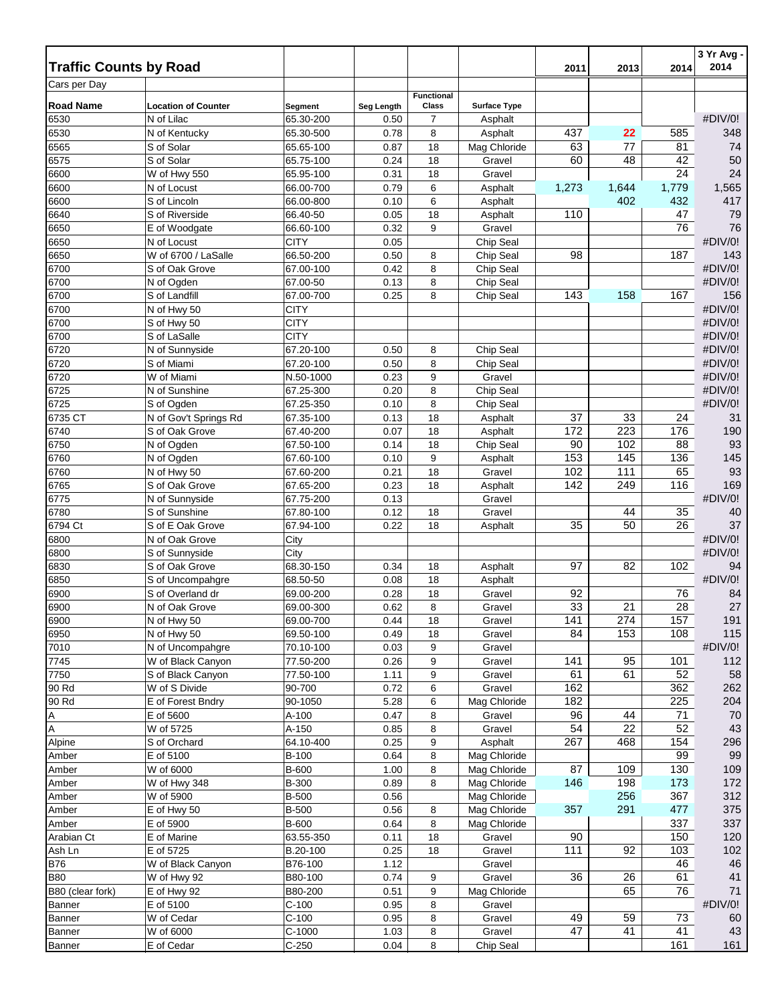| <b>Traffic Counts by Road</b> |                                      |                        |              |                   |                     |       |                  | 2014     | 3 Yr Avg -<br>2014 |
|-------------------------------|--------------------------------------|------------------------|--------------|-------------------|---------------------|-------|------------------|----------|--------------------|
| Cars per Day                  |                                      |                        |              |                   |                     | 2011  | 2013             |          |                    |
|                               |                                      |                        |              | <b>Functional</b> |                     |       |                  |          |                    |
| <b>Road Name</b>              | <b>Location of Counter</b>           | Segment                | Seg Length   | Class             | <b>Surface Type</b> |       |                  |          |                    |
| 6530                          | $\overline{N}$ of Lilac              | 65.30-200              | 0.50         | 7                 | Asphalt             |       |                  |          | #DIV/0!            |
| 6530                          | N of Kentucky                        | 65.30-500              | 0.78         | 8                 | Asphalt             | 437   | 22               | 585      | 348                |
| 6565                          | S of Solar                           | 65.65-100              | 0.87         | 18                | Mag Chloride        | 63    | 77               | 81       | 74                 |
| 6575                          | S of Solar                           | 65.75-100              | 0.24         | 18                | Gravel              | 60    | 48               | 42<br>24 | 50<br>24           |
| 6600                          | W of Hwy 550                         | 65.95-100<br>66.00-700 | 0.31<br>0.79 | 18                | Gravel              |       |                  | 1,779    | 1,565              |
| 6600<br>6600                  | N of Locust<br>S of Lincoln          | 66.00-800              | 0.10         | 6<br>6            | Asphalt<br>Asphalt  | 1,273 | 1,644<br>402     | 432      | 417                |
| 6640                          | S of Riverside                       | 66.40-50               | 0.05         | 18                | Asphalt             | 110   |                  | 47       | 79                 |
| 6650                          | E of Woodgate                        | 66.60-100              | 0.32         | 9                 | Gravel              |       |                  | 76       | 76                 |
| 6650                          | N of Locust                          | <b>CITY</b>            | 0.05         |                   | Chip Seal           |       |                  |          | #DIV/0!            |
| 6650                          | W of 6700 / LaSalle                  | 66.50-200              | 0.50         | 8                 | Chip Seal           | 98    |                  | 187      | 143                |
| 6700                          | S of Oak Grove                       | 67.00-100              | 0.42         | 8                 | Chip Seal           |       |                  |          | #DIV/0!            |
| 6700                          | N of Ogden                           | 67.00-50               | 0.13         | 8                 | Chip Seal           |       |                  |          | #DIV/0!            |
| 6700                          | S of Landfill                        | 67.00-700              | 0.25         | 8                 | Chip Seal           | 143   | 158              | 167      | 156                |
| 6700                          | N of Hwy 50                          | <b>CITY</b>            |              |                   |                     |       |                  |          | #DIV/0!            |
| 6700                          | S of Hwy 50                          | <b>CITY</b>            |              |                   |                     |       |                  |          | #DIV/0!            |
| 6700                          | S of LaSalle                         | CITY                   |              |                   |                     |       |                  |          | #DIV/0!            |
| 6720                          | N of Sunnyside                       | 67.20-100              | 0.50         | 8                 | Chip Seal           |       |                  |          | #DIV/0!            |
| 6720                          | S of Miami                           | 67.20-100              | 0.50         | 8                 | Chip Seal           |       |                  |          | #DIV/0!            |
| 6720                          | W of Miami                           | N.50-1000              | 0.23         | 9                 | Gravel              |       |                  |          | #DIV/0!            |
| 6725                          | N of Sunshine                        | 67.25-300              | 0.20         | 8                 | Chip Seal           |       |                  |          | #DIV/0!            |
| 6725                          | S of Ogden                           | 67.25-350              | 0.10         | 8                 | Chip Seal           |       |                  |          | #DIV/0!            |
| 6735 CT                       | N of Gov't Springs Rd                | 67.35-100              | 0.13         | 18                | Asphalt             | 37    | 33               | 24       | 31                 |
| 6740                          | S of Oak Grove                       | 67.40-200              | 0.07         | 18                | Asphalt             | 172   | 223              | 176      | 190                |
| 6750                          | N of Ogden                           | 67.50-100              | 0.14         | 18                | Chip Seal           | 90    | 102              | 88       | 93                 |
| 6760                          | N of Ogden                           | 67.60-100              | 0.10         | 9                 | Asphalt             | 153   | 145              | 136      | 145                |
| 6760                          | N of Hwy 50                          | 67.60-200              | 0.21         | 18                | Gravel              | 102   | $111$            | 65       | 93                 |
| 6765                          | S of Oak Grove                       | 67.65-200              | 0.23         | 18                | Asphalt             | 142   | 249              | 116      | 169                |
| 6775                          | N of Sunnyside                       | 67.75-200              | 0.13         |                   | Gravel              |       |                  |          | #DIV/0!            |
| 6780                          | S of Sunshine                        | 67.80-100              | 0.12         | 18                | Gravel              |       | 44               | 35       | 40                 |
| 6794 Ct                       | S of E Oak Grove                     | 67.94-100              | 0.22         | 18                | Asphalt             | 35    | 50               | 26       | 37                 |
| 6800                          | N of Oak Grove                       | City                   |              |                   |                     |       |                  |          | #DIV/0!            |
| 6800                          | S of Sunnyside                       | City                   |              |                   |                     |       |                  |          | #DIV/0!            |
| 6830<br>6850                  | S of Oak Grove                       | 68.30-150<br>68.50-50  | 0.34<br>0.08 | 18<br>18          | Asphalt<br>Asphalt  | 97    | 82               | 102      | 94<br>#DIV/0!      |
| 6900                          | S of Uncompahgre<br>S of Overland dr | 69.00-200              | 0.28         | 18                | Gravel              | 92    |                  | 76       | 84                 |
| 6900                          | N of Oak Grove                       | 69.00-300              | 0.62         | 8                 | Gravel              | 33    | 21               | 28       | 27                 |
| 6900                          | N of Hwy 50                          | 69.00-700              | 0.44         | 18                | Gravel              | 141   | $\overline{274}$ | 157      | 191                |
| 6950                          | N of Hwy 50                          | 69.50-100              | 0.49         | 18                | Gravel              | 84    | 153              | 108      | 115                |
| 7010                          | N of Uncompahgre                     | 70.10-100              | 0.03         | 9                 | Gravel              |       |                  |          | #DIV/0!            |
| 7745                          | W of Black Canyon                    | 77.50-200              | 0.26         | 9                 | Gravel              | 141   | 95               | 101      | 112                |
| 7750                          | S of Black Canyon                    | 77.50-100              | 1.11         | 9                 | Gravel              | 61    | 61               | 52       | 58                 |
| 90 Rd                         | W of S Divide                        | 90-700                 | 0.72         | 6                 | Gravel              | 162   |                  | 362      | 262                |
| 90 Rd                         | E of Forest Bndry                    | 90-1050                | 5.28         | 6                 | Mag Chloride        | 182   |                  | 225      | 204                |
| Α                             | E of 5600                            | A-100                  | 0.47         | 8                 | Gravel              | 96    | 44               | 71       | 70                 |
| A                             | W of 5725                            | A-150                  | 0.85         | 8                 | Gravel              | 54    | 22               | 52       | 43                 |
| Alpine                        | S of Orchard                         | 64.10-400              | 0.25         | 9                 | Asphalt             | 267   | 468              | 154      | 296                |
| Amber                         | E of 5100                            | B-100                  | 0.64         | 8                 | Mag Chloride        |       |                  | 99       | 99                 |
| Amber                         | W of 6000                            | B-600                  | 1.00         | 8                 | Mag Chloride        | 87    | 109              | 130      | 109                |
| Amber                         | W of Hwy 348                         | <b>B-300</b>           | 0.89         | 8                 | Mag Chloride        | 146   | 198              | 173      | 172                |
| Amber                         | W of 5900                            | <b>B-500</b>           | 0.56         |                   | Mag Chloride        |       | 256              | 367      | 312                |
| Amber                         | E of Hwy 50                          | <b>B-500</b>           | 0.56         | 8                 | Mag Chloride        | 357   | 291              | 477      | 375                |
| Amber                         | E of 5900                            | B-600                  | 0.64         | 8                 | Mag Chloride        |       |                  | 337      | 337                |
| Arabian Ct                    | E of Marine                          | 63.55-350              | 0.11         | 18                | Gravel              | 90    |                  | 150      | 120                |
| Ash Ln                        | E of 5725                            | B.20-100               | 0.25         | 18                | Gravel              | 111   | 92               | 103      | 102                |
| <b>B76</b>                    | W of Black Canyon                    | B76-100                | 1.12         |                   | Gravel              |       |                  | 46       | 46                 |
| <b>B80</b>                    | W of Hwy 92                          | B80-100                | 0.74         | 9                 | Gravel              | 36    | 26               | 61       | 41                 |
| B80 (clear fork)              | E of Hwy 92                          | B80-200                | 0.51         | 9                 | Mag Chloride        |       | 65               | 76       | 71                 |
| Banner                        | E of 5100                            | $C-100$                | 0.95         | 8                 | Gravel              | 49    | 59               | 73       | #DIV/0!            |
| Banner                        | W of Cedar<br>W of 6000              | $C-100$<br>$C-1000$    | 0.95<br>1.03 | 8                 | Gravel<br>Gravel    | 47    | 41               | 41       | 60<br>43           |
| Banner<br>Banner              | E of Cedar                           | $C-250$                | 0.04         | 8<br>8            | Chip Seal           |       |                  | 161      | 161                |
|                               |                                      |                        |              |                   |                     |       |                  |          |                    |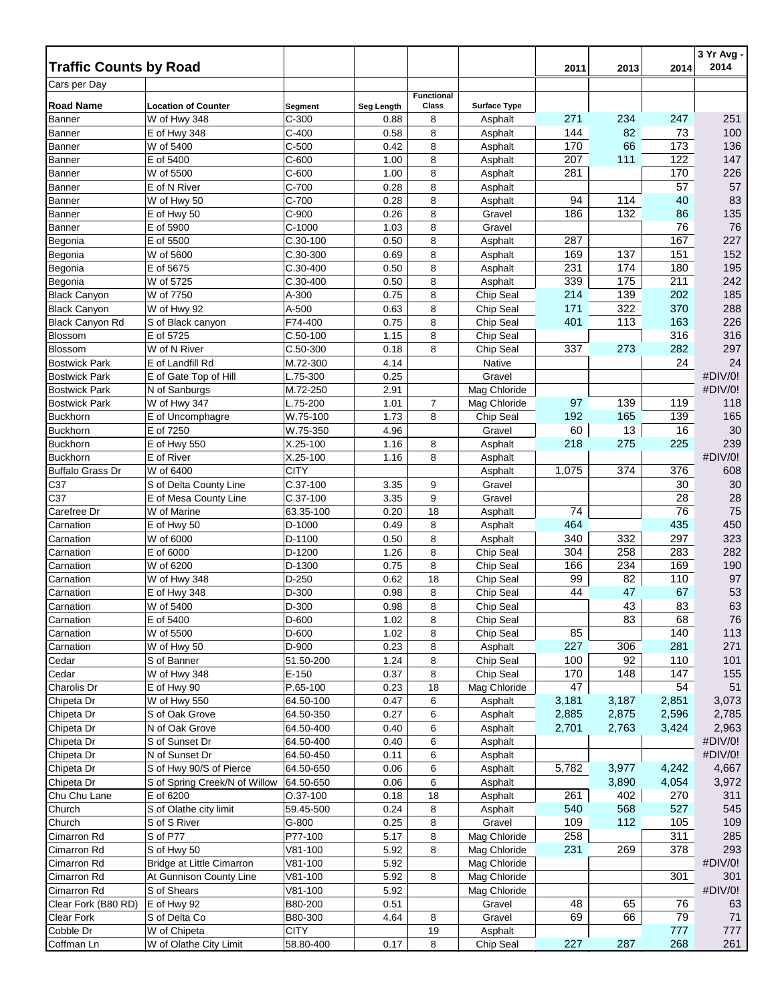| <b>Traffic Counts by Road</b> |                               |                    |              |                   |                         |           |       |           | 3 Yr Avg -<br>2014 |
|-------------------------------|-------------------------------|--------------------|--------------|-------------------|-------------------------|-----------|-------|-----------|--------------------|
| Cars per Day                  |                               |                    |              |                   |                         | 2011      | 2013  | 2014      |                    |
|                               |                               |                    |              | <b>Functional</b> |                         |           |       |           |                    |
| <b>Road Name</b>              | <b>Location of Counter</b>    | Segment            | Seg Length   | Class             | <b>Surface Type</b>     |           |       |           |                    |
| Banner                        | W of Hwy 348                  | $C-300$            | 0.88         | 8                 | Asphalt                 | 271       | 234   | 247       | 251                |
| <b>Banner</b>                 | E of Hwy 348                  | $C-400$            | 0.58         | 8                 | Asphalt                 | 144       | 82    | 73        | 100                |
| <b>Banner</b>                 | W of 5400                     | $C-500$            | 0.42         | 8                 | Asphalt                 | 170       | 66    | 173       | 136                |
| Banner                        | E of 5400                     | $C-600$            | 1.00         | 8                 | Asphalt                 | 207       | 111   | 122       | 147                |
| <b>Banner</b>                 | W of 5500                     | $C-600$<br>$C-700$ | 1.00<br>0.28 | 8<br>8            | Asphalt<br>Asphalt      | 281       |       | 170<br>57 | 226<br>57          |
| Banner                        | E of N River<br>W of Hwy 50   | $C-700$            | 0.28         | 8                 | Asphalt                 | 94        | 114   | 40        | 83                 |
| <b>Banner</b><br>Banner       | E of Hwy 50                   | $C-900$            | 0.26         | 8                 | Gravel                  | 186       | 132   | 86        | 135                |
| Banner                        | E of 5900                     | $C-1000$           | 1.03         | 8                 | Gravel                  |           |       | 76        | 76                 |
| Begonia                       | E of 5500                     | $C.30-100$         | 0.50         | 8                 | Asphalt                 | 287       |       | 167       | 227                |
| Begonia                       | W of 5600                     | C.30-300           | 0.69         | 8                 | Asphalt                 | 169       | 137   | 151       | 152                |
| Begonia                       | E of 5675                     | $C.30-400$         | 0.50         | 8                 | Asphalt                 | 231       | 174   | 180       | 195                |
| Begonia                       | W of 5725                     | $C.30-400$         | 0.50         | 8                 | Asphalt                 | 339       | 175   | 211       | 242                |
| <b>Black Canyon</b>           | W of 7750                     | A-300              | 0.75         | 8                 | Chip Seal               | 214       | 139   | 202       | 185                |
| <b>Black Canyon</b>           | W of Hwy 92                   | A-500              | 0.63         | 8                 | Chip Seal               | 171       | 322   | 370       | 288                |
| <b>Black Canyon Rd</b>        | S of Black canyon             | F74-400            | 0.75         | 8                 | Chip Seal               | 401       | 113   | 163       | 226                |
| Blossom                       | E of 5725                     | $C.50-100$         | 1.15         | 8                 | Chip Seal               |           |       | 316       | 316                |
| <b>Blossom</b>                | W of N River                  | $C.50-300$         | 0.18         | 8                 | Chip Seal               | 337       | 273   | 282       | 297                |
| <b>Bostwick Park</b>          | E of Landfill Rd              | M.72-300           | 4.14         |                   | <b>Native</b>           |           |       | 24        | 24                 |
| <b>Bostwick Park</b>          | E of Gate Top of Hill         | L.75-300           | 0.25         |                   | Gravel                  |           |       |           | #DIV/0!            |
| <b>Bostwick Park</b>          | N of Sanburgs                 | M.72-250           | 2.91         |                   | Mag Chloride            |           |       |           | #DIV/0!            |
| <b>Bostwick Park</b>          | W of Hwy 347                  | L.75-200           | 1.01         | 7                 | Mag Chloride            | 97        | 139   | 119       | 118                |
| <b>Buckhorn</b>               | E of Uncomphagre              | W.75-100           | 1.73         | 8                 | Chip Seal               | 192       | 165   | 139       | 165                |
| <b>Buckhorn</b>               | E of 7250                     | W.75-350           | 4.96         |                   | Gravel                  | 60        | 13    | 16        | $30\,$             |
| <b>Buckhorn</b>               | E of Hwy 550                  | X.25-100           | 1.16         | 8                 | Asphalt                 | 218       | 275   | 225       | 239                |
| <b>Buckhorn</b>               | E of River                    | X.25-100           | 1.16         | 8                 | Asphalt                 |           |       |           | #DIV/0!            |
| <b>Buffalo Grass Dr</b>       | W of 6400                     | <b>CITY</b>        |              |                   | Asphalt                 | 1,075     | 374   | 376       | 608                |
| C37                           | S of Delta County Line        | C.37-100           | 3.35         | 9                 | Gravel                  |           |       | 30        | $30\,$             |
| C37                           | E of Mesa County Line         | C.37-100           | 3.35         | 9                 | Gravel                  |           |       | 28        | 28                 |
| Carefree Dr                   | W of Marine                   | 63.35-100          | 0.20         | 18                | Asphalt                 | 74        |       | 76        | 75                 |
| Carnation                     | E of Hwy 50                   | D-1000             | 0.49         | 8                 | Asphalt                 | 464       |       | 435       | 450                |
| Carnation                     | W of 6000                     | D-1100             | 0.50         | 8                 | Asphalt                 | 340       | 332   | 297       | 323                |
| Carnation                     | E of 6000                     | D-1200             | 1.26         | 8                 | Chip Seal               | 304       | 258   | 283       | 282                |
| Carnation                     | W of 6200                     | D-1300             | 0.75         | 8                 | Chip Seal               | 166       | 234   | 169       | 190                |
| Carnation                     | W of Hwy 348                  | D-250              | 0.62         | 18                | Chip Seal               | 99        | 82    | 110       | 97                 |
| Carnation                     | E of Hwy 348                  | D-300              | 0.98         | 8                 | Chip Seal               | 44        | 47    | 67        | 53                 |
| Carnation                     | W of 5400                     | D-300              | 0.98         | 8                 | Chip Seal               |           | 43    | 83        | 63                 |
| Carnation                     | E of 5400                     | D-600              | 1.02         | 8                 | Chip Seal               |           | 83    | 68        | 76                 |
| Carnation                     | W of 5500                     | D-600              | 1.02         | 8                 | Chip Seal               | 85        |       | 140       | 113                |
| Carnation                     | W of Hwy 50                   | D-900              | 0.23         | 8                 | Asphalt                 | 227       | 306   | 281       | 271                |
| Cedar                         | S of Banner                   | 51.50-200          | 1.24         | 8                 | Chip Seal               | 100       | 92    | 110       | 101                |
| Cedar<br>Charolis Dr          | W of Hwy 348<br>E of Hwy 90   | E-150<br>P.65-100  | 0.37         | 8<br>18           | Chip Seal               | 170<br>47 | 148   | 147<br>54 | 155<br>51          |
| Chipeta Dr                    | W of Hwy 550                  | 64.50-100          | 0.23<br>0.47 | 6                 | Mag Chloride<br>Asphalt | 3,181     | 3,187 | 2,851     | 3,073              |
| Chipeta Dr                    | S of Oak Grove                | 64.50-350          | 0.27         | 6                 | Asphalt                 | 2,885     | 2,875 | 2,596     | 2,785              |
| Chipeta Dr                    | N of Oak Grove                | 64.50-400          | 0.40         | 6                 | Asphalt                 | 2,701     | 2,763 | 3,424     | 2,963              |
| Chipeta Dr                    | S of Sunset Dr                | 64.50-400          | 0.40         | 6                 | Asphalt                 |           |       |           | #DIV/0!            |
| Chipeta Dr                    | N of Sunset Dr                | 64.50-450          | 0.11         | 6                 | Asphalt                 |           |       |           | #DIV/0!            |
| Chipeta Dr                    | S of Hwy 90/S of Pierce       | 64.50-650          | 0.06         | 6                 | Asphalt                 | 5,782     | 3,977 | 4,242     | 4,667              |
| Chipeta Dr                    | S of Spring Creek/N of Willow | 64.50-650          | 0.06         | 6                 | Asphalt                 |           | 3,890 | 4,054     | 3,972              |
| Chu Chu Lane                  | E of 6200                     | O.37-100           | 0.18         | 18                | Asphalt                 | 261       | 402   | 270       | 311                |
| Church                        | S of Olathe city limit        | 59.45-500          | 0.24         | 8                 | Asphalt                 | 540       | 568   | 527       | 545                |
| Church                        | S of S River                  | G-800              | 0.25         | 8                 | Gravel                  | 109       | 112   | 105       | 109                |
| Cimarron Rd                   | S of P77                      | P77-100            | 5.17         | 8                 | Mag Chloride            | 258       |       | 311       | 285                |
| Cimarron Rd                   | S of Hwy 50                   | $V81 - 100$        | 5.92         | 8                 | Mag Chloride            | 231       | 269   | 378       | 293                |
| Cimarron Rd                   | Bridge at Little Cimarron     | V81-100            | 5.92         |                   | Mag Chloride            |           |       |           | #DIV/0!            |
| Cimarron Rd                   | At Gunnison County Line       | V81-100            | 5.92         | 8                 | Mag Chloride            |           |       | 301       | 301                |
| Cimarron Rd                   | S of Shears                   | V81-100            | 5.92         |                   | Mag Chloride            |           |       |           | #DIV/0!            |
| Clear Fork (B80 RD)           | E of Hwy 92                   | B80-200            | 0.51         |                   | Gravel                  | 48        | 65    | 76        | 63                 |
| Clear Fork                    | S of Delta Co                 | B80-300            | 4.64         | 8                 | Gravel                  | 69        | 66    | 79        | 71                 |
| Cobble Dr                     | W of Chipeta                  | <b>CITY</b>        |              | 19                | Asphalt                 |           |       | 777       | 777                |
| Coffman Ln                    | W of Olathe City Limit        | 58.80-400          | 0.17         | 8                 | Chip Seal               | 227       | 287   | 268       | 261                |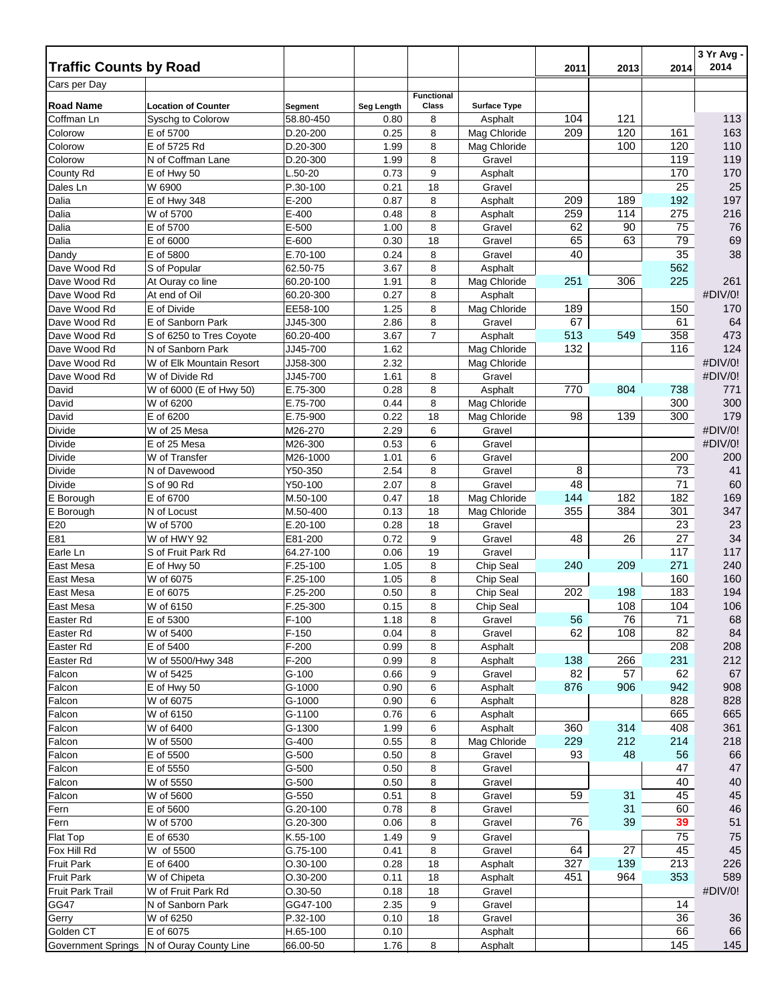| <b>Traffic Counts by Road</b> |                                |                         |              |                   |                         | 2011      | 2013       | 2014       | 3 Yr Avg -<br>2014 |
|-------------------------------|--------------------------------|-------------------------|--------------|-------------------|-------------------------|-----------|------------|------------|--------------------|
| Cars per Day                  |                                |                         |              |                   |                         |           |            |            |                    |
|                               |                                |                         |              | <b>Functional</b> |                         |           |            |            |                    |
| <b>Road Name</b>              | <b>Location of Counter</b>     | Segment                 | Seg Length   | Class             | <b>Surface Type</b>     |           |            |            |                    |
| Coffman Ln                    | Syschg to Colorow              | 58.80-450<br>$D.20-200$ | 0.80         | 8                 | Asphalt<br>Mag Chloride | 104       | 121<br>120 | 161        | 113<br>163         |
| Colorow<br>Colorow            | E of 5700<br>E of 5725 Rd      | D.20-300                | 0.25<br>1.99 | 8<br>8            | Mag Chloride            | 209       | 100        | 120        | 110                |
| Colorow                       | N of Coffman Lane              | D.20-300                | 1.99         | 8                 | Gravel                  |           |            | 119        | 119                |
| County Rd                     | E of Hwy 50                    | L.50-20                 | 0.73         | 9                 | Asphalt                 |           |            | 170        | 170                |
| Dales Ln                      | W 6900                         | P.30-100                | 0.21         | 18                | Gravel                  |           |            | 25         | 25                 |
| Dalia                         | E of Hwy 348                   | $E-200$                 | 0.87         | 8                 | Asphalt                 | 209       | 189        | 192        | 197                |
| Dalia                         | W of 5700                      | E-400                   | 0.48         | 8                 | Asphalt                 | 259       | 114        | 275        | 216                |
| Dalia                         | E of 5700                      | E-500                   | 1.00         | 8                 | Gravel                  | 62        | 90         | 75         | 76                 |
| Dalia                         | E of 6000                      | E-600                   | 0.30         | 18                | Gravel                  | 65        | 63         | 79         | 69                 |
| Dandy                         | E of 5800                      | E.70-100                | 0.24         | 8                 | Gravel                  | 40        |            | 35         | 38                 |
| Dave Wood Rd                  | S of Popular                   | 62.50-75                | 3.67         | 8                 | Asphalt                 |           |            | 562        |                    |
| Dave Wood Rd                  | At Ouray co line               | 60.20-100               | 1.91         | 8                 | Mag Chloride            | 251       | 306        | 225        | 261                |
| Dave Wood Rd                  | At end of Oil                  | 60.20-300               | 0.27         | 8                 | Asphalt                 |           |            |            | #DIV/0!            |
| Dave Wood Rd                  | E of Divide                    | EE58-100                | 1.25         | 8                 | Mag Chloride            | 189       |            | 150        | 170                |
| Dave Wood Rd                  | E of Sanborn Park              | JJ45-300                | 2.86         | 8                 | Gravel                  | 67        |            | 61         | 64                 |
| Dave Wood Rd                  | S of 6250 to Tres Coyote       | 60.20-400               | 3.67         | $\overline{7}$    | Asphalt                 | 513       | 549        | 358        | 473                |
| Dave Wood Rd                  | N of Sanborn Park              | JJ45-700                | 1.62         |                   | Mag Chloride            | 132       |            | 116        | 124                |
| Dave Wood Rd                  | W of Elk Mountain Resort       | JJ58-300                | 2.32         |                   | Mag Chloride            |           |            |            | #DIV/0!            |
| Dave Wood Rd                  | W of Divide Rd                 | JJ45-700                | 1.61         | 8                 | Gravel                  |           |            |            | #DIV/0!            |
| David                         | W of 6000 (E of Hwy 50)        | E.75-300                | 0.28<br>0.44 | 8<br>8            | Asphalt<br>Mag Chloride | 770       | 804        | 738<br>300 | 771<br>300         |
| David<br>David                | W of 6200<br>E of 6200         | E.75-700<br>E.75-900    | 0.22         | 18                | Mag Chloride            | 98        | 139        | 300        | 179                |
| Divide                        | W of 25 Mesa                   | M26-270                 | 2.29         | 6                 | Gravel                  |           |            |            | #DIV/0!            |
| Divide                        | E of 25 Mesa                   | M26-300                 | 0.53         | 6                 | Gravel                  |           |            |            | #DIV/0!            |
| Divide                        | W of Transfer                  | M26-1000                | 1.01         | 6                 | Gravel                  |           |            | 200        | 200                |
| <b>Divide</b>                 | N of Davewood                  | Y50-350                 | 2.54         | 8                 | Gravel                  | 8         |            | 73         | 41                 |
| Divide                        | S of 90 Rd                     | Y50-100                 | 2.07         | 8                 | Gravel                  | 48        |            | 71         | 60                 |
| E Borough                     | E of 6700                      | M.50-100                | 0.47         | 18                | Mag Chloride            | 144       | 182        | 182        | 169                |
| E Borough                     | N of Locust                    | M.50-400                | 0.13         | 18                | Mag Chloride            | 355       | 384        | 301        | 347                |
| E20                           | W of 5700                      | E.20-100                | 0.28         | 18                | Gravel                  |           |            | 23         | 23                 |
| E81                           | W of HWY 92                    | E81-200                 | 0.72         | 9                 | Gravel                  | 48        | 26         | 27         | 34                 |
| Earle Ln                      | S of Fruit Park Rd             | 64.27-100               | 0.06         | 19                | Gravel                  |           |            | 117        | 117                |
| East Mesa                     | E of Hwy 50                    | F.25-100                | 1.05         | 8                 | Chip Seal               | 240       | 209        | 271        | 240                |
| East Mesa                     | W of 6075                      | F.25-100                | 1.05         | 8                 | Chip Seal               |           |            | 160        | 160                |
| East Mesa                     | E of 6075                      | F.25-200                | 0.50         | 8                 | Chip Seal               | 202       | 198        | 183        | 194                |
| East Mesa                     | W of 6150                      | F.25-300                | 0.15         | 8                 | Chip Seal               |           | 108        | 104        | 106                |
| Easter Rd                     | E of 5300                      | $F-100$                 | 1.18         | 8                 | Gravel                  | 56        | 76         | 71         | 68                 |
| Easter Rd                     | W of 5400                      | $F-150$                 | 0.04         | 8                 | Gravel                  | 62        | 108        | 82         | 84                 |
| Easter Rd                     | E of 5400                      | $F-200$                 | 0.99         | 8                 | Asphalt                 |           |            | 208        | 208                |
| Easter Rd<br>Falcon           | W of 5500/Hwy 348<br>W of 5425 | $F-200$<br>$G-100$      | 0.99<br>0.66 | 8<br>9            | Asphalt<br>Gravel       | 138<br>82 | 266<br>57  | 231<br>62  | 212<br>67          |
| Falcon                        | E of Hwy 50                    | G-1000                  | 0.90         | 6                 | Asphalt                 | 876       | 906        | 942        | 908                |
| Falcon                        | W of 6075                      | G-1000                  | 0.90         | 6                 | Asphalt                 |           |            | 828        | 828                |
| Falcon                        | W of 6150                      | G-1100                  | 0.76         | 6                 | Asphalt                 |           |            | 665        | 665                |
| Falcon                        | W of 6400                      | G-1300                  | 1.99         | 6                 | Asphalt                 | 360       | 314        | 408        | 361                |
| Falcon                        | W of 5500                      | G-400                   | 0.55         | 8                 | Mag Chloride            | 229       | 212        | 214        | 218                |
| Falcon                        | E of 5500                      | $G-500$                 | 0.50         | 8                 | Gravel                  | 93        | 48         | 56         | 66                 |
| Falcon                        | E of 5550                      | $G-500$                 | 0.50         | 8                 | Gravel                  |           |            | 47         | 47                 |
| Falcon                        | W of 5550                      | $G-500$                 | 0.50         | 8                 | Gravel                  |           |            | 40         | 40                 |
| Falcon                        | W of 5600                      | G-550                   | 0.51         | 8                 | Gravel                  | 59        | 31         | 45         | 45                 |
| Fern                          | E of 5600                      | G.20-100                | 0.78         | 8                 | Gravel                  |           | 31         | 60         | 46                 |
| Fern                          | W of 5700                      | G.20-300                | 0.06         | 8                 | Gravel                  | 76        | 39         | 39         | 51                 |
| Flat Top                      | E of 6530                      | K.55-100                | 1.49         | 9                 | Gravel                  |           |            | 75         | 75                 |
| Fox Hill Rd                   | W of 5500                      | G.75-100                | 0.41         | 8                 | Gravel                  | 64        | 27         | 45         | 45                 |
| <b>Fruit Park</b>             | E of 6400                      | $O.30 - 100$            | 0.28         | 18                | Asphalt                 | 327       | 139        | 213        | 226                |
| <b>Fruit Park</b>             | W of Chipeta                   | O.30-200                | 0.11         | 18                | Asphalt                 | 451       | 964        | 353        | 589                |
| Fruit Park Trail              | W of Fruit Park Rd             | $0.30 - 50$             | 0.18         | 18                | Gravel                  |           |            |            | #DIV/0!            |
| GG47                          | N of Sanborn Park              | GG47-100                | 2.35         | 9                 | Gravel                  |           |            | 14         |                    |
| Gerry                         | W of 6250                      | P.32-100                | 0.10         | 18                | Gravel                  |           |            | 36         | 36                 |
| Golden CT                     | E of 6075                      | H.65-100                | 0.10         |                   | Asphalt                 |           |            | 66         | 66                 |
| <b>Government Springs</b>     | N of Ouray County Line         | 66.00-50                | 1.76         | 8                 | Asphalt                 |           |            | 145        | 145                |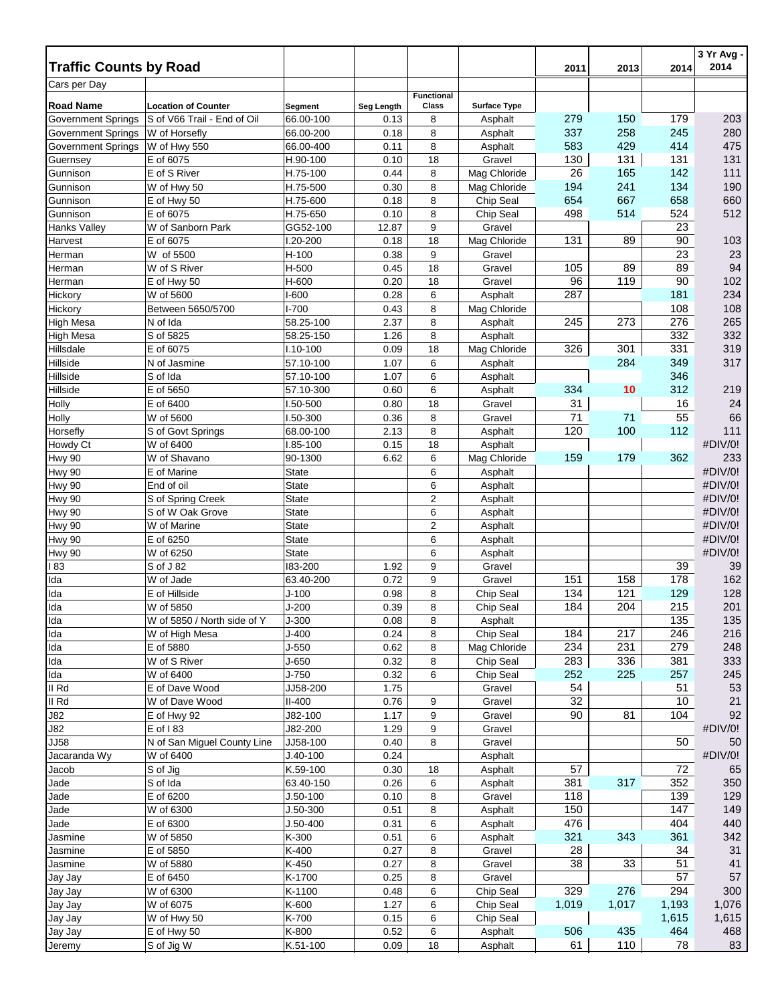|                               |                             |                      |              |                   |                              |           |            |            | 3 Yr Avg -<br>2014 |
|-------------------------------|-----------------------------|----------------------|--------------|-------------------|------------------------------|-----------|------------|------------|--------------------|
| <b>Traffic Counts by Road</b> |                             |                      |              |                   |                              | 2011      | 2013       | 2014       |                    |
| Cars per Day                  |                             |                      |              | <b>Functional</b> |                              |           |            |            |                    |
| <b>Road Name</b>              | <b>Location of Counter</b>  | Segment              | Seg Length   | Class             | <b>Surface Type</b>          |           |            |            |                    |
| <b>Government Springs</b>     | S of V66 Trail - End of Oil | 66.00-100            | 0.13         | 8                 | Asphalt                      | 279       | 150        | 179        | 203                |
| Government Springs            | W of Horsefly               | 66.00-200            | 0.18         | 8                 | Asphalt                      | 337       | 258        | 245        | 280                |
| Government Springs            | W of Hwy 550                | 66.00-400            | 0.11         | 8                 | Asphalt                      | 583       | 429        | 414        | 475                |
| Guernsey                      | E of 6075                   | H.90-100             | 0.10         | 18                | Gravel                       | 130       | 131        | 131        | 131                |
| Gunnison<br>Gunnison          | E of S River<br>W of Hwy 50 | H.75-100<br>H.75-500 | 0.44<br>0.30 | 8<br>8            | Mag Chloride<br>Mag Chloride | 26<br>194 | 165<br>241 | 142<br>134 | 111<br>190         |
| Gunnison                      | E of Hwy 50                 | H.75-600             | 0.18         | 8                 | Chip Seal                    | 654       | 667        | 658        | 660                |
| Gunnison                      | E of 6075                   | H.75-650             | 0.10         | 8                 | Chip Seal                    | 498       | 514        | 524        | 512                |
| <b>Hanks Valley</b>           | W of Sanborn Park           | GG52-100             | 12.87        | 9                 | Gravel                       |           |            | 23         |                    |
| Harvest                       | E of 6075                   | I.20-200             | 0.18         | 18                | Mag Chloride                 | 131       | 89         | 90         | 103                |
| Herman                        | W of 5500                   | $H-100$              | 0.38         | 9                 | Gravel                       |           |            | 23         | 23                 |
| Herman                        | W of S River                | H-500                | 0.45         | 18                | Gravel                       | 105       | 89         | 89         | 94                 |
| Herman                        | E of Hwy 50                 | H-600                | 0.20         | 18                | Gravel                       | 96        | 119        | 90         | 102                |
| Hickory                       | W of 5600                   | $I-600$              | 0.28         | 6                 | Asphalt                      | 287       |            | 181        | 234                |
| Hickory                       | Between 5650/5700           | $I - 700$            | 0.43         | 8                 | Mag Chloride                 |           |            | 108        | 108                |
| High Mesa                     | N of Ida                    | 58.25-100            | 2.37         | 8                 | Asphalt                      | 245       | 273        | 276        | 265                |
| <b>High Mesa</b>              | S of 5825                   | 58.25-150            | 1.26         | 8                 | Asphalt                      |           |            | 332        | 332                |
| Hillsdale                     | E of 6075                   | $I.10-100$           | 0.09         | 18                | Mag Chloride                 | 326       | 301        | 331        | 319                |
| Hillside                      | N of Jasmine                | 57.10-100            | 1.07         | 6                 | Asphalt                      |           | 284        | 349        | 317                |
| Hillside                      | S of Ida                    | 57.10-100            | 1.07         | 6                 | Asphalt                      |           |            | 346        |                    |
| Hillside                      | E of 5650                   | 57.10-300            | 0.60         | 6                 | Asphalt                      | 334       | 10         | 312        | 219                |
| Holly                         | E of 6400                   | I.50-500             | 0.80         | 18                | Gravel                       | 31        |            | 16         | 24                 |
| Holly                         | W of 5600                   | I.50-300             | 0.36         | 8                 | Gravel                       | 71        | 71         | 55         | 66                 |
| Horsefly                      | S of Govt Springs           | 68.00-100            | 2.13         | 8                 | Asphalt                      | 120       | 100        | 112        | 111                |
| Howdy Ct                      | W of 6400                   | I.85-100             | 0.15         | 18                | Asphalt                      |           |            |            | #DIV/0!            |
| Hwy 90                        | W of Shavano                | 90-1300              | 6.62         | 6                 | Mag Chloride                 | 159       | 179        | 362        | 233                |
| Hwy 90                        | E of Marine                 | State                |              | 6                 | Asphalt                      |           |            |            | #DIV/0!            |
| Hwy 90                        | End of oil                  | <b>State</b>         |              | 6                 | Asphalt                      |           |            |            | #DIV/0!            |
| Hwy 90                        | S of Spring Creek           | <b>State</b>         |              | $\overline{2}$    | Asphalt                      |           |            |            | #DIV/0!            |
| Hwy 90                        | S of W Oak Grove            | State                |              | 6                 | Asphalt                      |           |            |            | #DIV/0!            |
| Hwy 90                        | W of Marine                 | <b>State</b>         |              | $\overline{2}$    | Asphalt                      |           |            |            | #DIV/0!            |
| Hwy 90                        | E of 6250                   | <b>State</b>         |              | 6                 | Asphalt                      |           |            |            | #DIV/0!            |
| Hwy 90                        | W of 6250                   | <b>State</b>         |              | 6                 | Asphalt                      |           |            |            | #DIV/0!            |
| 83                            | S of J 82<br>W of Jade      | 183-200<br>63.40-200 | 1.92<br>0.72 | 9<br>9            | Gravel<br>Gravel             | 151       | 158        | 39<br>178  | 39<br>162          |
| Ida<br>Ida                    | E of Hillside               | $J - 100$            | 0.98         | 8                 | Chip Seal                    | 134       | 121        | 129        | 128                |
| Ida                           | W of 5850                   | $J-200$              | 0.39         | 8                 | Chip Seal                    | 184       | 204        | 215        | 201                |
| Ilda                          | W of 5850 / North side of Y | $J-300$              | 0.08         | 8                 | Asphalt                      |           |            | 135        | 135                |
| Ida                           | W of High Mesa              | J-400                | 0.24         | 8                 | Chip Seal                    | 184       | 217        | 246        | 216                |
| Ida                           | E of 5880                   | $J-550$              | 0.62         | 8                 | Mag Chloride                 | 234       | 231        | 279        | 248                |
| Ida                           | W of S River                | J-650                | 0.32         | 8                 | Chip Seal                    | 283       | 336        | 381        | 333                |
| Ida                           | W of 6400                   | $J-750$              | 0.32         | 6                 | Chip Seal                    | 252       | 225        | 257        | 245                |
| II Rd                         | E of Dave Wood              | JJ58-200             | 1.75         |                   | Gravel                       | 54        |            | 51         | 53                 |
| II Rd                         | W of Dave Wood              | $II-400$             | 0.76         | 9                 | Gravel                       | 32        |            | 10         | 21                 |
| J82                           | E of Hwy 92                 | J82-100              | 1.17         | 9                 | Gravel                       | 90        | 81         | 104        | 92                 |
| J82                           | $E$ of 183                  | J82-200              | 1.29         | 9                 | Gravel                       |           |            |            | #DIV/0!            |
| <b>JJ58</b>                   | N of San Miguel County Line | JJ58-100             | 0.40         | 8                 | Gravel                       |           |            | 50         | 50                 |
| Jacaranda Wy                  | W of 6400                   | $J.40-100$           | 0.24         |                   | Asphalt                      |           |            |            | #DIV/0!            |
| Jacob                         | S of Jig                    | K.59-100             | 0.30         | 18                | Asphalt                      | 57        |            | 72         | 65                 |
| Jade                          | S of Ida                    | 63.40-150            | 0.26         | 6                 | Asphalt                      | 381       | 317        | 352        | 350                |
| Jade                          | E of 6200                   | $J.50 - 100$         | 0.10         | 8                 | Gravel                       | 118       |            | 139        | 129                |
| Jade                          | W of 6300                   | $J.50-300$           | 0.51         | 8                 | Asphalt                      | 150       |            | 147        | 149                |
| Jade                          | E of 6300                   | $J.50 - 400$         | 0.31         | 6                 | Asphalt                      | 476       |            | 404        | 440                |
| Jasmine                       | W of 5850                   | K-300                | 0.51         | 6                 | Asphalt                      | 321       | 343        | 361        | 342                |
| Jasmine                       | E of 5850                   | K-400                | 0.27         | 8                 | Gravel                       | 28        |            | 34         | 31                 |
| Jasmine                       | W of 5880                   | K-450                | 0.27         | 8                 | Gravel                       | 38        | 33         | 51         | 41                 |
| Jay Jay                       | E of 6450                   | K-1700               | 0.25<br>0.48 | 8                 | Gravel<br>Chip Seal          | 329       | 276        | 57<br>294  | 57<br>300          |
| Jay Jay<br>Jay Jay            | W of 6300<br>W of 6075      | K-1100<br>K-600      | 1.27         | 6<br>6            | Chip Seal                    | 1,019     | 1,017      | 1,193      | 1,076              |
| Jay Jay                       | W of Hwy 50                 | K-700                | 0.15         | 6                 | Chip Seal                    |           |            | 1,615      | 1,615              |
| Jay Jay                       | E of Hwy 50                 | K-800                | 0.52         | 6                 | Asphalt                      | 506       | 435        | 464        | 468                |
| Jeremy                        | S of Jig W                  | K.51-100             | 0.09         | 18                | Asphalt                      | 61        | 110        | 78         | 83                 |
|                               |                             |                      |              |                   |                              |           |            |            |                    |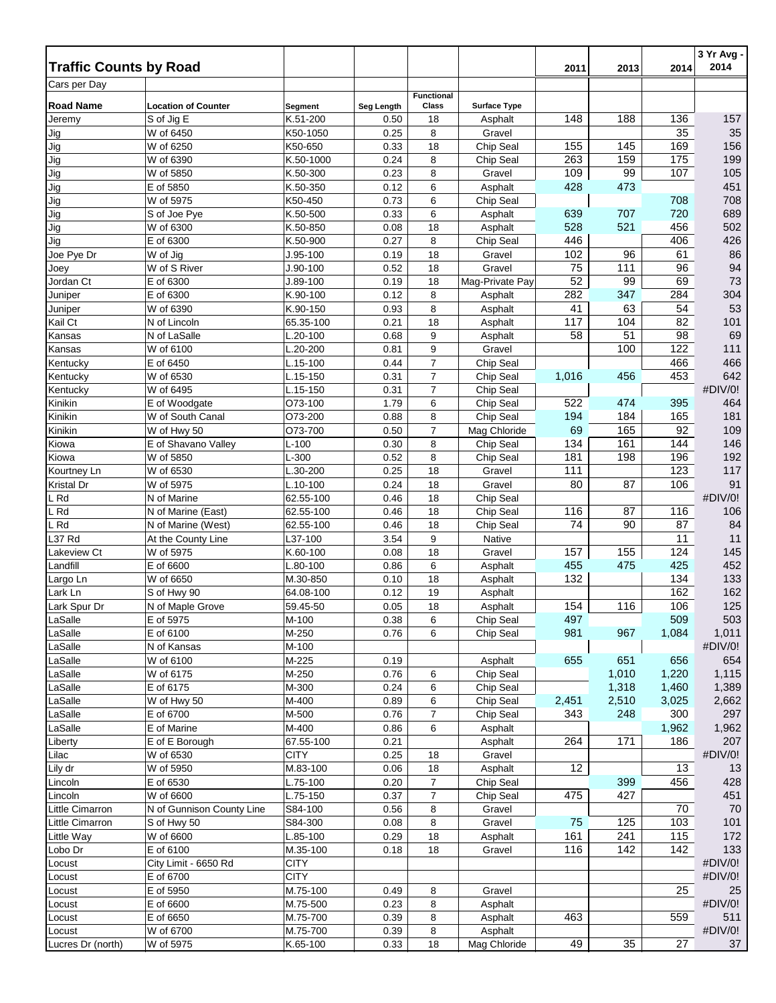| <b>Traffic Counts by Road</b> |                            |                       |              |                   |                     |           |           |           | 3 Yr Avg -<br>2014 |
|-------------------------------|----------------------------|-----------------------|--------------|-------------------|---------------------|-----------|-----------|-----------|--------------------|
| Cars per Day                  |                            |                       |              |                   |                     | 2011      | 2013      | 2014      |                    |
|                               |                            |                       |              | <b>Functional</b> |                     |           |           |           |                    |
| <b>Road Name</b>              | <b>Location of Counter</b> | Segment               | Seg Length   | Class             | <b>Surface Type</b> |           |           |           |                    |
| Jeremy                        | S of Jig E                 | K.51-200              | 0.50         | 18                | Asphalt             | 148       | 188       | 136       | 157                |
| Jig                           | W of 6450                  | K50-1050              | 0.25         | 8                 | Gravel              |           |           | 35        | 35                 |
| Jig                           | W of 6250                  | K50-650               | 0.33         | 18                | Chip Seal           | 155       | 145       | 169       | 156                |
| Jig                           | W of 6390                  | K.50-1000             | 0.24         | 8                 | Chip Seal           | 263       | 159       | 175       | 199                |
| Jig                           | W of 5850                  | K.50-300              | 0.23         | 8                 | Gravel              | 109       | 99        | 107       | 105                |
| Jig                           | E of 5850                  | K.50-350              | 0.12         | 6                 | Asphalt             | 428       | 473       |           | 451                |
| Jig                           | W of 5975                  | K50-450               | 0.73         | 6                 | Chip Seal           |           |           | 708       | 708                |
| Jig                           | S of Joe Pye               | K.50-500              | 0.33         | 6                 | Asphalt             | 639       | 707       | 720       | 689                |
| Jig                           | W of 6300                  | K.50-850              | 0.08         | 18                | Asphalt             | 528       | 521       | 456       | 502                |
| Jig                           | E of 6300                  | K.50-900              | 0.27         | 8                 | Chip Seal           | 446       |           | 406       | 426                |
| Joe Pye Dr                    | W of Jig                   | $J.95-100$            | 0.19         | 18                | Gravel              | 102       | 96        | 61        | 86                 |
| Joey                          | W of S River               | $J.90-100$            | 0.52         | 18                | Gravel              | 75        | 111<br>99 | 96        | 94                 |
| Jordan Ct                     | E of 6300<br>E of 6300     | J.89-100<br>K.90-100  | 0.19<br>0.12 | 18<br>8           | Mag-Private Pay     | 52<br>282 | 347       | 69<br>284 | 73<br>304          |
| Juniper                       |                            |                       |              |                   | Asphalt             |           | 63        |           | 53                 |
| Juniper<br>Kail Ct            | W of 6390                  | K.90-150<br>65.35-100 | 0.93<br>0.21 | 8<br>18           | Asphalt             | 41<br>117 | 104       | 54<br>82  | 101                |
|                               | N of Lincoln               |                       |              |                   | Asphalt             | 58        | 51        | 98        | 69                 |
| Kansas                        | N of LaSalle<br>W of 6100  | L.20-100<br>L.20-200  | 0.68<br>0.81 | 9<br>9            | Asphalt<br>Gravel   |           | 100       | 122       | 111                |
| Kansas<br>Kentucky            | E of 6450                  | L.15-100              | 0.44         | $\overline{7}$    | Chip Seal           |           |           | 466       | 466                |
| Kentucky                      | W of 6530                  | L.15-150              | 0.31         | 7                 | Chip Seal           | 1,016     | 456       | 453       | 642                |
|                               | W of 6495                  | L.15-150              | 0.31         | 7                 | Chip Seal           |           |           |           | #DIV/0!            |
| Kentucky<br>Kinikin           | E of Woodgate              | O73-100               | 1.79         | 6                 | Chip Seal           | 522       | 474       | 395       | 464                |
| Kinikin                       | W of South Canal           | O73-200               | 0.88         | 8                 | Chip Seal           | 194       | 184       | 165       | 181                |
| Kinikin                       | W of Hwy 50                | O73-700               | 0.50         | $\overline{7}$    | Mag Chloride        | 69        | 165       | 92        | 109                |
| Kiowa                         | E of Shavano Valley        | $L-100$               | 0.30         | 8                 | Chip Seal           | 134       | 161       | 144       | 146                |
| Kiowa                         | W of 5850                  | L-300                 | 0.52         | 8                 | Chip Seal           | 181       | 198       | 196       | 192                |
| Kourtney Ln                   | W of 6530                  | L.30-200              | 0.25         | 18                | Gravel              | 111       |           | 123       | 117                |
| Kristal Dr                    | W of 5975                  | L.10-100              | 0.24         | 18                | Gravel              | 80        | 87        | 106       | 91                 |
| L Rd                          | $\overline{N}$ of Marine   | 62.55-100             | 0.46         | 18                | Chip Seal           |           |           |           | #DIV/0!            |
| L Rd                          | N of Marine (East)         | 62.55-100             | 0.46         | 18                | Chip Seal           | 116       | 87        | 116       | 106                |
| L Rd                          | N of Marine (West)         | 62.55-100             | 0.46         | 18                | Chip Seal           | 74        | 90        | 87        | 84                 |
| L37 Rd                        | At the County Line         | L37-100               | 3.54         | 9                 | Native              |           |           | 11        | 11                 |
| Lakeview Ct                   | W of 5975                  | K.60-100              | 0.08         | 18                | Gravel              | 157       | 155       | 124       | 145                |
| Landfill                      | E of 6600                  | L.80-100              | 0.86         | 6                 | Asphalt             | 455       | 475       | 425       | 452                |
| Largo Ln                      | W of 6650                  | M.30-850              | 0.10         | 18                | Asphalt             | 132       |           | 134       | 133                |
| Lark Ln                       | S of Hwy 90                | 64.08-100             | 0.12         | 19                | Asphalt             |           |           | 162       | 162                |
| Lark Spur Dr                  | N of Maple Grove           | 59.45-50              | 0.05         | 18                | Asphalt             | 154       | 116       | 106       | 125                |
| LaSalle                       | E of 5975                  | M-100                 | 0.38         | 6                 | Chip Seal           | 497       |           | 509       | 503                |
| LaSalle                       | E of 6100                  | M-250                 | 0.76         | 6                 | Chip Seal           | 981       | 967       | 1,084     | 1,011              |
| LaSalle                       | N of Kansas                | M-100                 |              |                   |                     |           |           |           | #DIV/0!            |
| LaSalle                       | W of 6100                  | M-225                 | 0.19         |                   | Asphalt             | 655       | 651       | 656       | 654                |
| LaSalle                       | W of 6175                  | M-250                 | 0.76         | 6                 | Chip Seal           |           | 1,010     | 1,220     | 1,115              |
| LaSalle                       | E of 6175                  | M-300                 | 0.24         | 6                 | Chip Seal           |           | 1,318     | 1,460     | 1,389              |
| LaSalle                       | W of Hwy 50                | M-400                 | 0.89         | 6                 | Chip Seal           | 2,451     | 2,510     | 3,025     | 2,662              |
| LaSalle                       | E of 6700                  | M-500                 | 0.76         | 7                 | Chip Seal           | 343       | 248       | 300       | 297                |
| LaSalle                       | E of Marine                | M-400                 | 0.86         | 6                 | Asphalt             |           |           | 1,962     | 1,962              |
| Liberty                       | E of E Borough             | 67.55-100             | 0.21         |                   | Asphalt             | 264       | 171       | 186       | 207                |
| Lilac                         | W of 6530                  | CITY                  | 0.25         | 18                | Gravel              |           |           |           | #DIV/0!            |
| Lily dr                       | W of 5950                  | M.83-100              | 0.06         | 18                | Asphalt             | 12        |           | 13        | 13                 |
| Lincoln                       | E of 6530                  | L.75-100              | 0.20         | $\overline{7}$    | Chip Seal           |           | 399       | 456       | 428                |
| Lincoln                       | W of 6600                  | L.75-150              | 0.37         | $\overline{7}$    | Chip Seal           | 475       | 427       |           | 451                |
| Little Cimarron               | N of Gunnison County Line  | S84-100               | 0.56         | 8                 | Gravel              |           |           | 70        | 70                 |
| Little Cimarron               | S of Hwy 50                | S84-300               | 0.08         | 8                 | Gravel              | 75        | 125       | 103       | 101                |
| Little Way                    | W of 6600                  | L.85-100              | 0.29         | 18                | Asphalt             | 161       | 241       | 115       | 172                |
| Lobo Dr                       | E of 6100                  | M.35-100              | 0.18         | 18                | Gravel              | 116       | 142       | 142       | 133                |
| Locust                        | City Limit - 6650 Rd       | <b>CITY</b>           |              |                   |                     |           |           |           | #DIV/0!            |
| Locust                        | E of 6700                  | <b>CITY</b>           |              |                   |                     |           |           |           | #DIV/0!            |
| Locust                        | E of 5950                  | M.75-100              | 0.49         | 8                 | Gravel              |           |           | 25        | 25                 |
| Locust                        | E of 6600                  | M.75-500              | 0.23         | 8                 | Asphalt             |           |           |           | #DIV/0!            |
| Locust                        | E of 6650                  | M.75-700              | 0.39         | 8                 | Asphalt             | 463       |           | 559       | 511                |
| Locust                        | W of 6700                  | M.75-700              | 0.39         | 8                 | Asphalt             |           |           |           | #DIV/0!            |
| Lucres Dr (north)             | W of 5975                  | K.65-100              | 0.33         | 18                | Mag Chloride        | 49        | 35        | 27        | 37                 |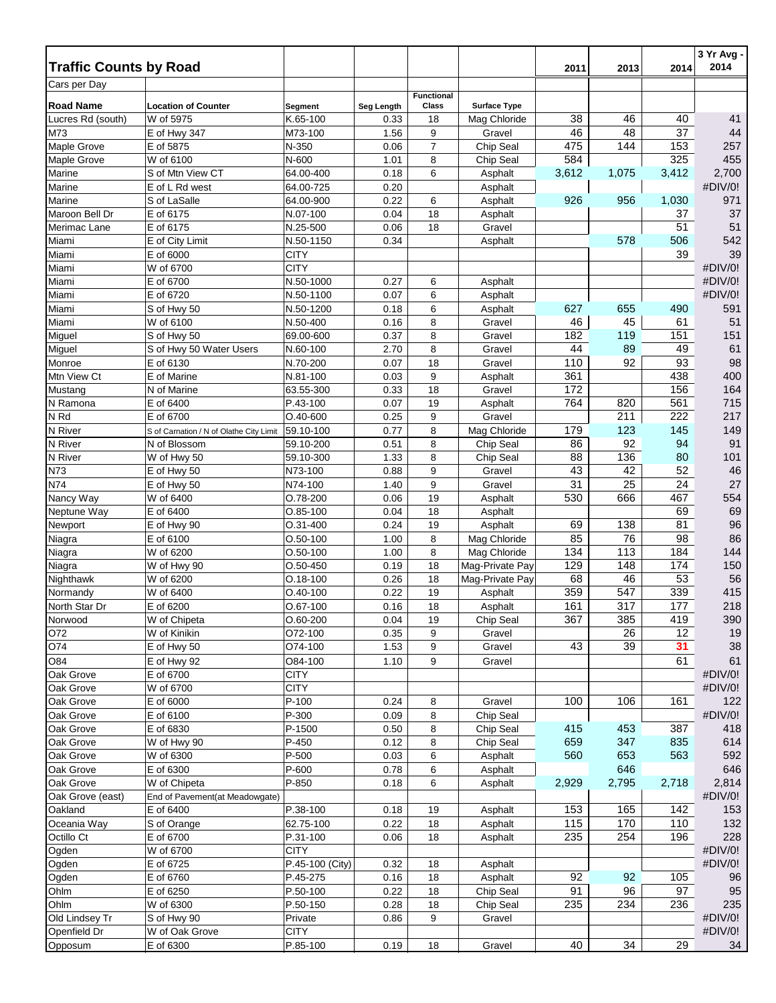| <b>Traffic Counts by Road</b> |                                         |                                |              |                     |                      |            |            |            | 3 Yr Avg -<br>2014 |
|-------------------------------|-----------------------------------------|--------------------------------|--------------|---------------------|----------------------|------------|------------|------------|--------------------|
| Cars per Day                  |                                         |                                |              |                     |                      | 2011       | 2013       | 2014       |                    |
|                               |                                         |                                |              | <b>Functional</b>   |                      |            |            |            |                    |
| <b>Road Name</b>              | <b>Location of Counter</b>              | Segment                        | Seg Length   | Class               | <b>Surface Type</b>  |            |            |            |                    |
| Lucres Rd (south)             | W of 5975                               | K.65-100                       | 0.33         | 18                  | Mag Chloride         | 38         | 46         | 40         | 41                 |
| M73<br>Maple Grove            | E of Hwy 347<br>E of 5875               | M73-100<br>N-350               | 1.56<br>0.06 | 9<br>$\overline{7}$ | Gravel<br>Chip Seal  | 46<br>475  | 48<br>144  | 37<br>153  | 44<br>257          |
| Maple Grove                   | W of 6100                               | N-600                          | 1.01         | 8                   | Chip Seal            | 584        |            | 325        | 455                |
| Marine                        | S of Mtn View CT                        | 64.00-400                      | 0.18         | 6                   | Asphalt              | 3,612      | 1,075      | 3,412      | 2,700              |
| Marine                        | E of L Rd west                          | 64.00-725                      | 0.20         |                     | Asphalt              |            |            |            | #DIV/0!            |
| Marine                        | S of LaSalle                            | 64.00-900                      | 0.22         | 6                   | Asphalt              | 926        | 956        | 1,030      | 971                |
| Maroon Bell Dr                | E of 6175                               | N.07-100                       | 0.04         | 18                  | Asphalt              |            |            | 37         | 37                 |
| Merimac Lane                  | E of 6175                               | N.25-500                       | 0.06         | 18                  | Gravel               |            |            | 51         | 51                 |
| Miami                         | E of City Limit                         | N.50-1150                      | 0.34         |                     | Asphalt              |            | 578        | 506        | 542                |
| Miami                         | E of 6000                               | <b>CITY</b>                    |              |                     |                      |            |            | 39         | 39                 |
| Miami                         | W of 6700                               | CITY                           |              |                     |                      |            |            |            | #DIV/0!            |
| Miami                         | E of 6700                               | N.50-1000                      | 0.27         | 6                   | Asphalt              |            |            |            | #DIV/0!            |
| Miami                         | E of 6720                               | N.50-1100                      | 0.07         | 6                   | Asphalt              |            |            |            | #DIV/0!            |
| Miami                         | S of Hwy 50                             | N.50-1200                      | 0.18         | 6                   | Asphalt              | 627        | 655        | 490        | 591                |
| Miami                         | W of 6100                               | N.50-400                       | 0.16         | 8                   | Gravel               | 46         | 45         | 61         | 51                 |
| Miguel                        | S of Hwy 50                             | 69.00-600                      | 0.37         | 8                   | Gravel               | 182        | 119        | 151        | 151                |
| Miguel<br>Monroe              | S of Hwy 50 Water Users<br>E of 6130    | N.60-100                       | 2.70<br>0.07 | 8<br>18             | Gravel               | 44<br>110  | 89<br>92   | 49<br>93   | 61<br>98           |
| Mtn View Ct                   | E of Marine                             | N.70-200<br>N.81-100           | 0.03         | 9                   | Gravel<br>Asphalt    | 361        |            | 438        | 400                |
| Mustang                       | N of Marine                             | 63.55-300                      | 0.33         | 18                  | Gravel               | 172        |            | 156        | 164                |
| N Ramona                      | E of 6400                               | P.43-100                       | 0.07         | 19                  | Asphalt              | 764        | 820        | 561        | 715                |
| N <sub>Rd</sub>               | E of 6700                               | $O.40 - 600$                   | 0.25         | 9                   | Gravel               |            | 211        | 222        | 217                |
| N River                       | S of Carnation / N of Olathe City Limit | 59.10-100                      | 0.77         | 8                   | Mag Chloride         | 179        | 123        | 145        | 149                |
| N River                       | N of Blossom                            | 59.10-200                      | 0.51         | 8                   | Chip Seal            | 86         | 92         | 94         | 91                 |
| N River                       | W of Hwy 50                             | 59.10-300                      | 1.33         | 8                   | Chip Seal            | 88         | 136        | 80         | 101                |
| N73                           | E of Hwy 50                             | N73-100                        | 0.88         | 9                   | Gravel               | 43         | 42         | 52         | 46                 |
| N74                           | E of Hwy 50                             | N74-100                        | 1.40         | 9                   | Gravel               | 31         | 25         | 24         | $27\,$             |
| Nancy Way                     | W of 6400                               | O.78-200                       | 0.06         | 19                  | Asphalt              | 530        | 666        | 467        | 554                |
| Neptune Way                   | E of 6400                               | $O.85-100$                     | 0.04         | 18                  | Asphalt              |            |            | 69         | 69                 |
| Newport                       | E of Hwy 90                             | O.31-400                       | 0.24         | 19                  | Asphalt              | 69         | 138        | 81         | 96                 |
| Niagra                        | E of 6100                               | $O.50 - 100$                   | 1.00         | 8                   | Mag Chloride         | 85         | 76         | 98         | 86                 |
| Niagra                        | W of 6200                               | O.50-100                       | 1.00         | 8                   | Mag Chloride         | 134        | 113        | 184        | 144                |
| Niagra                        | W of Hwy 90                             | $O.50 - 450$                   | 0.19         | 18                  | Mag-Private Pay      | 129        | 148        | 174        | 150                |
| Nighthawk                     | W of 6200                               | $O.18 - 100$                   | 0.26         | 18                  | Mag-Private Pay      | 68         | 46         | 53         | 56                 |
| Normandy                      | W of 6400                               | $O.40 - 100$                   | 0.22<br>0.16 | 19<br>18            | Asphalt              | 359<br>161 | 547<br>317 | 339<br>177 | 415<br>218         |
| North Star Dr<br>Norwood      | E of 6200<br>W of Chipeta               | O.67-100<br>$O.60 - 200$       | 0.04         |                     | Asphalt<br>Chip Seal | 367        | 385        | 419        | 390                |
| O72                           | W of Kinikin                            | O72-100                        | 0.35         | 19<br>9             | Gravel               |            | 26         | 12         | 19                 |
| O74                           | E of Hwy 50                             | O74-100                        | 1.53         | 9                   | Gravel               | 43         | 39         | 31         | 38                 |
| O84                           | E of Hwy 92                             | O84-100                        | 1.10         | 9                   | Gravel               |            |            | 61         | 61                 |
| Oak Grove                     | E of 6700                               | <b>CITY</b>                    |              |                     |                      |            |            |            | #DIV/0!            |
| Oak Grove                     | W of 6700                               | <b>CITY</b>                    |              |                     |                      |            |            |            | #DIV/0!            |
| Oak Grove                     | E of 6000                               | $P-100$                        | 0.24         | 8                   | Gravel               | 100        | 106        | 161        | 122                |
| Oak Grove                     | E of 6100                               | P-300                          | 0.09         | 8                   | Chip Seal            |            |            |            | #DIV/0!            |
| Oak Grove                     | E of 6830                               | P-1500                         | 0.50         | 8                   | Chip Seal            | 415        | 453        | 387        | 418                |
| Oak Grove                     | W of Hwy 90                             | P-450                          | 0.12         | 8                   | Chip Seal            | 659        | 347        | 835        | 614                |
| Oak Grove                     | W of 6300                               | P-500                          | 0.03         | 6                   | Asphalt              | 560        | 653        | 563        | 592                |
| Oak Grove                     | E of 6300                               | P-600                          | 0.78         | 6                   | Asphalt              |            | 646        |            | 646                |
| Oak Grove                     | W of Chipeta                            | P-850                          | 0.18         | 6                   | Asphalt              | 2,929      | 2,795      | 2,718      | 2,814              |
| Oak Grove (east)              | End of Pavement(at Meadowgate)          |                                |              |                     |                      |            |            |            | #DIV/0!            |
| Oakland                       | E of 6400                               | P.38-100                       | 0.18         | 19                  | Asphalt              | 153        | 165        | 142        | 153                |
| Oceania Way                   | S of Orange                             | 62.75-100                      | 0.22         | 18                  | Asphalt              | 115        | 170        | 110        | 132                |
| Octillo Ct                    | E of 6700                               | P.31-100                       | 0.06         | 18                  | Asphalt              | 235        | 254        | 196        | 228                |
| Ogden                         | W of 6700                               | <b>CITY</b><br>P.45-100 (City) |              |                     |                      |            |            |            | #DIV/0!<br>#DIV/0! |
| Ogden<br>Ogden                | E of 6725<br>E of 6760                  | P.45-275                       | 0.32<br>0.16 | 18<br>18            | Asphalt<br>Asphalt   | 92         | 92         | 105        | 96                 |
| Ohlm                          | E of 6250                               | P.50-100                       | 0.22         | 18                  | Chip Seal            | 91         | 96         | 97         | 95                 |
| Ohlm                          | W of 6300                               | P.50-150                       | 0.28         | 18                  | Chip Seal            | 235        | 234        | 236        | 235                |
| Old Lindsey Tr                | S of Hwy 90                             | Private                        | 0.86         | 9                   | Gravel               |            |            |            | #DIV/0!            |
| Openfield Dr                  | W of Oak Grove                          | <b>CITY</b>                    |              |                     |                      |            |            |            | #DIV/0!            |
| Opposum                       | E of 6300                               | P.85-100                       | 0.19         | 18                  | Gravel               | 40         | 34         | 29         | 34                 |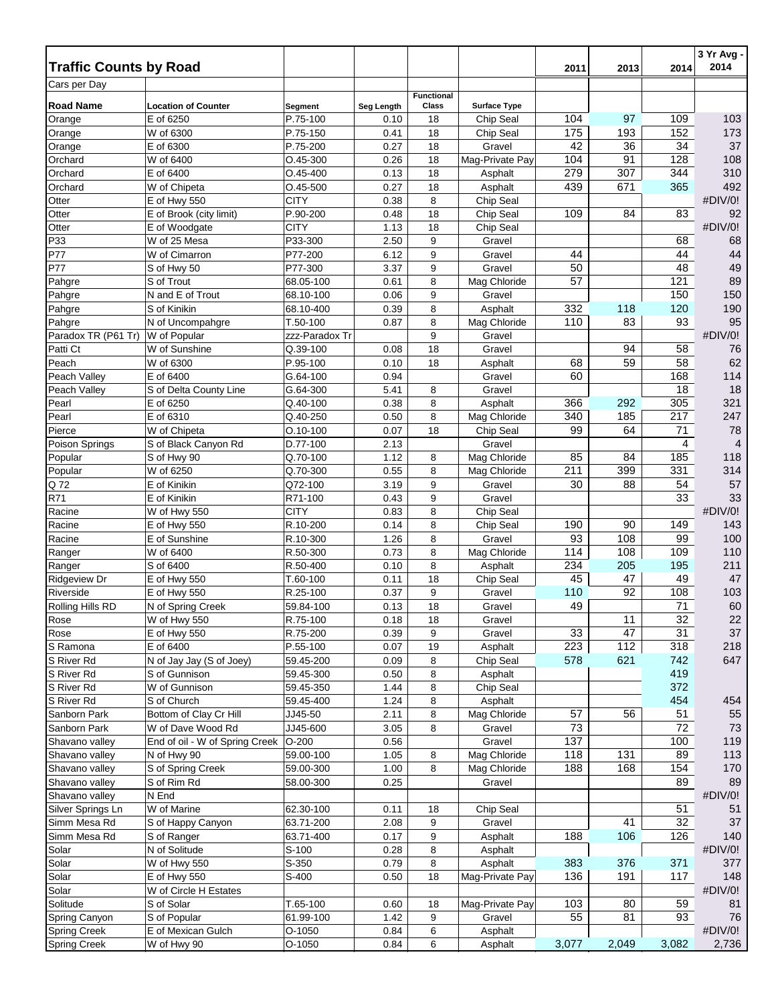|                                |                                                     |                         |              |                   |                              |           |           |            | 3 Yr Avg -     |
|--------------------------------|-----------------------------------------------------|-------------------------|--------------|-------------------|------------------------------|-----------|-----------|------------|----------------|
| <b>Traffic Counts by Road</b>  |                                                     |                         |              |                   |                              | 2011      | 2013      | 2014       | 2014           |
| Cars per Day                   |                                                     |                         |              | <b>Functional</b> |                              |           |           |            |                |
| <b>Road Name</b>               | <b>Location of Counter</b>                          | Segment                 | Seg Length   | Class             | <b>Surface Type</b>          |           |           |            |                |
| Orange                         | E of 6250                                           | P.75-100                | 0.10         | 18                | Chip Seal                    | 104       | 97        | 109        | 103            |
| Orange                         | W of 6300                                           | P.75-150                | 0.41         | 18                | Chip Seal                    | 175       | 193       | 152        | 173            |
| Orange                         | E of 6300                                           | P.75-200                | 0.27         | 18                | Gravel                       | 42        | 36        | 34         | 37             |
| Orchard                        | W of 6400                                           | $O.45 - 300$            | 0.26         | 18                | Mag-Private Pay              | 104       | 91        | 128        | 108            |
| Orchard                        | E of 6400                                           | $O.45 - 400$            | 0.13         | 18                | Asphalt                      | 279       | 307       | 344        | 310            |
| Orchard                        | W of Chipeta                                        | $O.45 - 500$            | 0.27         | 18                | Asphalt<br>Chip Seal         | 439       | 671       | 365        | 492<br>#DIV/0! |
| Otter<br>Otter                 | E of Hwy 550<br>E of Brook (city limit)             | <b>CITY</b><br>P.90-200 | 0.38<br>0.48 | 8<br>18           | Chip Seal                    | 109       | 84        | 83         | 92             |
| Otter                          | E of Woodgate                                       | <b>CITY</b>             | 1.13         | 18                | Chip Seal                    |           |           |            | #DIV/0!        |
| P33                            | W of 25 Mesa                                        | P33-300                 | 2.50         | 9                 | Gravel                       |           |           | 68         | 68             |
| P77                            | W of Cimarron                                       | P77-200                 | 6.12         | 9                 | Gravel                       | 44        |           | 44         | 44             |
| P77                            | S of Hwy 50                                         | P77-300                 | 3.37         | 9                 | Gravel                       | 50        |           | 48         | 49             |
| Pahgre                         | S of Trout                                          | 68.05-100               | 0.61         | 8                 | Mag Chloride                 | 57        |           | 121        | 89             |
| Pahgre                         | N and E of Trout                                    | 68.10-100               | 0.06         | 9                 | Gravel                       |           |           | 150        | 150            |
| Pahgre                         | S of Kinikin                                        | 68.10-400               | 0.39         | 8                 | Asphalt                      | 332       | 118       | 120        | 190            |
| Pahgre                         | N of Uncompahgre                                    | T.50-100                | 0.87         | 8                 | Mag Chloride                 | 110       | 83        | 93         | 95             |
| Paradox TR (P61 Tr)            | W of Popular                                        | zzz-Paradox Tr          |              | 9                 | Gravel                       |           |           |            | #DIV/0!        |
| Patti Ct                       | W of Sunshine                                       | Q.39-100                | 0.08         | 18                | Gravel                       |           | 94        | 58         | 76             |
| Peach                          | W of 6300                                           | P.95-100                | 0.10         | 18                | Asphalt                      | 68        | 59        | 58         | 62             |
| Peach Valley                   | E of 6400                                           | G.64-100                | 0.94         |                   | Gravel                       | 60        |           | 168        | 114            |
| Peach Valley                   | S of Delta County Line                              | G.64-300                | 5.41         | 8                 | Gravel                       |           |           | 18         | 18             |
| Pearl                          | E of 6250                                           | Q.40-100                | 0.38         | 8                 | Asphalt                      | 366       | 292       | 305        | 321            |
| Pearl                          | E of 6310                                           | Q.40-250                | 0.50         | 8                 | Mag Chloride                 | 340       | 185       | 217        | 247            |
| Pierce                         | W of Chipeta                                        | $O.10 - 100$            | 0.07         | 18                | Chip Seal                    | 99        | 64        | 71         | 78             |
| Poison Springs                 | S of Black Canyon Rd                                | D.77-100                | 2.13         |                   | Gravel                       |           |           | 4          | 4              |
| Popular                        | S of Hwy 90<br>W of 6250                            | Q.70-100<br>Q.70-300    | 1.12<br>0.55 | 8<br>8            | Mag Chloride<br>Mag Chloride | 85<br>211 | 84<br>399 | 185<br>331 | 118<br>314     |
| Popular<br>Q 72                | E of Kinikin                                        | Q72-100                 | 3.19         | 9                 | Gravel                       | 30        | 88        | 54         | 57             |
| R71                            | E of Kinikin                                        | R71-100                 | 0.43         | 9                 | Gravel                       |           |           | 33         | 33             |
| Racine                         | W of Hwy 550                                        | <b>CITY</b>             | 0.83         | 8                 | Chip Seal                    |           |           |            | #DIV/0!        |
| Racine                         | E of Hwy 550                                        | R.10-200                | 0.14         | 8                 | Chip Seal                    | 190       | 90        | 149        | 143            |
| Racine                         | E of Sunshine                                       | R.10-300                | 1.26         | 8                 | Gravel                       | 93        | 108       | 99         | 100            |
| Ranger                         | W of 6400                                           | R.50-300                | 0.73         | 8                 | Mag Chloride                 | 114       | 108       | 109        | 110            |
| Ranger                         | S of 6400                                           | R.50-400                | 0.10         | 8                 | Asphalt                      | 234       | 205       | 195        | 211            |
| <b>Ridgeview Dr</b>            | E of Hwy 550                                        | T.60-100                | 0.11         | 18                | Chip Seal                    | 45        | 47        | 49         | 47             |
| Riverside                      | E of Hwy 550                                        | R.25-100                | 0.37         | 9                 | Gravel                       | 110       | 92        | 108        | 103            |
| Rolling Hills RD               | N of Spring Creek                                   | 59.84-100               | 0.13         | 18                | Gravel                       | 49        |           | 71         | 60             |
| Rose                           | W of Hwy 550                                        | R.75-100                | 0.18         | 18                | Gravel                       |           | $11$      | 32         | 22             |
| Rose                           | E of Hwy 550                                        | R.75-200                | 0.39         | 9                 | Gravel                       | 33        | 47        | 31         | 37             |
| S Ramona                       | E of 6400                                           | P.55-100                | 0.07         | 19                | Asphalt                      | 223       | 112       | 318        | 218            |
| S River Rd                     | N of Jay Jay (S of Joey)                            | 59.45-200               | 0.09         | 8                 | Chip Seal                    | 578       | 621       | 742        | 647            |
| S River Rd                     | S of Gunnison                                       | 59.45-300               | 0.50         | 8                 | Asphalt                      |           |           | 419        |                |
| S River Rd                     | W of Gunnison                                       | 59.45-350               | 1.44         | 8                 | Chip Seal                    |           |           | 372        |                |
| S River Rd                     | S of Church                                         | 59.45-400               | 1.24         | 8                 | Asphalt                      |           |           | 454        | 454            |
| Sanborn Park                   | Bottom of Clay Cr Hill                              | JJ45-50                 | 2.11         | 8                 | Mag Chloride                 | 57<br>73  | 56        | 51<br>72   | 55<br>73       |
| Sanborn Park<br>Shavano valley | W of Dave Wood Rd<br>End of oil - W of Spring Creek | JJ45-600<br>$O-200$     | 3.05<br>0.56 | 8                 | Gravel<br>Gravel             | 137       |           | 100        | 119            |
| Shavano valley                 | N of Hwy 90                                         | 59.00-100               | 1.05         | 8                 | Mag Chloride                 | 118       | 131       | 89         | 113            |
| Shavano valley                 | S of Spring Creek                                   | 59.00-300               | 1.00         | 8                 | Mag Chloride                 | 188       | 168       | 154        | 170            |
| Shavano valley                 | S of Rim Rd                                         | 58.00-300               | 0.25         |                   | Gravel                       |           |           | 89         | 89             |
| Shavano valley                 | N End                                               |                         |              |                   |                              |           |           |            | #DIV/0!        |
| Silver Springs Ln              | W of Marine                                         | 62.30-100               | 0.11         | 18                | Chip Seal                    |           |           | 51         | 51             |
| Simm Mesa Rd                   | S of Happy Canyon                                   | 63.71-200               | 2.08         | 9                 | Gravel                       |           | 41        | 32         | 37             |
| Simm Mesa Rd                   | S of Ranger                                         | 63.71-400               | 0.17         | 9                 | Asphalt                      | 188       | 106       | 126        | 140            |
| Solar                          | N of Solitude                                       | S-100                   | 0.28         | 8                 | Asphalt                      |           |           |            | #DIV/0!        |
| Solar                          | W of Hwy 550                                        | S-350                   | 0.79         | 8                 | Asphalt                      | 383       | 376       | 371        | 377            |
| Solar                          | E of Hwy 550                                        | S-400                   | 0.50         | 18                | Mag-Private Pay              | 136       | 191       | 117        | 148            |
| Solar                          | W of Circle H Estates                               |                         |              |                   |                              |           |           |            | #DIV/0!        |
| Solitude                       | S of Solar                                          | T.65-100                | 0.60         | 18                | Mag-Private Pay              | 103       | 80        | 59         | 81             |
| Spring Canyon                  | S of Popular                                        | 61.99-100               | 1.42         | 9                 | Gravel                       | 55        | 81        | 93         | 76             |
| <b>Spring Creek</b>            | E of Mexican Gulch                                  | $O-1050$                | 0.84         | 6                 | Asphalt                      |           |           |            | #DIV/0!        |
| <b>Spring Creek</b>            | W of Hwy 90                                         | $O-1050$                | 0.84         | 6                 | Asphalt                      | 3,077     | 2,049     | 3,082      | 2,736          |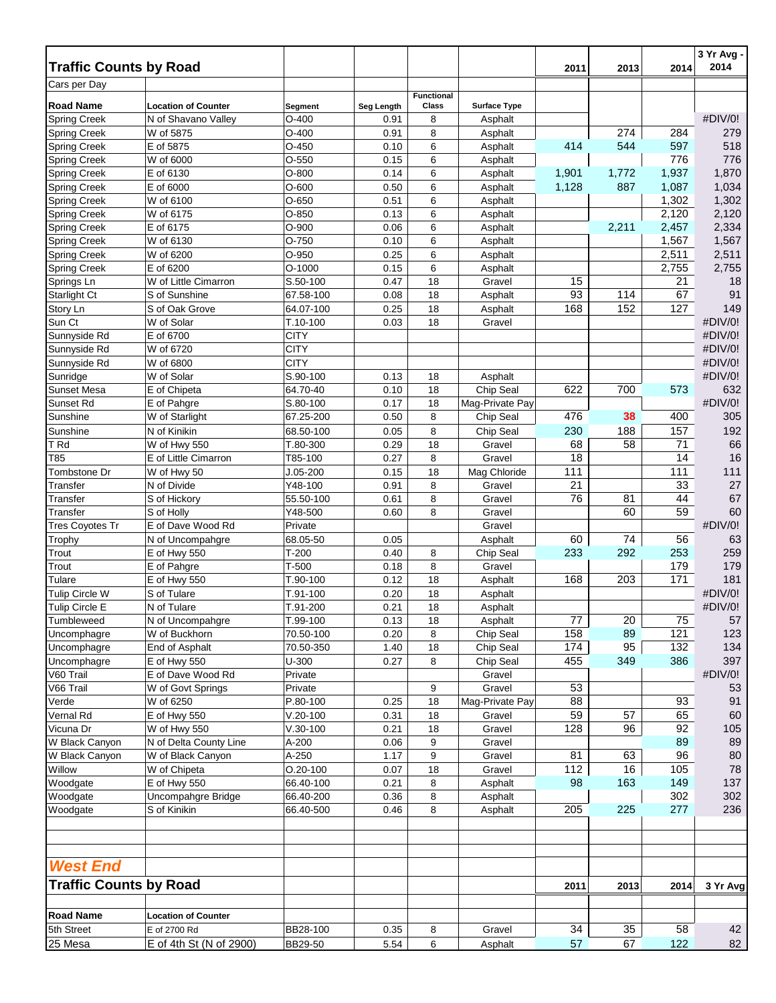|                                            |                                |                     |              |                   |                           |          |                  |                | 3 Yr Avg -     |
|--------------------------------------------|--------------------------------|---------------------|--------------|-------------------|---------------------------|----------|------------------|----------------|----------------|
| <b>Traffic Counts by Road</b>              |                                |                     |              |                   |                           | 2011     | 2013             | 2014           | 2014           |
| Cars per Day                               |                                |                     |              | <b>Functional</b> |                           |          |                  |                |                |
| <b>Road Name</b>                           | <b>Location of Counter</b>     | Segment             | Seg Length   | Class             | <b>Surface Type</b>       |          |                  |                |                |
| <b>Spring Creek</b>                        | N of Shavano Valley            | $O-400$             | 0.91         | 8                 | Asphalt                   |          |                  |                | #DIV/0!        |
| <b>Spring Creek</b>                        | W of 5875                      | $O-400$             | 0.91         | 8                 | Asphalt                   |          | $\overline{27}4$ | 284            | 279            |
| <b>Spring Creek</b>                        | E of 5875                      | $O-450$             | 0.10         | 6                 | Asphalt                   | 414      | 544              | 597            | 518            |
| <b>Spring Creek</b>                        | W of 6000                      | $O-550$             | 0.15         | 6                 | Asphalt                   |          |                  | 776            | 776            |
| <b>Spring Creek</b>                        | E of 6130                      | $O-800$             | 0.14         | 6                 | Asphalt                   | 1,901    | 1,772            | 1,937          | 1,870          |
| <b>Spring Creek</b>                        | E of 6000                      | $O-600$             | 0.50         | 6                 | Asphalt                   | 1,128    | 887              | 1,087          | 1,034          |
| <b>Spring Creek</b>                        | W of 6100                      | $O-650$             | 0.51         | 6                 | Asphalt                   |          |                  | 1,302          | 1,302          |
| <b>Spring Creek</b>                        | W of 6175                      | $O-850$             | 0.13         | 6                 | Asphalt                   |          |                  | 2,120          | 2,120          |
| <b>Spring Creek</b><br><b>Spring Creek</b> | E of 6175<br>W of 6130         | $O-900$<br>$O-750$  | 0.06<br>0.10 | 6<br>6            | Asphalt<br>Asphalt        |          | 2,211            | 2,457<br>1,567 | 2,334<br>1,567 |
| <b>Spring Creek</b>                        | W of 6200                      | O-950               | 0.25         | 6                 | Asphalt                   |          |                  | 2,511          | 2,511          |
| <b>Spring Creek</b>                        | E of 6200                      | $O-1000$            | 0.15         | 6                 | Asphalt                   |          |                  | 2,755          | 2,755          |
| Springs Ln                                 | W of Little Cimarron           | S.50-100            | 0.47         | 18                | Gravel                    | 15       |                  | 21             | 18             |
| <b>Starlight Ct</b>                        | S of Sunshine                  | 67.58-100           | 0.08         | 18                | Asphalt                   | 93       | 114              | 67             | 91             |
| Story Ln                                   | S of Oak Grove                 | 64.07-100           | 0.25         | 18                | Asphalt                   | 168      | 152              | 127            | 149            |
| Sun Ct                                     | W of Solar                     | T.10-100            | 0.03         | 18                | Gravel                    |          |                  |                | #DIV/0!        |
| Sunnyside Rd                               | E of 6700                      | <b>CITY</b>         |              |                   |                           |          |                  |                | #DIV/0!        |
| Sunnyside Rd                               | W of 6720                      | <b>CITY</b>         |              |                   |                           |          |                  |                | #DIV/0!        |
| Sunnyside Rd                               | W of 6800                      | <b>CITY</b>         |              |                   |                           |          |                  |                | #DIV/0!        |
| Sunridge                                   | W of Solar                     | S.90-100            | 0.13         | 18                | Asphalt                   |          |                  |                | #DIV/0!        |
| <b>Sunset Mesa</b>                         | E of Chipeta                   | 64.70-40            | 0.10         | 18                | Chip Seal                 | 622      | 700              | 573            | 632            |
| Sunset Rd                                  | E of Pahgre                    | S.80-100            | 0.17         | 18                | Mag-Private Pay           |          |                  |                | #DIV/0!        |
| Sunshine                                   | W of Starlight                 | 67.25-200           | 0.50         | 8                 | Chip Seal                 | 476      | 38               | 400            | 305            |
| Sunshine                                   | N of Kinikin                   | 68.50-100           | 0.05         | 8                 | Chip Seal                 | 230      | 188              | 157            | 192            |
| T <sub>Rd</sub>                            | W of Hwy 550                   | T.80-300            | 0.29         | 18                | Gravel                    | 68       | 58               | 71             | 66             |
| T85                                        | E of Little Cimarron           | T85-100             | 0.27         | 8                 | Gravel                    | 18       |                  | 14             | 16             |
| Tombstone Dr                               | W of Hwy 50                    | $J.05 - 200$        | 0.15         | 18                | Mag Chloride              | 111      |                  | 111            | 111            |
| Transfer                                   | N of Divide                    | Y48-100             | 0.91         | 8                 | Gravel                    | 21       |                  | 33             | 27             |
| Transfer                                   | S of Hickory                   | 55.50-100           | 0.61         | 8                 | Gravel                    | 76       | 81               | 44             | 67             |
| Transfer                                   | S of Holly                     | Y48-500             | 0.60         | 8                 | Gravel                    |          | 60               | 59             | 60             |
| <b>Tres Coyotes Tr</b>                     | E of Dave Wood Rd              | Private             |              |                   | Gravel                    |          |                  |                | #DIV/0!        |
| Trophy                                     | N of Uncompahgre               | 68.05-50            | 0.05         |                   | Asphalt                   | 60       | 74               | 56             | 63             |
| Trout                                      | E of Hwy 550                   | $T-200$             | 0.40         | 8                 | Chip Seal                 | 233      | 292              | 253            | 259            |
| Trout                                      | E of Pahgre                    | $T-500$             | 0.18         | 8                 | Gravel                    |          |                  | 179            | 179            |
| Tulare                                     | E of Hwy 550                   | T.90-100            | 0.12         | 18                | Asphalt                   | 168      | 203              | 171            | 181            |
| <b>Tulip Circle W</b>                      | S of Tulare                    | T.91-100            | 0.20         | 18                | Asphalt                   |          |                  |                | #DIV/0!        |
| <b>Tulip Circle E</b>                      | N of Tulare                    | T.91-200            | 0.21         | 18                | Asphalt                   |          |                  |                | #DIV/0!        |
| Tumbleweed                                 | N of Uncompahgre               | T.99-100            | 0.13         | 18                | Asphalt                   | 77       | 20               | 75             | 57             |
| Uncomphagre                                | W of Buckhorn                  | 70.50-100           | 0.20         | 8                 | Chip Seal                 | 158      | 89               | 121            | 123            |
| Uncomphagre                                | End of Asphalt                 | 70.50-350           | 1.40         | 18                | Chip Seal                 | 174      | 95               | 132            | 134            |
| Uncomphagre                                | E of Hwy 550                   | U-300               | 0.27         | 8                 | Chip Seal<br>Gravel       | 455      | 349              | 386            | 397            |
| V60 Trail                                  | E of Dave Wood Rd              | Private             |              |                   |                           |          |                  |                | #DIV/0!        |
| V66 Trail<br>Verde                         | W of Govt Springs<br>W of 6250 | Private<br>P.80-100 | 0.25         | 9<br>18           | Gravel<br>Mag-Private Pay | 53<br>88 |                  | 93             | 53<br>91       |
| Vernal Rd                                  | E of Hwy 550                   | $V.20 - 100$        | 0.31         | 18                | Gravel                    | 59       | 57               | 65             | 60             |
| Vicuna Dr                                  | W of Hwy 550                   | $V.30-100$          | 0.21         | 18                | Gravel                    | 128      | 96               | 92             | 105            |
| W Black Canyon                             | N of Delta County Line         | A-200               | 0.06         | 9                 | Gravel                    |          |                  | 89             | 89             |
| W Black Canyon                             | W of Black Canyon              | A-250               | 1.17         | 9                 | Gravel                    | 81       | 63               | 96             | 80             |
| Willow                                     | W of Chipeta                   | $O.20 - 100$        | 0.07         | 18                | Gravel                    | 112      | 16               | 105            | 78             |
| Woodgate                                   | E of Hwy 550                   | 66.40-100           | 0.21         | 8                 | Asphalt                   | 98       | 163              | 149            | 137            |
| Woodgate                                   | Uncompahgre Bridge             | 66.40-200           | 0.36         | 8                 | Asphalt                   |          |                  | 302            | 302            |
| Woodgate                                   | S of Kinikin                   | 66.40-500           | 0.46         | 8                 | Asphalt                   | 205      | 225              | 277            | 236            |
|                                            |                                |                     |              |                   |                           |          |                  |                |                |
| <b>West End</b>                            |                                |                     |              |                   |                           |          |                  |                |                |
| <b>Traffic Counts by Road</b>              |                                |                     |              |                   |                           | 2011     | 2013             | 2014           | 3 Yr Avg       |
| <b>Road Name</b>                           | <b>Location of Counter</b>     |                     |              |                   |                           |          |                  |                |                |
| 5th Street                                 | E of 2700 Rd                   | BB28-100            | 0.35         | 8                 | Gravel                    | 34       | 35               | 58             | 42             |
| 25 Mesa                                    | E of 4th St (N of 2900)        | BB29-50             | 5.54         | 6                 | Asphalt                   | 57       | 67               | 122            | 82             |
|                                            |                                |                     |              |                   |                           |          |                  |                |                |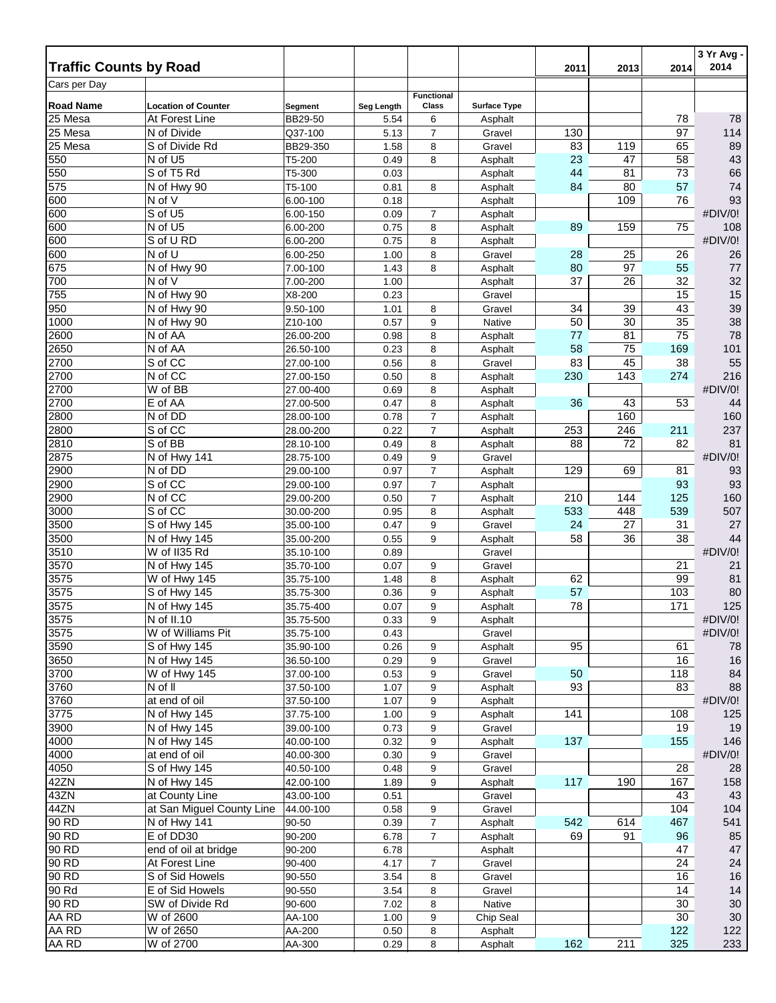| Cars per Day<br><b>Functional</b><br><b>Road Name</b><br><b>Location of Counter</b><br>Class<br>Seg Length<br><b>Surface Type</b><br>Segment<br>25 Mesa<br>At Forest Line<br>BB29-50<br>78<br>5.54<br>6<br>78<br>Asphalt<br>25 Mesa<br>130<br>97<br>114<br>N of Divide<br>Q37-100<br>5.13<br>7<br>Gravel<br>S of Divide Rd<br>83<br>119<br>65<br>89<br>25 Mesa<br>1.58<br>8<br>BB29-350<br>Gravel<br>43<br>N of U5<br>8<br>23<br>47<br>58<br>550<br>T5-200<br>0.49<br>Asphalt<br>550<br>S of T5 Rd<br>44<br>73<br>66<br>81<br>T5-300<br>0.03<br>Asphalt<br>575<br>N of Hwy 90<br>80<br>57<br>74<br>T5-100<br>0.81<br>8<br>84<br>Asphalt<br>93<br>600<br>N of V<br>109<br>76<br>6.00-100<br>0.18<br>Asphalt<br>600<br>S of U5<br>#DIV/0!<br>0.09<br>6.00-150<br>$\overline{7}$<br>Asphalt<br>600<br>N of U5<br>89<br>108<br>6.00-200<br>0.75<br>8<br>159<br>75<br>Asphalt<br>600<br>S of U RD<br>#DIV/0!<br>6.00-200<br>0.75<br>8<br>Asphalt<br>600<br>N of U<br>28<br>6.00-250<br>1.00<br>8<br>25<br>26<br>26<br>Gravel<br>675<br>N of Hwy 90<br>80<br>1.43<br>8<br>97<br>55<br>77<br>7.00-100<br>Asphalt<br>700<br>N of V<br>37<br>32<br>26<br>32<br>1.00<br>7.00-200<br>Asphalt<br>755<br>N of Hwy 90<br>15<br>15<br>X8-200<br>0.23<br>Gravel<br>39<br>950<br>N of Hwy 90<br>34<br>39<br>43<br>9.50-100<br>1.01<br>8<br>Gravel<br>38<br>1000<br>N of Hwy 90<br>50<br>35<br>0.57<br>9<br>Native<br>30<br>Z10-100<br>$\overline{75}$<br>78<br>2600<br>N of AA<br>77<br>81<br>0.98<br>8<br>26.00-200<br>Asphalt<br>58<br>2650<br>N of AA<br>75<br>26.50-100<br>0.23<br>8<br>169<br>101<br>Asphalt<br>2700<br>S of CC<br>83<br>45<br>38<br>55<br>27.00-100<br>0.56<br>8<br>Gravel<br>2700<br>N of CC<br>216<br>0.50<br>8<br>230<br>143<br>274<br>27.00-150<br>Asphalt<br>W of BB<br>2700<br>#DIV/0!<br>8<br>27.00-400<br>0.69<br>Asphalt<br>2700<br>E of AA<br>8<br>36<br>43<br>53<br>44<br>27.00-500<br>0.47<br>Asphalt<br>N of DD<br>$\overline{7}$<br>2800<br>160<br>160<br>28.00-100<br>0.78<br>Asphalt<br>$\overline{7}$<br>237<br>2800<br>S of CC<br>253<br>246<br>28.00-200<br>0.22<br>211<br>Asphalt<br>S of BB<br>82<br>81<br>2810<br>0.49<br>8<br>Asphalt<br>88<br>72<br>28.10-100<br>2875<br>9<br>#DIV/0!<br>N of Hwy 141<br>0.49<br>28.75-100<br>Gravel<br>$\overline{7}$<br>2900<br>N of DD<br>129<br>93<br>29.00-100<br>0.97<br>69<br>81<br>Asphalt<br>S of CC<br>2900<br>$\overline{7}$<br>93<br>93<br>0.97<br>29.00-100<br>Asphalt<br>2900<br>N of CC<br>210<br>160<br>0.50<br>7<br>144<br>125<br>29.00-200<br>Asphalt<br>S of CC<br>533<br>507<br>448<br>539<br>3000<br>0.95<br>8<br>30.00-200<br>Asphalt<br>24<br>3500<br>S of Hwy 145<br>9<br>27<br>27<br>0.47<br>Gravel<br>31<br>35.00-100<br>44<br>3500<br>N of Hwy 145<br>0.55<br>9<br>58<br>38<br>36<br>35.00-200<br>Asphalt<br>3510<br>W of II35 Rd<br>#DIV/0!<br>35.10-100<br>0.89<br>Gravel<br>3570<br>N of Hwy 145<br>0.07<br>21<br>21<br>35.70-100<br>9<br>Gravel<br>3575<br>W of Hwy $145$<br>62<br>99<br>81<br>35.75-100<br>1.48<br>8<br>Asphalt<br>3575<br>57<br>80<br>S of Hwy 145<br>0.36<br>9<br>103<br>35.75-300<br>Asphalt<br>3575<br>N of Hwy 145<br>9<br>78<br>171<br>125<br>0.07<br>35.75-400<br>Asphalt<br>N of II.10<br>35.75-500<br>#DIV/0!<br>0.33<br>9<br>Asphalt<br>W of Williams Pit<br>3575<br>#DIV/0!<br>Gravel<br>35.75-100<br>0.43<br>3590<br>S of Hwy 145<br>0.26<br>Asphalt<br>95<br>35.90-100<br>61<br>78<br>9<br>3650<br>N of Hwy 145<br>0.29<br>9<br>16<br>16<br>36.50-100<br>Gravel<br>3700<br>W of Hwy 145<br>84<br>37.00-100<br>0.53<br>50<br>118<br>9<br>Gravel<br>3760<br>N of II<br>Asphalt<br>93<br>83<br>88<br>37.50-100<br>1.07<br>9<br>3760<br>at end of oil<br>#DIV/0!<br>9<br>37.50-100<br>1.07<br>Asphalt<br>N of Hwy 145<br>3775<br>37.75-100<br>9<br>141<br>108<br>125<br>1.00<br>Asphalt<br>3900<br>N of Hwy 145<br>39.00-100<br>0.73<br>9<br>19<br>19<br>Gravel<br>4000<br>N of Hwy 145<br>40.00-100<br>0.32<br>9<br>137<br>155<br>146<br>Asphalt<br>at end of oil<br>#DIV/0!<br>4000<br>40.00-300<br>9<br>Gravel<br>0.30<br>4050<br>S of Hwy 145<br>40.50-100<br>0.48<br>9<br>Gravel<br>28<br>28<br>N of Hwy 145<br>42ZN<br>42.00-100<br>1.89<br>9<br>117<br>190<br>167<br>158<br>Asphalt<br>43ZN<br>at County Line<br>43<br>43.00-100<br>43<br>0.51<br>Gravel<br>44ZN<br>at San Miguel County Line<br>44.00-100<br>104<br>104<br>0.58<br>9<br>Gravel<br>90 RD<br>541<br>N of Hwy 141<br>$\overline{7}$<br>Asphalt<br>542<br>614<br>467<br>90-50<br>0.39<br>90 RD<br>E of DD30<br>85<br>90-200<br>6.78<br>$\overline{7}$<br>Asphalt<br>69<br>91<br>96<br>90 RD<br>end of oil at bridge<br>47<br>90-200<br>47<br>6.78<br>Asphalt<br>90 RD<br>24<br>24<br>At Forest Line<br>90-400<br>$\overline{7}$<br>Gravel<br>4.17<br>90 RD<br>S of Sid Howels<br>90-550<br>Gravel<br>16<br>3.54<br>8<br>16<br>90 Rd<br>14<br>14<br>E of Sid Howels<br>90-550<br>3.54<br>8<br>Gravel<br>90 RD<br>Native<br>30<br>SW of Divide Rd<br>90-600<br>7.02<br>8<br>30<br>AA RD<br>30<br>W of 2600<br>AA-100<br>9<br>30<br>1.00<br>Chip Seal<br>AA RD<br>W of 2650<br>AA-200<br>8<br>122<br>122<br>0.50<br>Asphalt<br>AA RD<br>211<br>W of 2700<br>8<br>162<br>325<br>233<br>AA-300<br>0.29<br>Asphalt | <b>Traffic Counts by Road</b> |  |  | 2011 | 2013 | 2014 | 3 Yr Avg -<br>2014 |
|--------------------------------------------------------------------------------------------------------------------------------------------------------------------------------------------------------------------------------------------------------------------------------------------------------------------------------------------------------------------------------------------------------------------------------------------------------------------------------------------------------------------------------------------------------------------------------------------------------------------------------------------------------------------------------------------------------------------------------------------------------------------------------------------------------------------------------------------------------------------------------------------------------------------------------------------------------------------------------------------------------------------------------------------------------------------------------------------------------------------------------------------------------------------------------------------------------------------------------------------------------------------------------------------------------------------------------------------------------------------------------------------------------------------------------------------------------------------------------------------------------------------------------------------------------------------------------------------------------------------------------------------------------------------------------------------------------------------------------------------------------------------------------------------------------------------------------------------------------------------------------------------------------------------------------------------------------------------------------------------------------------------------------------------------------------------------------------------------------------------------------------------------------------------------------------------------------------------------------------------------------------------------------------------------------------------------------------------------------------------------------------------------------------------------------------------------------------------------------------------------------------------------------------------------------------------------------------------------------------------------------------------------------------------------------------------------------------------------------------------------------------------------------------------------------------------------------------------------------------------------------------------------------------------------------------------------------------------------------------------------------------------------------------------------------------------------------------------------------------------------------------------------------------------------------------------------------------------------------------------------------------------------------------------------------------------------------------------------------------------------------------------------------------------------------------------------------------------------------------------------------------------------------------------------------------------------------------------------------------------------------------------------------------------------------------------------------------------------------------------------------------------------------------------------------------------------------------------------------------------------------------------------------------------------------------------------------------------------------------------------------------------------------------------------------------------------------------------------------------------------------------------------------------------------------------------------------------------------------------------------------------------------------------------------------------------------------------------------------------------------------------------------------------------------------------------------------------------------------------------------------------------------------------------------------------------------------------------------------------------------------------------------------------------------------------------------------------------------------------------------------------------------------------------------------------------------------------------------------------------------------------------------------------------------------------------------------------------------------------------------------------------------------------------------------------------------------------------------------------------------------------------------------------------------------------------------------|-------------------------------|--|--|------|------|------|--------------------|
|                                                                                                                                                                                                                                                                                                                                                                                                                                                                                                                                                                                                                                                                                                                                                                                                                                                                                                                                                                                                                                                                                                                                                                                                                                                                                                                                                                                                                                                                                                                                                                                                                                                                                                                                                                                                                                                                                                                                                                                                                                                                                                                                                                                                                                                                                                                                                                                                                                                                                                                                                                                                                                                                                                                                                                                                                                                                                                                                                                                                                                                                                                                                                                                                                                                                                                                                                                                                                                                                                                                                                                                                                                                                                                                                                                                                                                                                                                                                                                                                                                                                                                                                                                                                                                                                                                                                                                                                                                                                                                                                                                                                                                                                                                                                                                                                                                                                                                                                                                                                                                                                                                                                                                                                        |                               |  |  |      |      |      |                    |
|                                                                                                                                                                                                                                                                                                                                                                                                                                                                                                                                                                                                                                                                                                                                                                                                                                                                                                                                                                                                                                                                                                                                                                                                                                                                                                                                                                                                                                                                                                                                                                                                                                                                                                                                                                                                                                                                                                                                                                                                                                                                                                                                                                                                                                                                                                                                                                                                                                                                                                                                                                                                                                                                                                                                                                                                                                                                                                                                                                                                                                                                                                                                                                                                                                                                                                                                                                                                                                                                                                                                                                                                                                                                                                                                                                                                                                                                                                                                                                                                                                                                                                                                                                                                                                                                                                                                                                                                                                                                                                                                                                                                                                                                                                                                                                                                                                                                                                                                                                                                                                                                                                                                                                                                        |                               |  |  |      |      |      |                    |
|                                                                                                                                                                                                                                                                                                                                                                                                                                                                                                                                                                                                                                                                                                                                                                                                                                                                                                                                                                                                                                                                                                                                                                                                                                                                                                                                                                                                                                                                                                                                                                                                                                                                                                                                                                                                                                                                                                                                                                                                                                                                                                                                                                                                                                                                                                                                                                                                                                                                                                                                                                                                                                                                                                                                                                                                                                                                                                                                                                                                                                                                                                                                                                                                                                                                                                                                                                                                                                                                                                                                                                                                                                                                                                                                                                                                                                                                                                                                                                                                                                                                                                                                                                                                                                                                                                                                                                                                                                                                                                                                                                                                                                                                                                                                                                                                                                                                                                                                                                                                                                                                                                                                                                                                        |                               |  |  |      |      |      |                    |
|                                                                                                                                                                                                                                                                                                                                                                                                                                                                                                                                                                                                                                                                                                                                                                                                                                                                                                                                                                                                                                                                                                                                                                                                                                                                                                                                                                                                                                                                                                                                                                                                                                                                                                                                                                                                                                                                                                                                                                                                                                                                                                                                                                                                                                                                                                                                                                                                                                                                                                                                                                                                                                                                                                                                                                                                                                                                                                                                                                                                                                                                                                                                                                                                                                                                                                                                                                                                                                                                                                                                                                                                                                                                                                                                                                                                                                                                                                                                                                                                                                                                                                                                                                                                                                                                                                                                                                                                                                                                                                                                                                                                                                                                                                                                                                                                                                                                                                                                                                                                                                                                                                                                                                                                        |                               |  |  |      |      |      |                    |
|                                                                                                                                                                                                                                                                                                                                                                                                                                                                                                                                                                                                                                                                                                                                                                                                                                                                                                                                                                                                                                                                                                                                                                                                                                                                                                                                                                                                                                                                                                                                                                                                                                                                                                                                                                                                                                                                                                                                                                                                                                                                                                                                                                                                                                                                                                                                                                                                                                                                                                                                                                                                                                                                                                                                                                                                                                                                                                                                                                                                                                                                                                                                                                                                                                                                                                                                                                                                                                                                                                                                                                                                                                                                                                                                                                                                                                                                                                                                                                                                                                                                                                                                                                                                                                                                                                                                                                                                                                                                                                                                                                                                                                                                                                                                                                                                                                                                                                                                                                                                                                                                                                                                                                                                        |                               |  |  |      |      |      |                    |
|                                                                                                                                                                                                                                                                                                                                                                                                                                                                                                                                                                                                                                                                                                                                                                                                                                                                                                                                                                                                                                                                                                                                                                                                                                                                                                                                                                                                                                                                                                                                                                                                                                                                                                                                                                                                                                                                                                                                                                                                                                                                                                                                                                                                                                                                                                                                                                                                                                                                                                                                                                                                                                                                                                                                                                                                                                                                                                                                                                                                                                                                                                                                                                                                                                                                                                                                                                                                                                                                                                                                                                                                                                                                                                                                                                                                                                                                                                                                                                                                                                                                                                                                                                                                                                                                                                                                                                                                                                                                                                                                                                                                                                                                                                                                                                                                                                                                                                                                                                                                                                                                                                                                                                                                        |                               |  |  |      |      |      |                    |
|                                                                                                                                                                                                                                                                                                                                                                                                                                                                                                                                                                                                                                                                                                                                                                                                                                                                                                                                                                                                                                                                                                                                                                                                                                                                                                                                                                                                                                                                                                                                                                                                                                                                                                                                                                                                                                                                                                                                                                                                                                                                                                                                                                                                                                                                                                                                                                                                                                                                                                                                                                                                                                                                                                                                                                                                                                                                                                                                                                                                                                                                                                                                                                                                                                                                                                                                                                                                                                                                                                                                                                                                                                                                                                                                                                                                                                                                                                                                                                                                                                                                                                                                                                                                                                                                                                                                                                                                                                                                                                                                                                                                                                                                                                                                                                                                                                                                                                                                                                                                                                                                                                                                                                                                        |                               |  |  |      |      |      |                    |
|                                                                                                                                                                                                                                                                                                                                                                                                                                                                                                                                                                                                                                                                                                                                                                                                                                                                                                                                                                                                                                                                                                                                                                                                                                                                                                                                                                                                                                                                                                                                                                                                                                                                                                                                                                                                                                                                                                                                                                                                                                                                                                                                                                                                                                                                                                                                                                                                                                                                                                                                                                                                                                                                                                                                                                                                                                                                                                                                                                                                                                                                                                                                                                                                                                                                                                                                                                                                                                                                                                                                                                                                                                                                                                                                                                                                                                                                                                                                                                                                                                                                                                                                                                                                                                                                                                                                                                                                                                                                                                                                                                                                                                                                                                                                                                                                                                                                                                                                                                                                                                                                                                                                                                                                        |                               |  |  |      |      |      |                    |
|                                                                                                                                                                                                                                                                                                                                                                                                                                                                                                                                                                                                                                                                                                                                                                                                                                                                                                                                                                                                                                                                                                                                                                                                                                                                                                                                                                                                                                                                                                                                                                                                                                                                                                                                                                                                                                                                                                                                                                                                                                                                                                                                                                                                                                                                                                                                                                                                                                                                                                                                                                                                                                                                                                                                                                                                                                                                                                                                                                                                                                                                                                                                                                                                                                                                                                                                                                                                                                                                                                                                                                                                                                                                                                                                                                                                                                                                                                                                                                                                                                                                                                                                                                                                                                                                                                                                                                                                                                                                                                                                                                                                                                                                                                                                                                                                                                                                                                                                                                                                                                                                                                                                                                                                        |                               |  |  |      |      |      |                    |
|                                                                                                                                                                                                                                                                                                                                                                                                                                                                                                                                                                                                                                                                                                                                                                                                                                                                                                                                                                                                                                                                                                                                                                                                                                                                                                                                                                                                                                                                                                                                                                                                                                                                                                                                                                                                                                                                                                                                                                                                                                                                                                                                                                                                                                                                                                                                                                                                                                                                                                                                                                                                                                                                                                                                                                                                                                                                                                                                                                                                                                                                                                                                                                                                                                                                                                                                                                                                                                                                                                                                                                                                                                                                                                                                                                                                                                                                                                                                                                                                                                                                                                                                                                                                                                                                                                                                                                                                                                                                                                                                                                                                                                                                                                                                                                                                                                                                                                                                                                                                                                                                                                                                                                                                        |                               |  |  |      |      |      |                    |
|                                                                                                                                                                                                                                                                                                                                                                                                                                                                                                                                                                                                                                                                                                                                                                                                                                                                                                                                                                                                                                                                                                                                                                                                                                                                                                                                                                                                                                                                                                                                                                                                                                                                                                                                                                                                                                                                                                                                                                                                                                                                                                                                                                                                                                                                                                                                                                                                                                                                                                                                                                                                                                                                                                                                                                                                                                                                                                                                                                                                                                                                                                                                                                                                                                                                                                                                                                                                                                                                                                                                                                                                                                                                                                                                                                                                                                                                                                                                                                                                                                                                                                                                                                                                                                                                                                                                                                                                                                                                                                                                                                                                                                                                                                                                                                                                                                                                                                                                                                                                                                                                                                                                                                                                        |                               |  |  |      |      |      |                    |
|                                                                                                                                                                                                                                                                                                                                                                                                                                                                                                                                                                                                                                                                                                                                                                                                                                                                                                                                                                                                                                                                                                                                                                                                                                                                                                                                                                                                                                                                                                                                                                                                                                                                                                                                                                                                                                                                                                                                                                                                                                                                                                                                                                                                                                                                                                                                                                                                                                                                                                                                                                                                                                                                                                                                                                                                                                                                                                                                                                                                                                                                                                                                                                                                                                                                                                                                                                                                                                                                                                                                                                                                                                                                                                                                                                                                                                                                                                                                                                                                                                                                                                                                                                                                                                                                                                                                                                                                                                                                                                                                                                                                                                                                                                                                                                                                                                                                                                                                                                                                                                                                                                                                                                                                        |                               |  |  |      |      |      |                    |
|                                                                                                                                                                                                                                                                                                                                                                                                                                                                                                                                                                                                                                                                                                                                                                                                                                                                                                                                                                                                                                                                                                                                                                                                                                                                                                                                                                                                                                                                                                                                                                                                                                                                                                                                                                                                                                                                                                                                                                                                                                                                                                                                                                                                                                                                                                                                                                                                                                                                                                                                                                                                                                                                                                                                                                                                                                                                                                                                                                                                                                                                                                                                                                                                                                                                                                                                                                                                                                                                                                                                                                                                                                                                                                                                                                                                                                                                                                                                                                                                                                                                                                                                                                                                                                                                                                                                                                                                                                                                                                                                                                                                                                                                                                                                                                                                                                                                                                                                                                                                                                                                                                                                                                                                        |                               |  |  |      |      |      |                    |
|                                                                                                                                                                                                                                                                                                                                                                                                                                                                                                                                                                                                                                                                                                                                                                                                                                                                                                                                                                                                                                                                                                                                                                                                                                                                                                                                                                                                                                                                                                                                                                                                                                                                                                                                                                                                                                                                                                                                                                                                                                                                                                                                                                                                                                                                                                                                                                                                                                                                                                                                                                                                                                                                                                                                                                                                                                                                                                                                                                                                                                                                                                                                                                                                                                                                                                                                                                                                                                                                                                                                                                                                                                                                                                                                                                                                                                                                                                                                                                                                                                                                                                                                                                                                                                                                                                                                                                                                                                                                                                                                                                                                                                                                                                                                                                                                                                                                                                                                                                                                                                                                                                                                                                                                        |                               |  |  |      |      |      |                    |
|                                                                                                                                                                                                                                                                                                                                                                                                                                                                                                                                                                                                                                                                                                                                                                                                                                                                                                                                                                                                                                                                                                                                                                                                                                                                                                                                                                                                                                                                                                                                                                                                                                                                                                                                                                                                                                                                                                                                                                                                                                                                                                                                                                                                                                                                                                                                                                                                                                                                                                                                                                                                                                                                                                                                                                                                                                                                                                                                                                                                                                                                                                                                                                                                                                                                                                                                                                                                                                                                                                                                                                                                                                                                                                                                                                                                                                                                                                                                                                                                                                                                                                                                                                                                                                                                                                                                                                                                                                                                                                                                                                                                                                                                                                                                                                                                                                                                                                                                                                                                                                                                                                                                                                                                        |                               |  |  |      |      |      |                    |
|                                                                                                                                                                                                                                                                                                                                                                                                                                                                                                                                                                                                                                                                                                                                                                                                                                                                                                                                                                                                                                                                                                                                                                                                                                                                                                                                                                                                                                                                                                                                                                                                                                                                                                                                                                                                                                                                                                                                                                                                                                                                                                                                                                                                                                                                                                                                                                                                                                                                                                                                                                                                                                                                                                                                                                                                                                                                                                                                                                                                                                                                                                                                                                                                                                                                                                                                                                                                                                                                                                                                                                                                                                                                                                                                                                                                                                                                                                                                                                                                                                                                                                                                                                                                                                                                                                                                                                                                                                                                                                                                                                                                                                                                                                                                                                                                                                                                                                                                                                                                                                                                                                                                                                                                        |                               |  |  |      |      |      |                    |
|                                                                                                                                                                                                                                                                                                                                                                                                                                                                                                                                                                                                                                                                                                                                                                                                                                                                                                                                                                                                                                                                                                                                                                                                                                                                                                                                                                                                                                                                                                                                                                                                                                                                                                                                                                                                                                                                                                                                                                                                                                                                                                                                                                                                                                                                                                                                                                                                                                                                                                                                                                                                                                                                                                                                                                                                                                                                                                                                                                                                                                                                                                                                                                                                                                                                                                                                                                                                                                                                                                                                                                                                                                                                                                                                                                                                                                                                                                                                                                                                                                                                                                                                                                                                                                                                                                                                                                                                                                                                                                                                                                                                                                                                                                                                                                                                                                                                                                                                                                                                                                                                                                                                                                                                        |                               |  |  |      |      |      |                    |
|                                                                                                                                                                                                                                                                                                                                                                                                                                                                                                                                                                                                                                                                                                                                                                                                                                                                                                                                                                                                                                                                                                                                                                                                                                                                                                                                                                                                                                                                                                                                                                                                                                                                                                                                                                                                                                                                                                                                                                                                                                                                                                                                                                                                                                                                                                                                                                                                                                                                                                                                                                                                                                                                                                                                                                                                                                                                                                                                                                                                                                                                                                                                                                                                                                                                                                                                                                                                                                                                                                                                                                                                                                                                                                                                                                                                                                                                                                                                                                                                                                                                                                                                                                                                                                                                                                                                                                                                                                                                                                                                                                                                                                                                                                                                                                                                                                                                                                                                                                                                                                                                                                                                                                                                        |                               |  |  |      |      |      |                    |
|                                                                                                                                                                                                                                                                                                                                                                                                                                                                                                                                                                                                                                                                                                                                                                                                                                                                                                                                                                                                                                                                                                                                                                                                                                                                                                                                                                                                                                                                                                                                                                                                                                                                                                                                                                                                                                                                                                                                                                                                                                                                                                                                                                                                                                                                                                                                                                                                                                                                                                                                                                                                                                                                                                                                                                                                                                                                                                                                                                                                                                                                                                                                                                                                                                                                                                                                                                                                                                                                                                                                                                                                                                                                                                                                                                                                                                                                                                                                                                                                                                                                                                                                                                                                                                                                                                                                                                                                                                                                                                                                                                                                                                                                                                                                                                                                                                                                                                                                                                                                                                                                                                                                                                                                        |                               |  |  |      |      |      |                    |
|                                                                                                                                                                                                                                                                                                                                                                                                                                                                                                                                                                                                                                                                                                                                                                                                                                                                                                                                                                                                                                                                                                                                                                                                                                                                                                                                                                                                                                                                                                                                                                                                                                                                                                                                                                                                                                                                                                                                                                                                                                                                                                                                                                                                                                                                                                                                                                                                                                                                                                                                                                                                                                                                                                                                                                                                                                                                                                                                                                                                                                                                                                                                                                                                                                                                                                                                                                                                                                                                                                                                                                                                                                                                                                                                                                                                                                                                                                                                                                                                                                                                                                                                                                                                                                                                                                                                                                                                                                                                                                                                                                                                                                                                                                                                                                                                                                                                                                                                                                                                                                                                                                                                                                                                        |                               |  |  |      |      |      |                    |
|                                                                                                                                                                                                                                                                                                                                                                                                                                                                                                                                                                                                                                                                                                                                                                                                                                                                                                                                                                                                                                                                                                                                                                                                                                                                                                                                                                                                                                                                                                                                                                                                                                                                                                                                                                                                                                                                                                                                                                                                                                                                                                                                                                                                                                                                                                                                                                                                                                                                                                                                                                                                                                                                                                                                                                                                                                                                                                                                                                                                                                                                                                                                                                                                                                                                                                                                                                                                                                                                                                                                                                                                                                                                                                                                                                                                                                                                                                                                                                                                                                                                                                                                                                                                                                                                                                                                                                                                                                                                                                                                                                                                                                                                                                                                                                                                                                                                                                                                                                                                                                                                                                                                                                                                        |                               |  |  |      |      |      |                    |
|                                                                                                                                                                                                                                                                                                                                                                                                                                                                                                                                                                                                                                                                                                                                                                                                                                                                                                                                                                                                                                                                                                                                                                                                                                                                                                                                                                                                                                                                                                                                                                                                                                                                                                                                                                                                                                                                                                                                                                                                                                                                                                                                                                                                                                                                                                                                                                                                                                                                                                                                                                                                                                                                                                                                                                                                                                                                                                                                                                                                                                                                                                                                                                                                                                                                                                                                                                                                                                                                                                                                                                                                                                                                                                                                                                                                                                                                                                                                                                                                                                                                                                                                                                                                                                                                                                                                                                                                                                                                                                                                                                                                                                                                                                                                                                                                                                                                                                                                                                                                                                                                                                                                                                                                        |                               |  |  |      |      |      |                    |
|                                                                                                                                                                                                                                                                                                                                                                                                                                                                                                                                                                                                                                                                                                                                                                                                                                                                                                                                                                                                                                                                                                                                                                                                                                                                                                                                                                                                                                                                                                                                                                                                                                                                                                                                                                                                                                                                                                                                                                                                                                                                                                                                                                                                                                                                                                                                                                                                                                                                                                                                                                                                                                                                                                                                                                                                                                                                                                                                                                                                                                                                                                                                                                                                                                                                                                                                                                                                                                                                                                                                                                                                                                                                                                                                                                                                                                                                                                                                                                                                                                                                                                                                                                                                                                                                                                                                                                                                                                                                                                                                                                                                                                                                                                                                                                                                                                                                                                                                                                                                                                                                                                                                                                                                        |                               |  |  |      |      |      |                    |
|                                                                                                                                                                                                                                                                                                                                                                                                                                                                                                                                                                                                                                                                                                                                                                                                                                                                                                                                                                                                                                                                                                                                                                                                                                                                                                                                                                                                                                                                                                                                                                                                                                                                                                                                                                                                                                                                                                                                                                                                                                                                                                                                                                                                                                                                                                                                                                                                                                                                                                                                                                                                                                                                                                                                                                                                                                                                                                                                                                                                                                                                                                                                                                                                                                                                                                                                                                                                                                                                                                                                                                                                                                                                                                                                                                                                                                                                                                                                                                                                                                                                                                                                                                                                                                                                                                                                                                                                                                                                                                                                                                                                                                                                                                                                                                                                                                                                                                                                                                                                                                                                                                                                                                                                        |                               |  |  |      |      |      |                    |
|                                                                                                                                                                                                                                                                                                                                                                                                                                                                                                                                                                                                                                                                                                                                                                                                                                                                                                                                                                                                                                                                                                                                                                                                                                                                                                                                                                                                                                                                                                                                                                                                                                                                                                                                                                                                                                                                                                                                                                                                                                                                                                                                                                                                                                                                                                                                                                                                                                                                                                                                                                                                                                                                                                                                                                                                                                                                                                                                                                                                                                                                                                                                                                                                                                                                                                                                                                                                                                                                                                                                                                                                                                                                                                                                                                                                                                                                                                                                                                                                                                                                                                                                                                                                                                                                                                                                                                                                                                                                                                                                                                                                                                                                                                                                                                                                                                                                                                                                                                                                                                                                                                                                                                                                        |                               |  |  |      |      |      |                    |
|                                                                                                                                                                                                                                                                                                                                                                                                                                                                                                                                                                                                                                                                                                                                                                                                                                                                                                                                                                                                                                                                                                                                                                                                                                                                                                                                                                                                                                                                                                                                                                                                                                                                                                                                                                                                                                                                                                                                                                                                                                                                                                                                                                                                                                                                                                                                                                                                                                                                                                                                                                                                                                                                                                                                                                                                                                                                                                                                                                                                                                                                                                                                                                                                                                                                                                                                                                                                                                                                                                                                                                                                                                                                                                                                                                                                                                                                                                                                                                                                                                                                                                                                                                                                                                                                                                                                                                                                                                                                                                                                                                                                                                                                                                                                                                                                                                                                                                                                                                                                                                                                                                                                                                                                        |                               |  |  |      |      |      |                    |
|                                                                                                                                                                                                                                                                                                                                                                                                                                                                                                                                                                                                                                                                                                                                                                                                                                                                                                                                                                                                                                                                                                                                                                                                                                                                                                                                                                                                                                                                                                                                                                                                                                                                                                                                                                                                                                                                                                                                                                                                                                                                                                                                                                                                                                                                                                                                                                                                                                                                                                                                                                                                                                                                                                                                                                                                                                                                                                                                                                                                                                                                                                                                                                                                                                                                                                                                                                                                                                                                                                                                                                                                                                                                                                                                                                                                                                                                                                                                                                                                                                                                                                                                                                                                                                                                                                                                                                                                                                                                                                                                                                                                                                                                                                                                                                                                                                                                                                                                                                                                                                                                                                                                                                                                        |                               |  |  |      |      |      |                    |
|                                                                                                                                                                                                                                                                                                                                                                                                                                                                                                                                                                                                                                                                                                                                                                                                                                                                                                                                                                                                                                                                                                                                                                                                                                                                                                                                                                                                                                                                                                                                                                                                                                                                                                                                                                                                                                                                                                                                                                                                                                                                                                                                                                                                                                                                                                                                                                                                                                                                                                                                                                                                                                                                                                                                                                                                                                                                                                                                                                                                                                                                                                                                                                                                                                                                                                                                                                                                                                                                                                                                                                                                                                                                                                                                                                                                                                                                                                                                                                                                                                                                                                                                                                                                                                                                                                                                                                                                                                                                                                                                                                                                                                                                                                                                                                                                                                                                                                                                                                                                                                                                                                                                                                                                        |                               |  |  |      |      |      |                    |
|                                                                                                                                                                                                                                                                                                                                                                                                                                                                                                                                                                                                                                                                                                                                                                                                                                                                                                                                                                                                                                                                                                                                                                                                                                                                                                                                                                                                                                                                                                                                                                                                                                                                                                                                                                                                                                                                                                                                                                                                                                                                                                                                                                                                                                                                                                                                                                                                                                                                                                                                                                                                                                                                                                                                                                                                                                                                                                                                                                                                                                                                                                                                                                                                                                                                                                                                                                                                                                                                                                                                                                                                                                                                                                                                                                                                                                                                                                                                                                                                                                                                                                                                                                                                                                                                                                                                                                                                                                                                                                                                                                                                                                                                                                                                                                                                                                                                                                                                                                                                                                                                                                                                                                                                        |                               |  |  |      |      |      |                    |
|                                                                                                                                                                                                                                                                                                                                                                                                                                                                                                                                                                                                                                                                                                                                                                                                                                                                                                                                                                                                                                                                                                                                                                                                                                                                                                                                                                                                                                                                                                                                                                                                                                                                                                                                                                                                                                                                                                                                                                                                                                                                                                                                                                                                                                                                                                                                                                                                                                                                                                                                                                                                                                                                                                                                                                                                                                                                                                                                                                                                                                                                                                                                                                                                                                                                                                                                                                                                                                                                                                                                                                                                                                                                                                                                                                                                                                                                                                                                                                                                                                                                                                                                                                                                                                                                                                                                                                                                                                                                                                                                                                                                                                                                                                                                                                                                                                                                                                                                                                                                                                                                                                                                                                                                        |                               |  |  |      |      |      |                    |
|                                                                                                                                                                                                                                                                                                                                                                                                                                                                                                                                                                                                                                                                                                                                                                                                                                                                                                                                                                                                                                                                                                                                                                                                                                                                                                                                                                                                                                                                                                                                                                                                                                                                                                                                                                                                                                                                                                                                                                                                                                                                                                                                                                                                                                                                                                                                                                                                                                                                                                                                                                                                                                                                                                                                                                                                                                                                                                                                                                                                                                                                                                                                                                                                                                                                                                                                                                                                                                                                                                                                                                                                                                                                                                                                                                                                                                                                                                                                                                                                                                                                                                                                                                                                                                                                                                                                                                                                                                                                                                                                                                                                                                                                                                                                                                                                                                                                                                                                                                                                                                                                                                                                                                                                        |                               |  |  |      |      |      |                    |
|                                                                                                                                                                                                                                                                                                                                                                                                                                                                                                                                                                                                                                                                                                                                                                                                                                                                                                                                                                                                                                                                                                                                                                                                                                                                                                                                                                                                                                                                                                                                                                                                                                                                                                                                                                                                                                                                                                                                                                                                                                                                                                                                                                                                                                                                                                                                                                                                                                                                                                                                                                                                                                                                                                                                                                                                                                                                                                                                                                                                                                                                                                                                                                                                                                                                                                                                                                                                                                                                                                                                                                                                                                                                                                                                                                                                                                                                                                                                                                                                                                                                                                                                                                                                                                                                                                                                                                                                                                                                                                                                                                                                                                                                                                                                                                                                                                                                                                                                                                                                                                                                                                                                                                                                        |                               |  |  |      |      |      |                    |
|                                                                                                                                                                                                                                                                                                                                                                                                                                                                                                                                                                                                                                                                                                                                                                                                                                                                                                                                                                                                                                                                                                                                                                                                                                                                                                                                                                                                                                                                                                                                                                                                                                                                                                                                                                                                                                                                                                                                                                                                                                                                                                                                                                                                                                                                                                                                                                                                                                                                                                                                                                                                                                                                                                                                                                                                                                                                                                                                                                                                                                                                                                                                                                                                                                                                                                                                                                                                                                                                                                                                                                                                                                                                                                                                                                                                                                                                                                                                                                                                                                                                                                                                                                                                                                                                                                                                                                                                                                                                                                                                                                                                                                                                                                                                                                                                                                                                                                                                                                                                                                                                                                                                                                                                        |                               |  |  |      |      |      |                    |
|                                                                                                                                                                                                                                                                                                                                                                                                                                                                                                                                                                                                                                                                                                                                                                                                                                                                                                                                                                                                                                                                                                                                                                                                                                                                                                                                                                                                                                                                                                                                                                                                                                                                                                                                                                                                                                                                                                                                                                                                                                                                                                                                                                                                                                                                                                                                                                                                                                                                                                                                                                                                                                                                                                                                                                                                                                                                                                                                                                                                                                                                                                                                                                                                                                                                                                                                                                                                                                                                                                                                                                                                                                                                                                                                                                                                                                                                                                                                                                                                                                                                                                                                                                                                                                                                                                                                                                                                                                                                                                                                                                                                                                                                                                                                                                                                                                                                                                                                                                                                                                                                                                                                                                                                        |                               |  |  |      |      |      |                    |
|                                                                                                                                                                                                                                                                                                                                                                                                                                                                                                                                                                                                                                                                                                                                                                                                                                                                                                                                                                                                                                                                                                                                                                                                                                                                                                                                                                                                                                                                                                                                                                                                                                                                                                                                                                                                                                                                                                                                                                                                                                                                                                                                                                                                                                                                                                                                                                                                                                                                                                                                                                                                                                                                                                                                                                                                                                                                                                                                                                                                                                                                                                                                                                                                                                                                                                                                                                                                                                                                                                                                                                                                                                                                                                                                                                                                                                                                                                                                                                                                                                                                                                                                                                                                                                                                                                                                                                                                                                                                                                                                                                                                                                                                                                                                                                                                                                                                                                                                                                                                                                                                                                                                                                                                        |                               |  |  |      |      |      |                    |
|                                                                                                                                                                                                                                                                                                                                                                                                                                                                                                                                                                                                                                                                                                                                                                                                                                                                                                                                                                                                                                                                                                                                                                                                                                                                                                                                                                                                                                                                                                                                                                                                                                                                                                                                                                                                                                                                                                                                                                                                                                                                                                                                                                                                                                                                                                                                                                                                                                                                                                                                                                                                                                                                                                                                                                                                                                                                                                                                                                                                                                                                                                                                                                                                                                                                                                                                                                                                                                                                                                                                                                                                                                                                                                                                                                                                                                                                                                                                                                                                                                                                                                                                                                                                                                                                                                                                                                                                                                                                                                                                                                                                                                                                                                                                                                                                                                                                                                                                                                                                                                                                                                                                                                                                        |                               |  |  |      |      |      |                    |
|                                                                                                                                                                                                                                                                                                                                                                                                                                                                                                                                                                                                                                                                                                                                                                                                                                                                                                                                                                                                                                                                                                                                                                                                                                                                                                                                                                                                                                                                                                                                                                                                                                                                                                                                                                                                                                                                                                                                                                                                                                                                                                                                                                                                                                                                                                                                                                                                                                                                                                                                                                                                                                                                                                                                                                                                                                                                                                                                                                                                                                                                                                                                                                                                                                                                                                                                                                                                                                                                                                                                                                                                                                                                                                                                                                                                                                                                                                                                                                                                                                                                                                                                                                                                                                                                                                                                                                                                                                                                                                                                                                                                                                                                                                                                                                                                                                                                                                                                                                                                                                                                                                                                                                                                        |                               |  |  |      |      |      |                    |
|                                                                                                                                                                                                                                                                                                                                                                                                                                                                                                                                                                                                                                                                                                                                                                                                                                                                                                                                                                                                                                                                                                                                                                                                                                                                                                                                                                                                                                                                                                                                                                                                                                                                                                                                                                                                                                                                                                                                                                                                                                                                                                                                                                                                                                                                                                                                                                                                                                                                                                                                                                                                                                                                                                                                                                                                                                                                                                                                                                                                                                                                                                                                                                                                                                                                                                                                                                                                                                                                                                                                                                                                                                                                                                                                                                                                                                                                                                                                                                                                                                                                                                                                                                                                                                                                                                                                                                                                                                                                                                                                                                                                                                                                                                                                                                                                                                                                                                                                                                                                                                                                                                                                                                                                        | 3575                          |  |  |      |      |      |                    |
|                                                                                                                                                                                                                                                                                                                                                                                                                                                                                                                                                                                                                                                                                                                                                                                                                                                                                                                                                                                                                                                                                                                                                                                                                                                                                                                                                                                                                                                                                                                                                                                                                                                                                                                                                                                                                                                                                                                                                                                                                                                                                                                                                                                                                                                                                                                                                                                                                                                                                                                                                                                                                                                                                                                                                                                                                                                                                                                                                                                                                                                                                                                                                                                                                                                                                                                                                                                                                                                                                                                                                                                                                                                                                                                                                                                                                                                                                                                                                                                                                                                                                                                                                                                                                                                                                                                                                                                                                                                                                                                                                                                                                                                                                                                                                                                                                                                                                                                                                                                                                                                                                                                                                                                                        |                               |  |  |      |      |      |                    |
|                                                                                                                                                                                                                                                                                                                                                                                                                                                                                                                                                                                                                                                                                                                                                                                                                                                                                                                                                                                                                                                                                                                                                                                                                                                                                                                                                                                                                                                                                                                                                                                                                                                                                                                                                                                                                                                                                                                                                                                                                                                                                                                                                                                                                                                                                                                                                                                                                                                                                                                                                                                                                                                                                                                                                                                                                                                                                                                                                                                                                                                                                                                                                                                                                                                                                                                                                                                                                                                                                                                                                                                                                                                                                                                                                                                                                                                                                                                                                                                                                                                                                                                                                                                                                                                                                                                                                                                                                                                                                                                                                                                                                                                                                                                                                                                                                                                                                                                                                                                                                                                                                                                                                                                                        |                               |  |  |      |      |      |                    |
|                                                                                                                                                                                                                                                                                                                                                                                                                                                                                                                                                                                                                                                                                                                                                                                                                                                                                                                                                                                                                                                                                                                                                                                                                                                                                                                                                                                                                                                                                                                                                                                                                                                                                                                                                                                                                                                                                                                                                                                                                                                                                                                                                                                                                                                                                                                                                                                                                                                                                                                                                                                                                                                                                                                                                                                                                                                                                                                                                                                                                                                                                                                                                                                                                                                                                                                                                                                                                                                                                                                                                                                                                                                                                                                                                                                                                                                                                                                                                                                                                                                                                                                                                                                                                                                                                                                                                                                                                                                                                                                                                                                                                                                                                                                                                                                                                                                                                                                                                                                                                                                                                                                                                                                                        |                               |  |  |      |      |      |                    |
|                                                                                                                                                                                                                                                                                                                                                                                                                                                                                                                                                                                                                                                                                                                                                                                                                                                                                                                                                                                                                                                                                                                                                                                                                                                                                                                                                                                                                                                                                                                                                                                                                                                                                                                                                                                                                                                                                                                                                                                                                                                                                                                                                                                                                                                                                                                                                                                                                                                                                                                                                                                                                                                                                                                                                                                                                                                                                                                                                                                                                                                                                                                                                                                                                                                                                                                                                                                                                                                                                                                                                                                                                                                                                                                                                                                                                                                                                                                                                                                                                                                                                                                                                                                                                                                                                                                                                                                                                                                                                                                                                                                                                                                                                                                                                                                                                                                                                                                                                                                                                                                                                                                                                                                                        |                               |  |  |      |      |      |                    |
|                                                                                                                                                                                                                                                                                                                                                                                                                                                                                                                                                                                                                                                                                                                                                                                                                                                                                                                                                                                                                                                                                                                                                                                                                                                                                                                                                                                                                                                                                                                                                                                                                                                                                                                                                                                                                                                                                                                                                                                                                                                                                                                                                                                                                                                                                                                                                                                                                                                                                                                                                                                                                                                                                                                                                                                                                                                                                                                                                                                                                                                                                                                                                                                                                                                                                                                                                                                                                                                                                                                                                                                                                                                                                                                                                                                                                                                                                                                                                                                                                                                                                                                                                                                                                                                                                                                                                                                                                                                                                                                                                                                                                                                                                                                                                                                                                                                                                                                                                                                                                                                                                                                                                                                                        |                               |  |  |      |      |      |                    |
|                                                                                                                                                                                                                                                                                                                                                                                                                                                                                                                                                                                                                                                                                                                                                                                                                                                                                                                                                                                                                                                                                                                                                                                                                                                                                                                                                                                                                                                                                                                                                                                                                                                                                                                                                                                                                                                                                                                                                                                                                                                                                                                                                                                                                                                                                                                                                                                                                                                                                                                                                                                                                                                                                                                                                                                                                                                                                                                                                                                                                                                                                                                                                                                                                                                                                                                                                                                                                                                                                                                                                                                                                                                                                                                                                                                                                                                                                                                                                                                                                                                                                                                                                                                                                                                                                                                                                                                                                                                                                                                                                                                                                                                                                                                                                                                                                                                                                                                                                                                                                                                                                                                                                                                                        |                               |  |  |      |      |      |                    |
|                                                                                                                                                                                                                                                                                                                                                                                                                                                                                                                                                                                                                                                                                                                                                                                                                                                                                                                                                                                                                                                                                                                                                                                                                                                                                                                                                                                                                                                                                                                                                                                                                                                                                                                                                                                                                                                                                                                                                                                                                                                                                                                                                                                                                                                                                                                                                                                                                                                                                                                                                                                                                                                                                                                                                                                                                                                                                                                                                                                                                                                                                                                                                                                                                                                                                                                                                                                                                                                                                                                                                                                                                                                                                                                                                                                                                                                                                                                                                                                                                                                                                                                                                                                                                                                                                                                                                                                                                                                                                                                                                                                                                                                                                                                                                                                                                                                                                                                                                                                                                                                                                                                                                                                                        |                               |  |  |      |      |      |                    |
|                                                                                                                                                                                                                                                                                                                                                                                                                                                                                                                                                                                                                                                                                                                                                                                                                                                                                                                                                                                                                                                                                                                                                                                                                                                                                                                                                                                                                                                                                                                                                                                                                                                                                                                                                                                                                                                                                                                                                                                                                                                                                                                                                                                                                                                                                                                                                                                                                                                                                                                                                                                                                                                                                                                                                                                                                                                                                                                                                                                                                                                                                                                                                                                                                                                                                                                                                                                                                                                                                                                                                                                                                                                                                                                                                                                                                                                                                                                                                                                                                                                                                                                                                                                                                                                                                                                                                                                                                                                                                                                                                                                                                                                                                                                                                                                                                                                                                                                                                                                                                                                                                                                                                                                                        |                               |  |  |      |      |      |                    |
|                                                                                                                                                                                                                                                                                                                                                                                                                                                                                                                                                                                                                                                                                                                                                                                                                                                                                                                                                                                                                                                                                                                                                                                                                                                                                                                                                                                                                                                                                                                                                                                                                                                                                                                                                                                                                                                                                                                                                                                                                                                                                                                                                                                                                                                                                                                                                                                                                                                                                                                                                                                                                                                                                                                                                                                                                                                                                                                                                                                                                                                                                                                                                                                                                                                                                                                                                                                                                                                                                                                                                                                                                                                                                                                                                                                                                                                                                                                                                                                                                                                                                                                                                                                                                                                                                                                                                                                                                                                                                                                                                                                                                                                                                                                                                                                                                                                                                                                                                                                                                                                                                                                                                                                                        |                               |  |  |      |      |      |                    |
|                                                                                                                                                                                                                                                                                                                                                                                                                                                                                                                                                                                                                                                                                                                                                                                                                                                                                                                                                                                                                                                                                                                                                                                                                                                                                                                                                                                                                                                                                                                                                                                                                                                                                                                                                                                                                                                                                                                                                                                                                                                                                                                                                                                                                                                                                                                                                                                                                                                                                                                                                                                                                                                                                                                                                                                                                                                                                                                                                                                                                                                                                                                                                                                                                                                                                                                                                                                                                                                                                                                                                                                                                                                                                                                                                                                                                                                                                                                                                                                                                                                                                                                                                                                                                                                                                                                                                                                                                                                                                                                                                                                                                                                                                                                                                                                                                                                                                                                                                                                                                                                                                                                                                                                                        |                               |  |  |      |      |      |                    |
|                                                                                                                                                                                                                                                                                                                                                                                                                                                                                                                                                                                                                                                                                                                                                                                                                                                                                                                                                                                                                                                                                                                                                                                                                                                                                                                                                                                                                                                                                                                                                                                                                                                                                                                                                                                                                                                                                                                                                                                                                                                                                                                                                                                                                                                                                                                                                                                                                                                                                                                                                                                                                                                                                                                                                                                                                                                                                                                                                                                                                                                                                                                                                                                                                                                                                                                                                                                                                                                                                                                                                                                                                                                                                                                                                                                                                                                                                                                                                                                                                                                                                                                                                                                                                                                                                                                                                                                                                                                                                                                                                                                                                                                                                                                                                                                                                                                                                                                                                                                                                                                                                                                                                                                                        |                               |  |  |      |      |      |                    |
|                                                                                                                                                                                                                                                                                                                                                                                                                                                                                                                                                                                                                                                                                                                                                                                                                                                                                                                                                                                                                                                                                                                                                                                                                                                                                                                                                                                                                                                                                                                                                                                                                                                                                                                                                                                                                                                                                                                                                                                                                                                                                                                                                                                                                                                                                                                                                                                                                                                                                                                                                                                                                                                                                                                                                                                                                                                                                                                                                                                                                                                                                                                                                                                                                                                                                                                                                                                                                                                                                                                                                                                                                                                                                                                                                                                                                                                                                                                                                                                                                                                                                                                                                                                                                                                                                                                                                                                                                                                                                                                                                                                                                                                                                                                                                                                                                                                                                                                                                                                                                                                                                                                                                                                                        |                               |  |  |      |      |      |                    |
|                                                                                                                                                                                                                                                                                                                                                                                                                                                                                                                                                                                                                                                                                                                                                                                                                                                                                                                                                                                                                                                                                                                                                                                                                                                                                                                                                                                                                                                                                                                                                                                                                                                                                                                                                                                                                                                                                                                                                                                                                                                                                                                                                                                                                                                                                                                                                                                                                                                                                                                                                                                                                                                                                                                                                                                                                                                                                                                                                                                                                                                                                                                                                                                                                                                                                                                                                                                                                                                                                                                                                                                                                                                                                                                                                                                                                                                                                                                                                                                                                                                                                                                                                                                                                                                                                                                                                                                                                                                                                                                                                                                                                                                                                                                                                                                                                                                                                                                                                                                                                                                                                                                                                                                                        |                               |  |  |      |      |      |                    |
|                                                                                                                                                                                                                                                                                                                                                                                                                                                                                                                                                                                                                                                                                                                                                                                                                                                                                                                                                                                                                                                                                                                                                                                                                                                                                                                                                                                                                                                                                                                                                                                                                                                                                                                                                                                                                                                                                                                                                                                                                                                                                                                                                                                                                                                                                                                                                                                                                                                                                                                                                                                                                                                                                                                                                                                                                                                                                                                                                                                                                                                                                                                                                                                                                                                                                                                                                                                                                                                                                                                                                                                                                                                                                                                                                                                                                                                                                                                                                                                                                                                                                                                                                                                                                                                                                                                                                                                                                                                                                                                                                                                                                                                                                                                                                                                                                                                                                                                                                                                                                                                                                                                                                                                                        |                               |  |  |      |      |      |                    |
|                                                                                                                                                                                                                                                                                                                                                                                                                                                                                                                                                                                                                                                                                                                                                                                                                                                                                                                                                                                                                                                                                                                                                                                                                                                                                                                                                                                                                                                                                                                                                                                                                                                                                                                                                                                                                                                                                                                                                                                                                                                                                                                                                                                                                                                                                                                                                                                                                                                                                                                                                                                                                                                                                                                                                                                                                                                                                                                                                                                                                                                                                                                                                                                                                                                                                                                                                                                                                                                                                                                                                                                                                                                                                                                                                                                                                                                                                                                                                                                                                                                                                                                                                                                                                                                                                                                                                                                                                                                                                                                                                                                                                                                                                                                                                                                                                                                                                                                                                                                                                                                                                                                                                                                                        |                               |  |  |      |      |      |                    |
|                                                                                                                                                                                                                                                                                                                                                                                                                                                                                                                                                                                                                                                                                                                                                                                                                                                                                                                                                                                                                                                                                                                                                                                                                                                                                                                                                                                                                                                                                                                                                                                                                                                                                                                                                                                                                                                                                                                                                                                                                                                                                                                                                                                                                                                                                                                                                                                                                                                                                                                                                                                                                                                                                                                                                                                                                                                                                                                                                                                                                                                                                                                                                                                                                                                                                                                                                                                                                                                                                                                                                                                                                                                                                                                                                                                                                                                                                                                                                                                                                                                                                                                                                                                                                                                                                                                                                                                                                                                                                                                                                                                                                                                                                                                                                                                                                                                                                                                                                                                                                                                                                                                                                                                                        |                               |  |  |      |      |      |                    |
|                                                                                                                                                                                                                                                                                                                                                                                                                                                                                                                                                                                                                                                                                                                                                                                                                                                                                                                                                                                                                                                                                                                                                                                                                                                                                                                                                                                                                                                                                                                                                                                                                                                                                                                                                                                                                                                                                                                                                                                                                                                                                                                                                                                                                                                                                                                                                                                                                                                                                                                                                                                                                                                                                                                                                                                                                                                                                                                                                                                                                                                                                                                                                                                                                                                                                                                                                                                                                                                                                                                                                                                                                                                                                                                                                                                                                                                                                                                                                                                                                                                                                                                                                                                                                                                                                                                                                                                                                                                                                                                                                                                                                                                                                                                                                                                                                                                                                                                                                                                                                                                                                                                                                                                                        |                               |  |  |      |      |      |                    |
|                                                                                                                                                                                                                                                                                                                                                                                                                                                                                                                                                                                                                                                                                                                                                                                                                                                                                                                                                                                                                                                                                                                                                                                                                                                                                                                                                                                                                                                                                                                                                                                                                                                                                                                                                                                                                                                                                                                                                                                                                                                                                                                                                                                                                                                                                                                                                                                                                                                                                                                                                                                                                                                                                                                                                                                                                                                                                                                                                                                                                                                                                                                                                                                                                                                                                                                                                                                                                                                                                                                                                                                                                                                                                                                                                                                                                                                                                                                                                                                                                                                                                                                                                                                                                                                                                                                                                                                                                                                                                                                                                                                                                                                                                                                                                                                                                                                                                                                                                                                                                                                                                                                                                                                                        |                               |  |  |      |      |      |                    |
|                                                                                                                                                                                                                                                                                                                                                                                                                                                                                                                                                                                                                                                                                                                                                                                                                                                                                                                                                                                                                                                                                                                                                                                                                                                                                                                                                                                                                                                                                                                                                                                                                                                                                                                                                                                                                                                                                                                                                                                                                                                                                                                                                                                                                                                                                                                                                                                                                                                                                                                                                                                                                                                                                                                                                                                                                                                                                                                                                                                                                                                                                                                                                                                                                                                                                                                                                                                                                                                                                                                                                                                                                                                                                                                                                                                                                                                                                                                                                                                                                                                                                                                                                                                                                                                                                                                                                                                                                                                                                                                                                                                                                                                                                                                                                                                                                                                                                                                                                                                                                                                                                                                                                                                                        |                               |  |  |      |      |      |                    |
|                                                                                                                                                                                                                                                                                                                                                                                                                                                                                                                                                                                                                                                                                                                                                                                                                                                                                                                                                                                                                                                                                                                                                                                                                                                                                                                                                                                                                                                                                                                                                                                                                                                                                                                                                                                                                                                                                                                                                                                                                                                                                                                                                                                                                                                                                                                                                                                                                                                                                                                                                                                                                                                                                                                                                                                                                                                                                                                                                                                                                                                                                                                                                                                                                                                                                                                                                                                                                                                                                                                                                                                                                                                                                                                                                                                                                                                                                                                                                                                                                                                                                                                                                                                                                                                                                                                                                                                                                                                                                                                                                                                                                                                                                                                                                                                                                                                                                                                                                                                                                                                                                                                                                                                                        |                               |  |  |      |      |      |                    |
|                                                                                                                                                                                                                                                                                                                                                                                                                                                                                                                                                                                                                                                                                                                                                                                                                                                                                                                                                                                                                                                                                                                                                                                                                                                                                                                                                                                                                                                                                                                                                                                                                                                                                                                                                                                                                                                                                                                                                                                                                                                                                                                                                                                                                                                                                                                                                                                                                                                                                                                                                                                                                                                                                                                                                                                                                                                                                                                                                                                                                                                                                                                                                                                                                                                                                                                                                                                                                                                                                                                                                                                                                                                                                                                                                                                                                                                                                                                                                                                                                                                                                                                                                                                                                                                                                                                                                                                                                                                                                                                                                                                                                                                                                                                                                                                                                                                                                                                                                                                                                                                                                                                                                                                                        |                               |  |  |      |      |      |                    |
|                                                                                                                                                                                                                                                                                                                                                                                                                                                                                                                                                                                                                                                                                                                                                                                                                                                                                                                                                                                                                                                                                                                                                                                                                                                                                                                                                                                                                                                                                                                                                                                                                                                                                                                                                                                                                                                                                                                                                                                                                                                                                                                                                                                                                                                                                                                                                                                                                                                                                                                                                                                                                                                                                                                                                                                                                                                                                                                                                                                                                                                                                                                                                                                                                                                                                                                                                                                                                                                                                                                                                                                                                                                                                                                                                                                                                                                                                                                                                                                                                                                                                                                                                                                                                                                                                                                                                                                                                                                                                                                                                                                                                                                                                                                                                                                                                                                                                                                                                                                                                                                                                                                                                                                                        |                               |  |  |      |      |      |                    |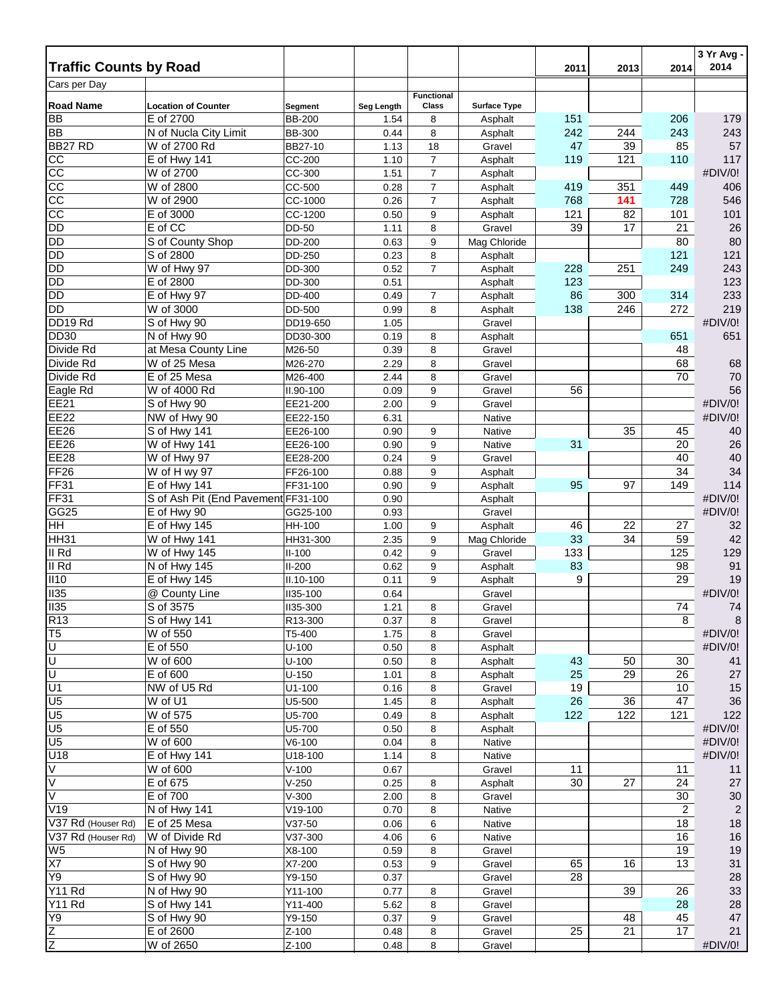|                               |                                       |                      |              |                      |                         |           |                 |                | 3 Yr Avg -<br>2014 |
|-------------------------------|---------------------------------------|----------------------|--------------|----------------------|-------------------------|-----------|-----------------|----------------|--------------------|
| <b>Traffic Counts by Road</b> |                                       |                      |              |                      |                         | 2011      | 2013            | 2014           |                    |
| Cars per Day                  |                                       |                      |              | <b>Functional</b>    |                         |           |                 |                |                    |
| <b>Road Name</b>              | <b>Location of Counter</b>            | Segment              | Seg Length   | Class                | <b>Surface Type</b>     |           |                 |                |                    |
| <b>BB</b>                     | E of 2700                             | <b>BB-200</b>        | 1.54         | 8                    | Asphalt                 | 151       |                 | 206            | 179                |
| <b>BB</b><br>BB27 RD          | N of Nucla City Limit<br>W of 2700 Rd | <b>BB-300</b>        | 0.44         | 8                    | Asphalt                 | 242<br>47 | 244             | 243<br>85      | 243<br>57          |
| CC                            | E of Hwy 141                          | BB27-10<br>CC-200    | 1.13<br>1.10 | 18<br>$\overline{7}$ | Gravel<br>Asphalt       | 119       | 39<br>121       | 110            | 117                |
| 8                             | W of 2700                             | CC-300               | 1.51         | $\overline{7}$       | Asphalt                 |           |                 |                | #DIV/0!            |
| $\overline{cc}$               | W of 2800                             | CC-500               | 0.28         | $\overline{7}$       | Asphalt                 | 419       | 351             | 449            | 406                |
| $\overline{cc}$               | W of 2900                             | CC-1000              | 0.26         | 7                    | Asphalt                 | 768       | 141             | 728            | 546                |
| $\overline{cc}$               | E of 3000                             | CC-1200              | 0.50         | 9                    | Asphalt                 | 121       | 82              | 101            | 101                |
| <b>DD</b>                     | E of CC                               | DD-50                | 1.11         | 8                    | Gravel                  | 39        | $\overline{17}$ | 21             | 26                 |
| <b>DD</b>                     | S of County Shop                      | DD-200               | 0.63         | 9                    | Mag Chloride            |           |                 | 80             | 80                 |
| <b>DD</b>                     | S of 2800                             | DD-250               | 0.23         | 8                    | Asphalt                 |           |                 | 121            | 121                |
| <b>DD</b>                     | W of Hwy 97                           | DD-300               | 0.52         | $\overline{7}$       | Asphalt                 | 228       | 251             | 249            | 243                |
| DD                            | E of 2800                             | DD-300               | 0.51         |                      | Asphalt                 | 123       |                 |                | 123                |
| <b>DD</b>                     | E of Hwy 97                           | DD-400               | 0.49         | 7                    | Asphalt                 | 86        | 300             | 314            | 233                |
| DD                            | W of 3000                             | DD-500               | 0.99         | 8                    | Asphalt                 | 138       | 246             | 272            | 219                |
| DD19 Rd<br><b>DD30</b>        | S of Hwy 90<br>N of Hwy 90            | DD19-650<br>DD30-300 | 1.05<br>0.19 | 8                    | Gravel<br>Asphalt       |           |                 | 651            | #DIV/0!<br>651     |
| Divide Rd                     | at Mesa County Line                   | M26-50               | 0.39         | 8                    | Gravel                  |           |                 | 48             |                    |
| Divide Rd                     | W of 25 Mesa                          | M26-270              | 2.29         | 8                    | Gravel                  |           |                 | 68             | 68                 |
| Divide Rd                     | E of 25 Mesa                          | M26-400              | 2.44         | 8                    | Gravel                  |           |                 | 70             | $70\,$             |
| Eagle Rd                      | W of 4000 Rd                          | II.90-100            | 0.09         | 9                    | Gravel                  | 56        |                 |                | 56                 |
| <b>EE21</b>                   | S of Hwy 90                           | EE21-200             | 2.00         | 9                    | Gravel                  |           |                 |                | #DIV/0!            |
| <b>EE22</b>                   | NW of Hwy 90                          | EE22-150             | 6.31         |                      | Native                  |           |                 |                | #DIV/0!            |
| <b>EE26</b>                   | S of Hwy 141                          | EE26-100             | 0.90         | 9                    | Native                  |           | 35              | 45             | 40                 |
| <b>EE26</b>                   | W of Hwy 141                          | EE26-100             | 0.90         | 9                    | Native                  | 31        |                 | 20             | 26                 |
| <b>EE28</b>                   | W of Hwy 97                           | EE28-200             | 0.24         | 9                    | Gravel                  |           |                 | 40             | 40                 |
| <b>FF26</b>                   | W of H wy 97                          | FF26-100             | 0.88         | 9                    | Asphalt                 |           |                 | 34             | 34                 |
| <b>FF31</b>                   | E of Hwy 141                          | FF31-100             | 0.90         | 9                    | Asphalt                 | 95        | 97              | 149            | 114                |
| <b>FF31</b>                   | S of Ash Pit (End Pavement FF31-100   |                      | 0.90         |                      | Asphalt                 |           |                 |                | #DIV/0!            |
| GG25                          | E of Hwy 90<br>$E$ of Hwy 145         | GG25-100             | 0.93         |                      | Gravel                  | 46        | 22              |                | #DIV/0!            |
| HH<br><b>HH31</b>             | W of Hwy 141                          | HH-100<br>HH31-300   | 1.00<br>2.35 | 9<br>9               | Asphalt<br>Mag Chloride | 33        | 34              | 27<br>59       | 32<br>42           |
| II Rd                         | W of Hwy 145                          | $II-100$             | 0.42         | 9                    | Gravel                  | 133       |                 | 125            | 129                |
| II Rd                         | N of Hwy 145                          | $II-200$             | 0.62         | 9                    | Asphalt                 | 83        |                 | 98             | 91                 |
| II10                          | $E$ of Hwy 145                        | II.10-100            | 0.11         | 9                    | Asphalt                 | 9         |                 | 29             | 19                 |
| II35                          | @ County Line                         | <b>II35-100</b>      | 0.64         |                      | Gravel                  |           |                 |                | #DIV/0!            |
| II35                          | S of 3575                             | <b>II35-300</b>      | 1.21         | 8                    | Gravel                  |           |                 | 74             | 74                 |
| R <sub>13</sub>               | S of Hwy 141                          | R13-300              | 0.37         | 8                    | Gravel                  |           |                 | 8              | 8                  |
| T <sub>5</sub>                | W of 550                              | T5-400               | 1.75         | 8                    | Gravel                  |           |                 |                | #DIV/0!            |
| ण                             | E of 550                              | $U-100$              | $0.50\,$     | 8                    | Asphalt                 |           |                 |                | #DIV/0!            |
| ਹਿ                            | W of 600                              | $U - 100$            | 0.50         | 8                    | Asphalt                 | 43        | 50              | 30             | 41                 |
| 顶                             | E of 600                              | $U-150$              | 1.01         | 8                    | Asphalt                 | 25        | 29              | 26             | 27                 |
| U1<br>U <sub>5</sub>          | NW of U5 Rd<br>W of U1                | $U1 - 100$<br>U5-500 | 0.16<br>1.45 | 8<br>8               | Gravel<br>Asphalt       | 19<br>26  | 36              | 10<br>47       | 15<br>36           |
| U <sub>5</sub>                | W of 575                              | U5-700               | 0.49         | 8                    | Asphalt                 | 122       | 122             | 121            | 122                |
| U <sub>5</sub>                | E of 550                              | U5-700               | 0.50         | 8                    | Asphalt                 |           |                 |                | #DIV/0!            |
| U <sub>5</sub>                | W of 600                              | $V6-100$             | 0.04         | 8                    | Native                  |           |                 |                | #DIV/0!            |
| U18                           | E of Hwy 141                          | U18-100              | 1.14         | 8                    | Native                  |           |                 |                | #DIV/0!            |
| V                             | W of 600                              | $V-100$              | 0.67         |                      | Gravel                  | 11        |                 | 11             | 11                 |
| $\overline{\vee}$             | E of 675                              | $V-250$              | 0.25         | 8                    | Asphalt                 | 30        | 27              | 24             | 27                 |
| $\overline{\vee}$             | E of 700                              | $V-300$              | 2.00         | 8                    | Gravel                  |           |                 | 30             | 30                 |
| V19                           | N of Hwy 141                          | V19-100              | 0.70         | 8                    | Native                  |           |                 | $\overline{2}$ | $\overline{2}$     |
| V37 Rd (Houser Rd)            | E of 25 Mesa                          | $V37-50$             | 0.06         | 6                    | Native                  |           |                 | 18             | 18                 |
| V37 Rd (Houser Rd)            | W of Divide Rd                        | V37-300              | 4.06         | 6                    | Native                  |           |                 | 16             | 16                 |
| W <sub>5</sub>                | N of Hwy 90                           | X8-100               | 0.59         | 8                    | Gravel                  |           |                 | 19             | 19                 |
| X7<br>Y9                      | S of Hwy 90                           | X7-200               | 0.53         | 9                    | Gravel                  | 65        | 16              | 13             | 31                 |
| <b>Y11 Rd</b>                 | S of Hwy 90<br>N of Hwy 90            | Y9-150<br>Y11-100    | 0.37<br>0.77 | 8                    | Gravel<br>Gravel        | 28        | 39              | 26             | 28<br>33           |
| <b>Y11 Rd</b>                 | S of Hwy 141                          | Y11-400              | 5.62         | 8                    | Gravel                  |           |                 | 28             | 28                 |
| Y9                            | S of Hwy 90                           | Y9-150               | 0.37         | 9                    | Gravel                  |           | 48              | 45             | 47                 |
|                               | E of 2600                             | Z-100                | 0.48         | 8                    | Gravel                  | 25        | 21              | 17             | 21                 |
| $\frac{Z}{Z}$                 | W of 2650                             | Z-100                | 0.48         | 8                    | Gravel                  |           |                 |                | #DIV/0!            |